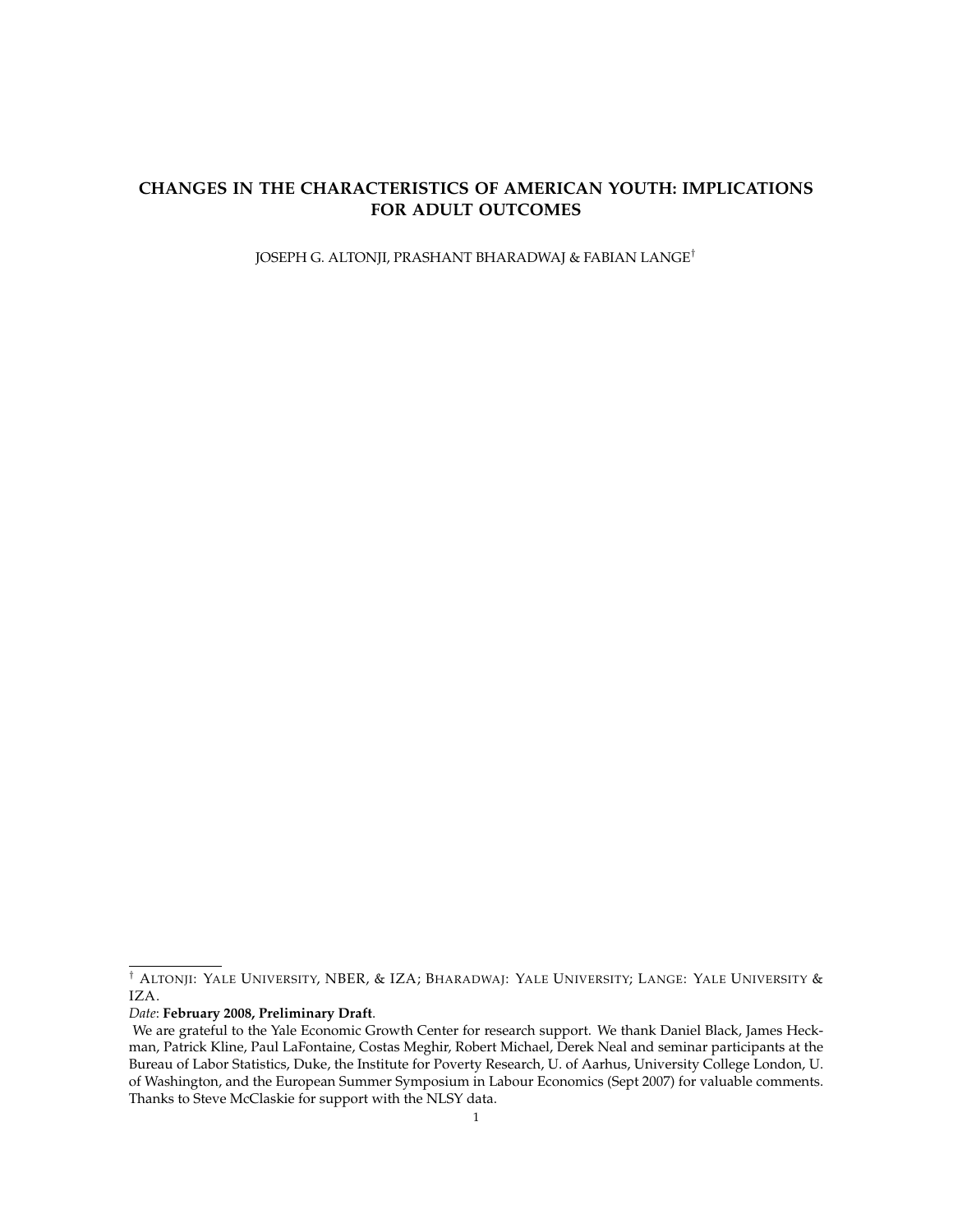# **CHANGES IN THE CHARACTERISTICS OF AMERICAN YOUTH: IMPLICATIONS FOR ADULT OUTCOMES**

JOSEPH G. ALTONJI, PRASHANT BHARADWAJ & FABIAN LANGE†

*Date*: **February 2008, Preliminary Draft**.

<sup>†</sup> ALTONJI: YALE UNIVERSITY, NBER, & IZA; BHARADWAJ: YALE UNIVERSITY; LANGE: YALE UNIVERSITY & IZA.

We are grateful to the Yale Economic Growth Center for research support. We thank Daniel Black, James Heckman, Patrick Kline, Paul LaFontaine, Costas Meghir, Robert Michael, Derek Neal and seminar participants at the Bureau of Labor Statistics, Duke, the Institute for Poverty Research, U. of Aarhus, University College London, U. of Washington, and the European Summer Symposium in Labour Economics (Sept 2007) for valuable comments. Thanks to Steve McClaskie for support with the NLSY data.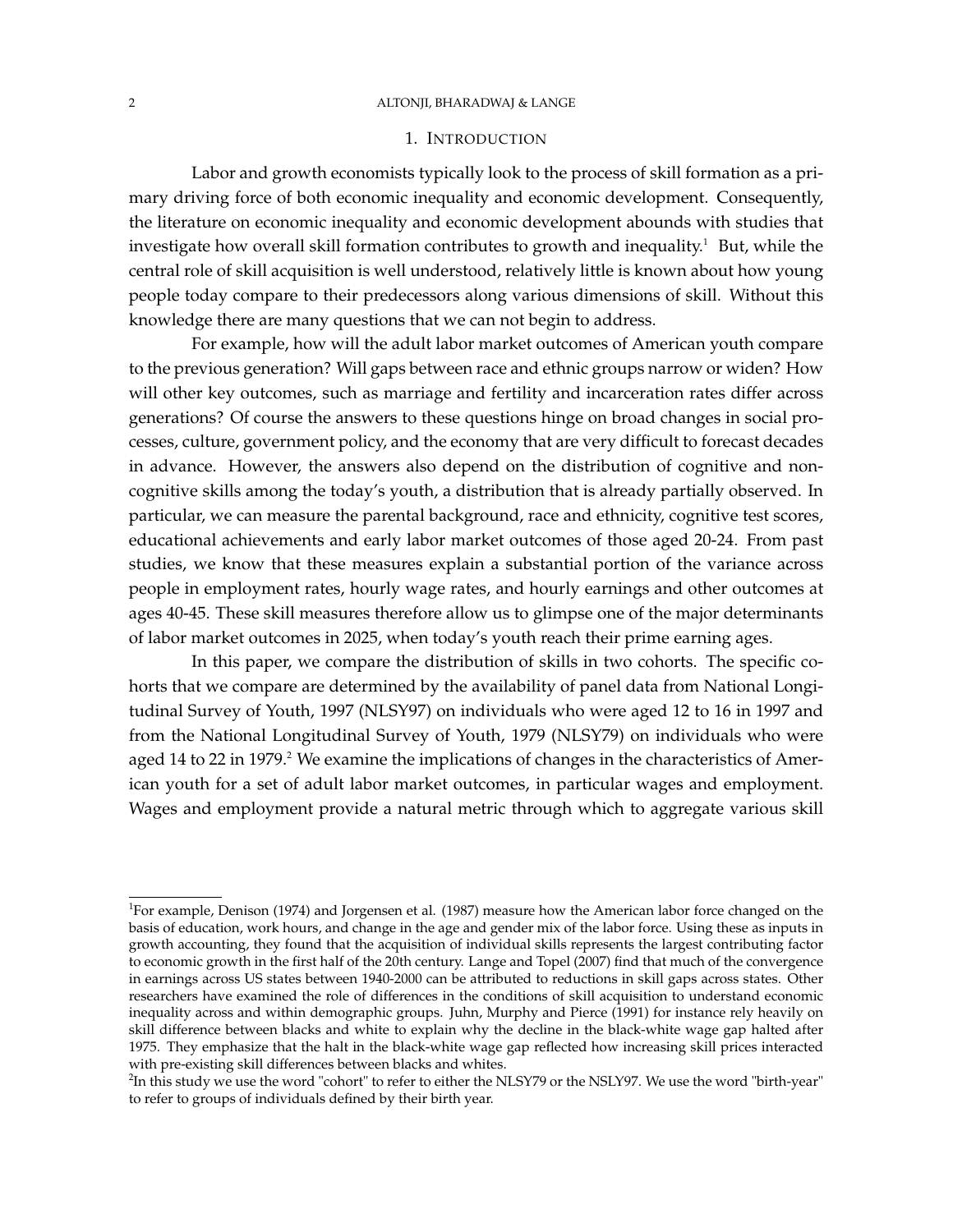### 2 ALTONJI, BHARADWAJ & LANGE

# 1. INTRODUCTION

Labor and growth economists typically look to the process of skill formation as a primary driving force of both economic inequality and economic development. Consequently, the literature on economic inequality and economic development abounds with studies that investigate how overall skill formation contributes to growth and inequality.<sup>1</sup> But, while the central role of skill acquisition is well understood, relatively little is known about how young people today compare to their predecessors along various dimensions of skill. Without this knowledge there are many questions that we can not begin to address.

For example, how will the adult labor market outcomes of American youth compare to the previous generation? Will gaps between race and ethnic groups narrow or widen? How will other key outcomes, such as marriage and fertility and incarceration rates differ across generations? Of course the answers to these questions hinge on broad changes in social processes, culture, government policy, and the economy that are very difficult to forecast decades in advance. However, the answers also depend on the distribution of cognitive and noncognitive skills among the today's youth, a distribution that is already partially observed. In particular, we can measure the parental background, race and ethnicity, cognitive test scores, educational achievements and early labor market outcomes of those aged 20-24. From past studies, we know that these measures explain a substantial portion of the variance across people in employment rates, hourly wage rates, and hourly earnings and other outcomes at ages 40-45. These skill measures therefore allow us to glimpse one of the major determinants of labor market outcomes in 2025, when today's youth reach their prime earning ages.

In this paper, we compare the distribution of skills in two cohorts. The specific cohorts that we compare are determined by the availability of panel data from National Longitudinal Survey of Youth, 1997 (NLSY97) on individuals who were aged 12 to 16 in 1997 and from the National Longitudinal Survey of Youth, 1979 (NLSY79) on individuals who were aged 14 to 22 in 1979.<sup>2</sup> We examine the implications of changes in the characteristics of American youth for a set of adult labor market outcomes, in particular wages and employment. Wages and employment provide a natural metric through which to aggregate various skill

<sup>&</sup>lt;sup>1</sup>For example, Denison (1974) and Jorgensen et al. (1987) measure how the American labor force changed on the basis of education, work hours, and change in the age and gender mix of the labor force. Using these as inputs in growth accounting, they found that the acquisition of individual skills represents the largest contributing factor to economic growth in the first half of the 20th century. Lange and Topel (2007) find that much of the convergence in earnings across US states between 1940-2000 can be attributed to reductions in skill gaps across states. Other researchers have examined the role of differences in the conditions of skill acquisition to understand economic inequality across and within demographic groups. Juhn, Murphy and Pierce (1991) for instance rely heavily on skill difference between blacks and white to explain why the decline in the black-white wage gap halted after 1975. They emphasize that the halt in the black-white wage gap reflected how increasing skill prices interacted with pre-existing skill differences between blacks and whites.

 $^2$ In this study we use the word "cohort" to refer to either the NLSY79 or the NSLY97. We use the word "birth-year" to refer to groups of individuals defined by their birth year.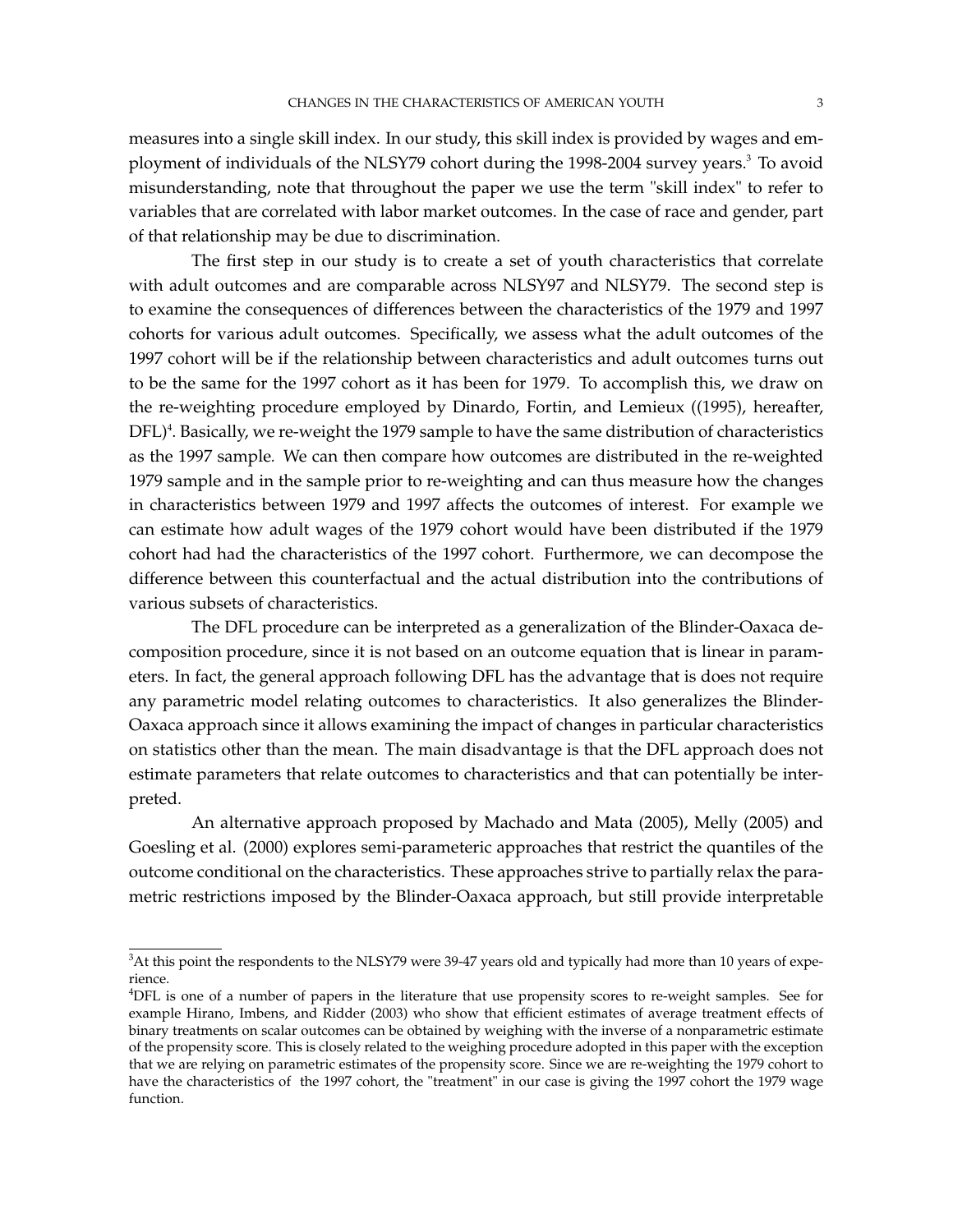measures into a single skill index. In our study, this skill index is provided by wages and employment of individuals of the NLSY79 cohort during the 1998-2004 survey years.<sup>3</sup> To avoid misunderstanding, note that throughout the paper we use the term "skill index" to refer to variables that are correlated with labor market outcomes. In the case of race and gender, part of that relationship may be due to discrimination.

The first step in our study is to create a set of youth characteristics that correlate with adult outcomes and are comparable across NLSY97 and NLSY79. The second step is to examine the consequences of differences between the characteristics of the 1979 and 1997 cohorts for various adult outcomes. Specifically, we assess what the adult outcomes of the 1997 cohort will be if the relationship between characteristics and adult outcomes turns out to be the same for the 1997 cohort as it has been for 1979. To accomplish this, we draw on the re-weighting procedure employed by Dinardo, Fortin, and Lemieux ((1995), hereafter,  $DFL)^4$ . Basically, we re-weight the 1979 sample to have the same distribution of characteristics as the 1997 sample*.* We can then compare how outcomes are distributed in the re-weighted 1979 sample and in the sample prior to re-weighting and can thus measure how the changes in characteristics between 1979 and 1997 affects the outcomes of interest. For example we can estimate how adult wages of the 1979 cohort would have been distributed if the 1979 cohort had had the characteristics of the 1997 cohort. Furthermore, we can decompose the difference between this counterfactual and the actual distribution into the contributions of various subsets of characteristics.

The DFL procedure can be interpreted as a generalization of the Blinder-Oaxaca decomposition procedure, since it is not based on an outcome equation that is linear in parameters. In fact, the general approach following DFL has the advantage that is does not require any parametric model relating outcomes to characteristics. It also generalizes the Blinder-Oaxaca approach since it allows examining the impact of changes in particular characteristics on statistics other than the mean. The main disadvantage is that the DFL approach does not estimate parameters that relate outcomes to characteristics and that can potentially be interpreted.

An alternative approach proposed by Machado and Mata (2005), Melly (2005) and Goesling et al. (2000) explores semi-parameteric approaches that restrict the quantiles of the outcome conditional on the characteristics. These approaches strive to partially relax the parametric restrictions imposed by the Blinder-Oaxaca approach, but still provide interpretable

<sup>&</sup>lt;sup>3</sup>At this point the respondents to the NLSY79 were 39-47 years old and typically had more than 10 years of experience.

<sup>4</sup>DFL is one of a number of papers in the literature that use propensity scores to re-weight samples. See for example Hirano, Imbens, and Ridder (2003) who show that efficient estimates of average treatment effects of binary treatments on scalar outcomes can be obtained by weighing with the inverse of a nonparametric estimate of the propensity score. This is closely related to the weighing procedure adopted in this paper with the exception that we are relying on parametric estimates of the propensity score. Since we are re-weighting the 1979 cohort to have the characteristics of the 1997 cohort, the "treatment" in our case is giving the 1997 cohort the 1979 wage function.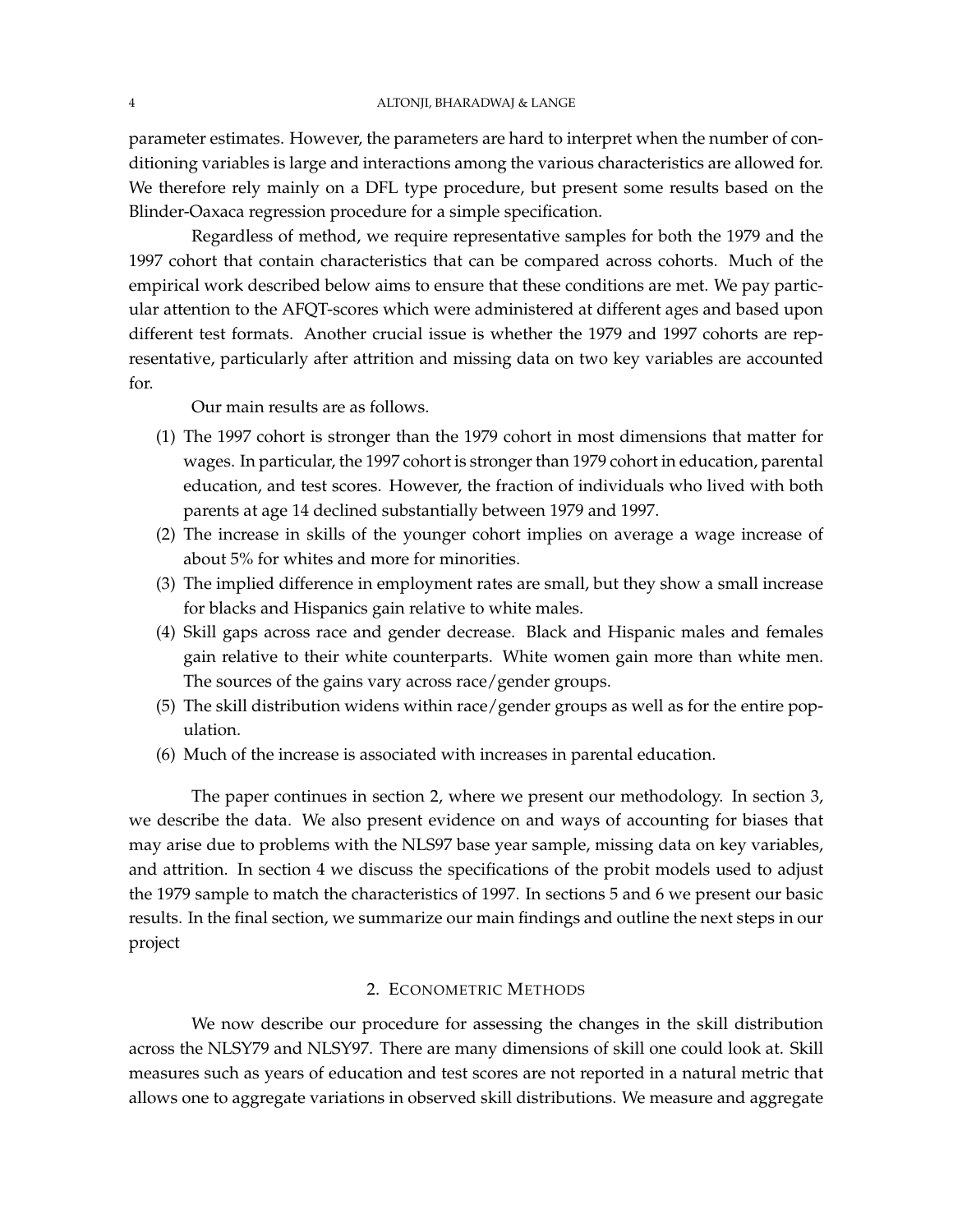parameter estimates. However, the parameters are hard to interpret when the number of conditioning variables is large and interactions among the various characteristics are allowed for. We therefore rely mainly on a DFL type procedure, but present some results based on the Blinder-Oaxaca regression procedure for a simple specification.

Regardless of method, we require representative samples for both the 1979 and the 1997 cohort that contain characteristics that can be compared across cohorts. Much of the empirical work described below aims to ensure that these conditions are met. We pay particular attention to the AFQT-scores which were administered at different ages and based upon different test formats. Another crucial issue is whether the 1979 and 1997 cohorts are representative, particularly after attrition and missing data on two key variables are accounted for.

Our main results are as follows.

- (1) The 1997 cohort is stronger than the 1979 cohort in most dimensions that matter for wages. In particular, the 1997 cohort is stronger than 1979 cohort in education, parental education, and test scores. However, the fraction of individuals who lived with both parents at age 14 declined substantially between 1979 and 1997.
- (2) The increase in skills of the younger cohort implies on average a wage increase of about 5% for whites and more for minorities.
- (3) The implied difference in employment rates are small, but they show a small increase for blacks and Hispanics gain relative to white males.
- (4) Skill gaps across race and gender decrease. Black and Hispanic males and females gain relative to their white counterparts. White women gain more than white men. The sources of the gains vary across race/gender groups.
- (5) The skill distribution widens within race/gender groups as well as for the entire population.
- (6) Much of the increase is associated with increases in parental education.

The paper continues in section 2, where we present our methodology. In section 3, we describe the data. We also present evidence on and ways of accounting for biases that may arise due to problems with the NLS97 base year sample, missing data on key variables, and attrition. In section 4 we discuss the specifications of the probit models used to adjust the 1979 sample to match the characteristics of 1997. In sections 5 and 6 we present our basic results. In the final section, we summarize our main findings and outline the next steps in our project

## 2. ECONOMETRIC METHODS

We now describe our procedure for assessing the changes in the skill distribution across the NLSY79 and NLSY97. There are many dimensions of skill one could look at. Skill measures such as years of education and test scores are not reported in a natural metric that allows one to aggregate variations in observed skill distributions. We measure and aggregate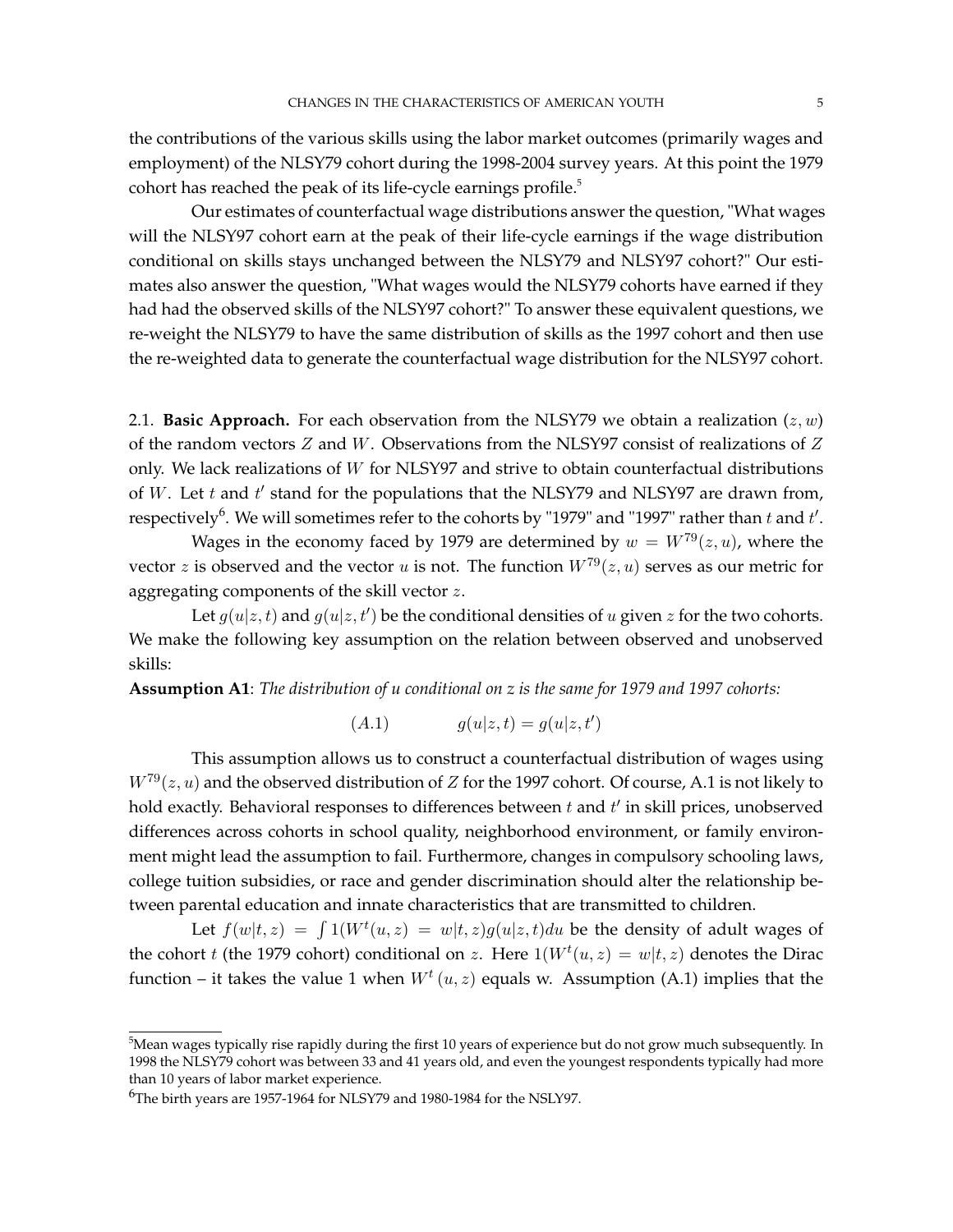the contributions of the various skills using the labor market outcomes (primarily wages and employment) of the NLSY79 cohort during the 1998-2004 survey years. At this point the 1979 cohort has reached the peak of its life-cycle earnings profile.<sup>5</sup>

Our estimates of counterfactual wage distributions answer the question, "What wages will the NLSY97 cohort earn at the peak of their life-cycle earnings if the wage distribution conditional on skills stays unchanged between the NLSY79 and NLSY97 cohort?" Our estimates also answer the question, "What wages would the NLSY79 cohorts have earned if they had had the observed skills of the NLSY97 cohort?" To answer these equivalent questions, we re-weight the NLSY79 to have the same distribution of skills as the 1997 cohort and then use the re-weighted data to generate the counterfactual wage distribution for the NLSY97 cohort.

2.1. **Basic Approach.** For each observation from the NLSY79 we obtain a realization  $(z, w)$ of the random vectors  $Z$  and  $W$ . Observations from the NLSY97 consist of realizations of  $Z$ only. We lack realizations of W for NLSY97 and strive to obtain counterfactual distributions of  $W$ . Let  $t$  and  $t'$  stand for the populations that the NLSY79 and NLSY97 are drawn from, respectively $^6$ . We will sometimes refer to the cohorts by "1979" and "1997" rather than  $t$  and  $t'$ .

Wages in the economy faced by 1979 are determined by  $w = W^{79}(z, u)$ , where the vector z is observed and the vector u is not. The function  $W^{79}(z, u)$  serves as our metric for aggregating components of the skill vector z.

Let  $g(u|z,t)$  and  $g(u|z,t')$  be the conditional densities of u given z for the two cohorts. We make the following key assumption on the relation between observed and unobserved skills:

**Assumption A1**: *The distribution of u conditional on z is the same for 1979 and 1997 cohorts:*

$$
(A.1) \t g(u|z,t) = g(u|z,t')
$$

This assumption allows us to construct a counterfactual distribution of wages using  $W^{79}(z, u)$  and the observed distribution of Z for the 1997 cohort. Of course, A.1 is not likely to hold exactly. Behavioral responses to differences between  $t$  and  $t'$  in skill prices, unobserved differences across cohorts in school quality, neighborhood environment, or family environment might lead the assumption to fail. Furthermore, changes in compulsory schooling laws, college tuition subsidies, or race and gender discrimination should alter the relationship between parental education and innate characteristics that are transmitted to children.

Let  $f(w|t, z) = \int 1(W^t(u, z) = w|t, z)g(u|z, t)du$  be the density of adult wages of the cohort t (the 1979 cohort) conditional on z. Here  $1(W^t(u, z) = w | t, z)$  denotes the Dirac function – it takes the value 1 when  $W^t(u, z)$  equals w. Assumption (A.1) implies that the

 $5$ Mean wages typically rise rapidly during the first 10 years of experience but do not grow much subsequently. In 1998 the NLSY79 cohort was between 33 and 41 years old, and even the youngest respondents typically had more than 10 years of labor market experience.

<sup>&</sup>lt;sup>6</sup>The birth years are 1957-1964 for NLSY79 and 1980-1984 for the NSLY97.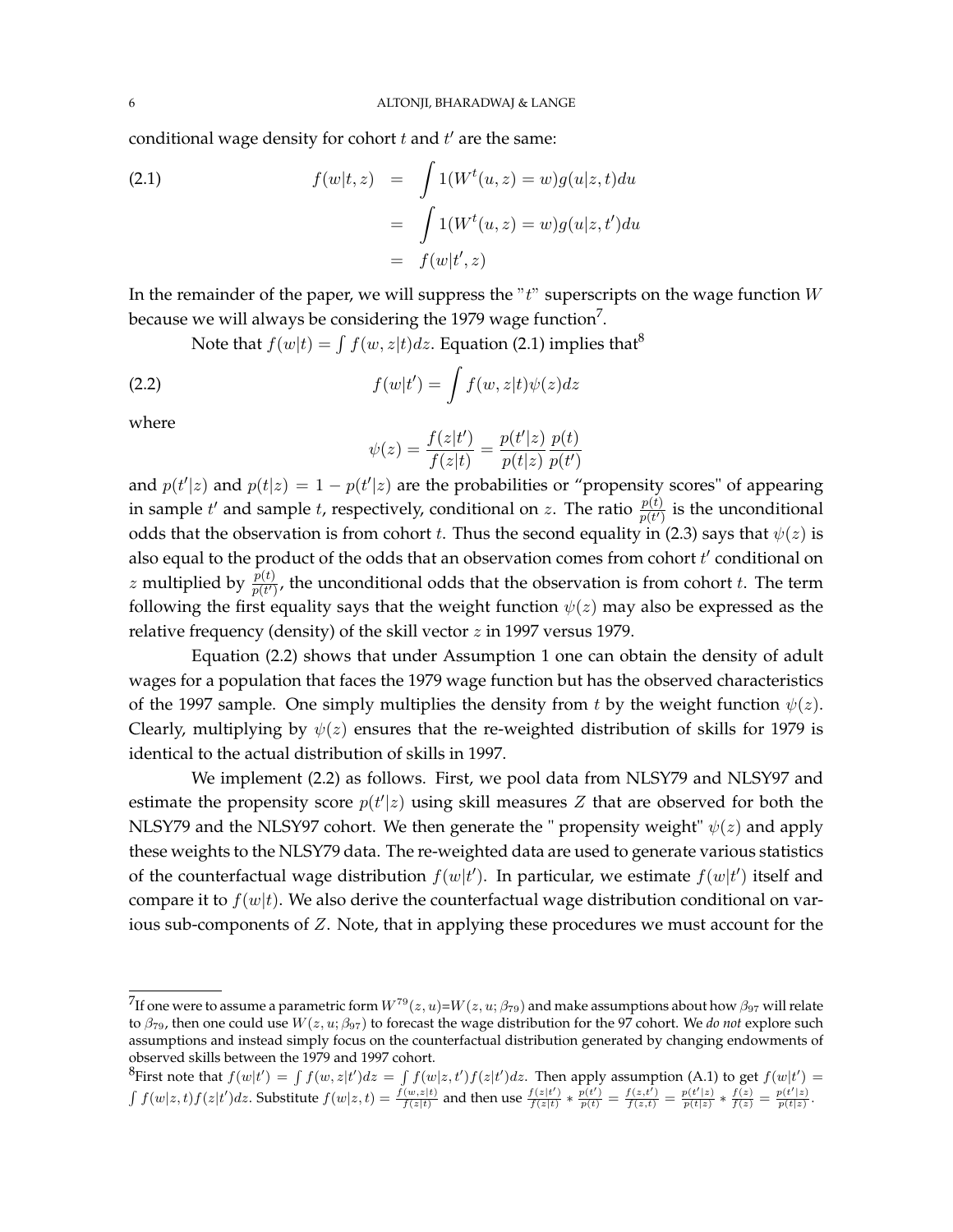conditional wage density for cohort  $t$  and  $t'$  are the same:

(2.1) 
$$
f(w|t,z) = \int 1(W^t(u,z) = w)g(u|z,t)du
$$

$$
= \int 1(W^t(u,z) = w)g(u|z,t')du
$$

$$
= f(w|t',z)
$$

In the remainder of the paper, we will suppress the  $i^*$  superscripts on the wage function  $W$ because we will always be considering the 1979 wage function $^7$ .

Note that  $f(w|t) = \int f(w, z|t) dz$ . Equation (2.1) implies that<sup>8</sup>

(2.2) 
$$
f(w|t') = \int f(w, z|t) \psi(z) dz
$$

where

$$
\psi(z) = \frac{f(z|t')}{f(z|t)} = \frac{p(t'|z)}{p(t|z)} \frac{p(t)}{p(t')}
$$

and  $p(t'|z)$  and  $p(t|z) = 1 - p(t'|z)$  are the probabilities or "propensity scores" of appearing in sample  $t'$  and sample t, respectively, conditional on z. The ratio  $\frac{p(t)}{p(t')}$  is the unconditional odds that the observation is from cohort t. Thus the second equality in (2.3) says that  $\psi(z)$  is also equal to the product of the odds that an observation comes from cohort  $t'$  conditional on z multiplied by  $\frac{p(t)}{p(t')}$ , the unconditional odds that the observation is from cohort t. The term following the first equality says that the weight function  $\psi(z)$  may also be expressed as the relative frequency (density) of the skill vector z in 1997 versus 1979.

Equation (2.2) shows that under Assumption 1 one can obtain the density of adult wages for a population that faces the 1979 wage function but has the observed characteristics of the 1997 sample. One simply multiplies the density from t by the weight function  $\psi(z)$ . Clearly, multiplying by  $\psi(z)$  ensures that the re-weighted distribution of skills for 1979 is identical to the actual distribution of skills in 1997.

We implement (2.2) as follows. First, we pool data from NLSY79 and NLSY97 and estimate the propensity score  $p(t'|z)$  using skill measures Z that are observed for both the NLSY79 and the NLSY97 cohort. We then generate the " propensity weight"  $\psi(z)$  and apply these weights to the NLSY79 data. The re-weighted data are used to generate various statistics of the counterfactual wage distribution  $f(w|t')$ . In particular, we estimate  $f(w|t')$  itself and compare it to  $f(w|t)$ . We also derive the counterfactual wage distribution conditional on various sub-components of Z. Note, that in applying these procedures we must account for the

 $^{7}$ If one were to assume a parametric form  $W^{79}(z,u)$ = $W(z,u;\beta_{79})$  and make assumptions about how  $\beta_{97}$  will relate to  $β_{79}$ , then one could use  $W(z, u; β_{97})$  to forecast the wage distribution for the 97 cohort. We *do not* explore such assumptions and instead simply focus on the counterfactual distribution generated by changing endowments of observed skills between the 1979 and 1997 cohort.

<sup>&</sup>lt;sup>8</sup>First note that  $f(w|t') = \int f(w, z|t')dz = \int f(w|z, t')f(z|t')dz$ . Then apply assumption (A.1) to get  $f(w|t') =$  $\int f(w|z,t)f(z|t')dz$ . Substitute  $f(w|z,t) = \frac{f(w,z|t)}{f(z|t)}$  and then use  $\frac{f(z|t')}{f(z|t)} * \frac{p(t')}{p(t)} = \frac{f(z,t')}{f(z,t)} = \frac{p(t'|z)}{p(t|z)} * \frac{f(z)}{f(z)} = \frac{p(t'|z)}{p(t|z)}$ .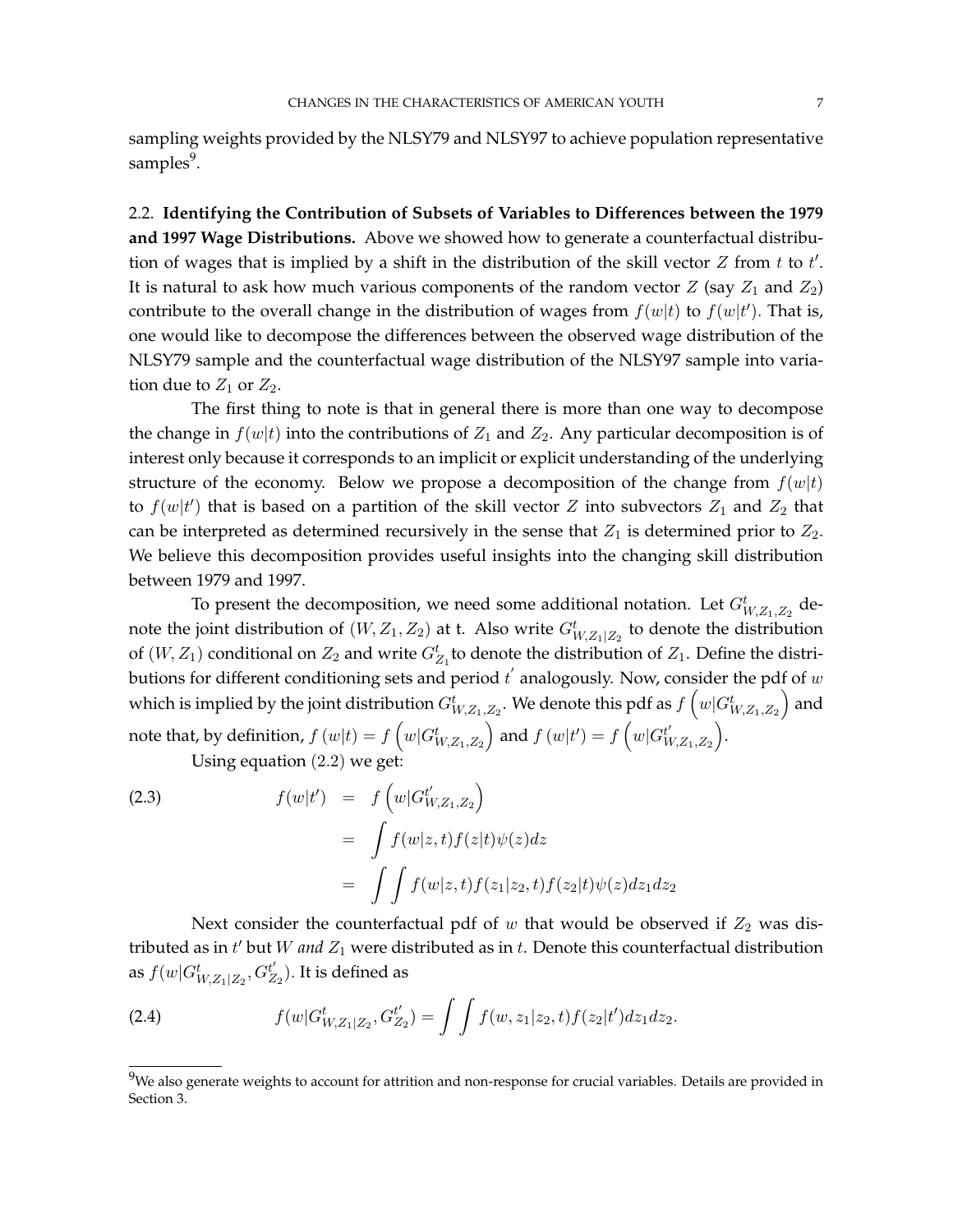sampling weights provided by the NLSY79 and NLSY97 to achieve population representative samples<sup>9</sup>.

2.2. **Identifying the Contribution of Subsets of Variables to Differences between the 1979 and 1997 Wage Distributions.** Above we showed how to generate a counterfactual distribution of wages that is implied by a shift in the distribution of the skill vector  $Z$  from  $t$  to  $t'$ . It is natural to ask how much various components of the random vector  $Z$  (say  $Z_1$  and  $Z_2$ ) contribute to the overall change in the distribution of wages from  $f(w|t)$  to  $f(w|t')$ . That is, one would like to decompose the differences between the observed wage distribution of the NLSY79 sample and the counterfactual wage distribution of the NLSY97 sample into variation due to  $Z_1$  or  $Z_2$ .

The first thing to note is that in general there is more than one way to decompose the change in  $f(w|t)$  into the contributions of  $Z_1$  and  $Z_2$ . Any particular decomposition is of interest only because it corresponds to an implicit or explicit understanding of the underlying structure of the economy. Below we propose a decomposition of the change from  $f(w|t)$ to  $f(w|t')$  that is based on a partition of the skill vector Z into subvectors  $Z_1$  and  $Z_2$  that can be interpreted as determined recursively in the sense that  $Z_1$  is determined prior to  $Z_2$ . We believe this decomposition provides useful insights into the changing skill distribution between 1979 and 1997.

To present the decomposition, we need some additional notation. Let  $G_{W,Z_1,Z_2}^t$  denote the joint distribution of  $(W, Z_1, Z_2)$  at t. Also write  $G^t_{W, Z_1|Z_2}$  to denote the distribution of  $(W, Z_1)$  conditional on  $Z_2$  and write  $G_{Z_1}^t$  to denote the distribution of  $Z_1$ . Define the distributions for different conditioning sets and period  $t^{'}$  analogously. Now, consider the pdf of  $w$ which is implied by the joint distribution  $G_{W,Z_1,Z_2}^t.$  We denote this pdf as  $f\left(w|G_{W,Z_1,Z_2}^t\right)$  and note that, by definition,  $f\left (w|t \right )=f\left (w|G_{W,Z_1,Z_2}^t \right )$  and  $f\left (w|t' \right )=f\left (w|G_{W,Z_2}^t \right )$  $_{W,Z_1,Z_2}^{t^{\prime}}\Big).$ 

Using equation (2.2) we get:

(2.3) 
$$
f(w|t') = f\left(w|G_{W,Z_1,Z_2}^{t'}\right)
$$

$$
= \int f(w|z,t)f(z|t)\psi(z)dz
$$

$$
= \int \int f(w|z,t)f(z_1|z_2,t)f(z_2|t)\psi(z)dz_1dz_2
$$

Next consider the counterfactual pdf of  $w$  that would be observed if  $Z_2$  was distributed as in  $t'$  but  $W$  *and*  $Z_1$  were distributed as in  $t$ . Denote this counterfactual distribution as  $f(w|G_{W,Z_1|Z_2}^t,G_{Z}^{t^{\prime}}$  $t'_{Z_2}$ ). It is defined as

(2.4) 
$$
f(w|G_{W,Z_1|Z_2}^t,G_{Z_2}^{t'})=\int\int f(w,z_1|z_2,t)f(z_2|t')dz_1dz_2.
$$

 $9$ We also generate weights to account for attrition and non-response for crucial variables. Details are provided in Section 3.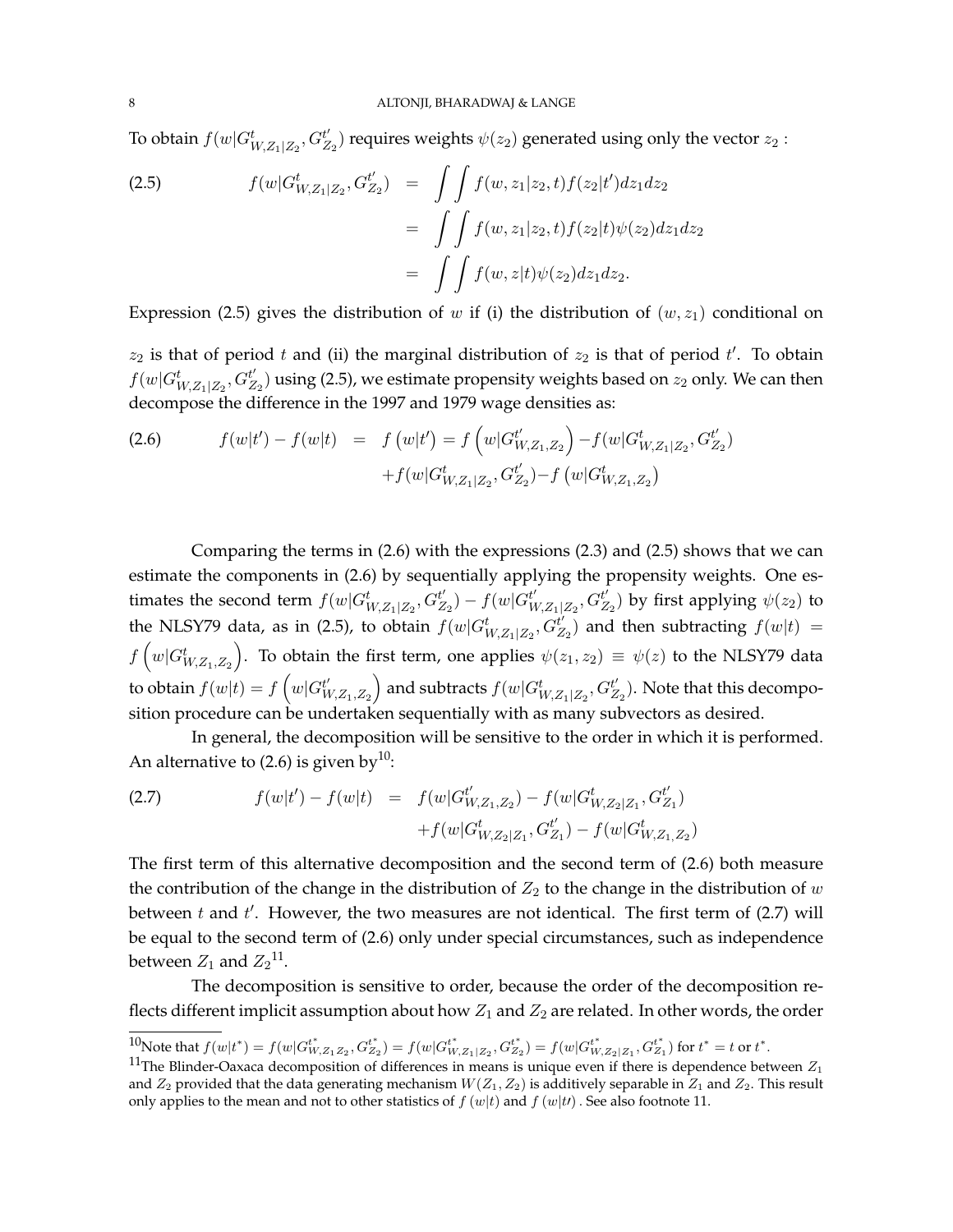To obtain  $f(w|G_{W,Z_1|Z_2}^t,G_Z^{t'})$  $\mathcal{L}_{Z_2}^{t'}$ ) requires weights  $\psi(z_2)$  generated using only the vector  $z_2$  :

(2.5) 
$$
f(w|G_{W,Z_1|Z_2}^t, G_{Z_2}^{t'}) = \int \int f(w, z_1|z_2, t) f(z_2|t') dz_1 dz_2
$$

$$
= \int \int f(w, z_1|z_2, t) f(z_2|t) \psi(z_2) dz_1 dz_2
$$

$$
= \int \int f(w, z|t) \psi(z_2) dz_1 dz_2.
$$

Expression (2.5) gives the distribution of w if (i) the distribution of  $(w, z<sub>1</sub>)$  conditional on

 $z_2$  is that of period t and (ii) the marginal distribution of  $z_2$  is that of period t'. To obtain  $f(w|G_{W,Z_1|Z_2}^t,G_Z^{t^\prime})$  $Z_{Z_2}^{t'}$ ) using (2.5), we estimate propensity weights based on  $z_2$  only. We can then decompose the difference in the 1997 and 1979 wage densities as:

(2.6) 
$$
f(w|t') - f(w|t) = f(w|t') = f(w|G_{W,Z_1,Z_2}^{t'}) - f(w|G_{W,Z_1|Z_2}^{t'}, G_{Z_2}^{t'}) + f(w|G_{W,Z_1|Z_2}^{t'}, G_{Z_2}^{t'}) - f(w|G_{W,Z_1,Z_2}^{t'})
$$

Comparing the terms in (2.6) with the expressions (2.3) and (2.5) shows that we can estimate the components in (2.6) by sequentially applying the propensity weights. One estimates the second term  $f(w|G_{W,Z_1|Z_2}^t,G_Z^{t'}$  $t'_{Z_2}$ ) –  $f(w|G_W^{t'}$  $_{W\!,Z_1|Z_2}^{t^{\prime}},G^{t^{\prime}}_Z$  $\mathit{l}_{Z_2}^{\prime\prime}$ ) by first applying  $\psi(z_2)$  to the NLSY79 data, as in (2.5), to obtain  $f(w|G_{W,Z_1|Z_2}^t,G_Z^{t'}$  $\mathcal{L}_{Z_2}^{t'}$ ) and then subtracting  $f(w|t) =$  $f\left(w|G_{W,Z_1,Z_2}^t\right)$ . To obtain the first term, one applies  $\psi(z_1,z_2)\,\equiv\,\psi(z)$  to the NLSY79 data to obtain  $f(w|t) = f\left(w|G_W^{t'}\right)$  $\left( \begin{smallmatrix} t' \ W , Z_1 , Z_2 \end{smallmatrix} \right)$  and subtracts  $f(w| G_{W,Z_1|Z_2}^t, G^{{t'}}_Z)$  $\binom{t'}{Z_2}$ . Note that this decomposition procedure can be undertaken sequentially with as many subvectors as desired.

In general, the decomposition will be sensitive to the order in which it is performed. An alternative to (2.6) is given by<sup>10</sup>:

(2.7) 
$$
f(w|t') - f(w|t) = f(w|G_{W,Z_1,Z_2}^{t'}') - f(w|G_{W,Z_2|Z_1}^{t'}, G_{Z_1}^{t'}) + f(w|G_{W,Z_2|Z_1}^{t'}, G_{Z_1}^{t'}) - f(w|G_{W,Z_1,Z_2}^{t})
$$

The first term of this alternative decomposition and the second term of (2.6) both measure the contribution of the change in the distribution of  $Z_2$  to the change in the distribution of w between  $t$  and  $t'$ . However, the two measures are not identical. The first term of  $(2.7)$  will be equal to the second term of (2.6) only under special circumstances, such as independence between  $Z_1$  and  $Z_2$ <sup>11</sup>.

The decomposition is sensitive to order, because the order of the decomposition reflects different implicit assumption about how  $Z_1$  and  $Z_2$  are related. In other words, the order

 $10^{\circ}$ Note that  $f(w|t^*) = f(w|G_{W,Z_1Z_2}^{t^*}, G_{Z_2}^{t^*}) = f(w|G_{W,Z_1|Z_2}^{t^*}, G_{Z_2}^{t^*}) = f(w|G_{W,Z_2|Z_1}^{t^*}, G_{Z_1}^{t^*})$  for  $t^* = t$  or  $t^*$ .

<sup>&</sup>lt;sup>11</sup>The Blinder-Oaxaca decomposition of differences in means is unique even if there is dependence between  $Z_1$ and  $Z_2$  provided that the data generating mechanism  $W(Z_1, Z_2)$  is additively separable in  $Z_1$  and  $Z_2$ . This result only applies to the mean and not to other statistics of  $f(w|t)$  and  $f(w|t)$ . See also footnote 11.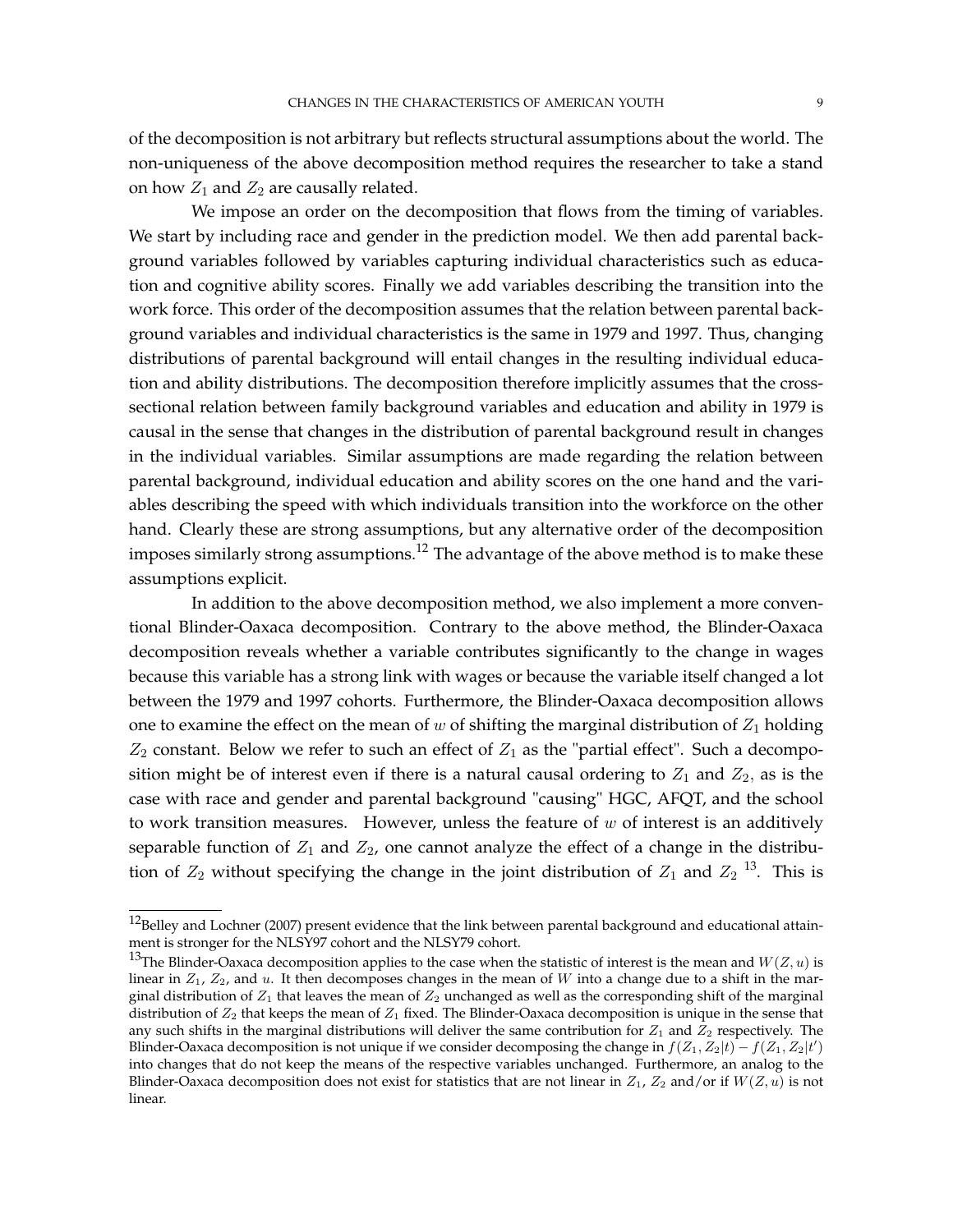of the decomposition is not arbitrary but reflects structural assumptions about the world. The non-uniqueness of the above decomposition method requires the researcher to take a stand on how  $Z_1$  and  $Z_2$  are causally related.

We impose an order on the decomposition that flows from the timing of variables. We start by including race and gender in the prediction model. We then add parental background variables followed by variables capturing individual characteristics such as education and cognitive ability scores. Finally we add variables describing the transition into the work force. This order of the decomposition assumes that the relation between parental background variables and individual characteristics is the same in 1979 and 1997. Thus, changing distributions of parental background will entail changes in the resulting individual education and ability distributions. The decomposition therefore implicitly assumes that the crosssectional relation between family background variables and education and ability in 1979 is causal in the sense that changes in the distribution of parental background result in changes in the individual variables. Similar assumptions are made regarding the relation between parental background, individual education and ability scores on the one hand and the variables describing the speed with which individuals transition into the workforce on the other hand. Clearly these are strong assumptions, but any alternative order of the decomposition imposes similarly strong assumptions.<sup>12</sup> The advantage of the above method is to make these assumptions explicit.

In addition to the above decomposition method, we also implement a more conventional Blinder-Oaxaca decomposition. Contrary to the above method, the Blinder-Oaxaca decomposition reveals whether a variable contributes significantly to the change in wages because this variable has a strong link with wages or because the variable itself changed a lot between the 1979 and 1997 cohorts. Furthermore, the Blinder-Oaxaca decomposition allows one to examine the effect on the mean of  $w$  of shifting the marginal distribution of  $Z_1$  holding  $Z_2$  constant. Below we refer to such an effect of  $Z_1$  as the "partial effect". Such a decomposition might be of interest even if there is a natural causal ordering to  $Z_1$  and  $Z_2$ , as is the case with race and gender and parental background "causing" HGC, AFQT, and the school to work transition measures. However, unless the feature of  $w$  of interest is an additively separable function of  $Z_1$  and  $Z_2$ , one cannot analyze the effect of a change in the distribution of  $Z_2$  without specifying the change in the joint distribution of  $Z_1$  and  $Z_2$  <sup>13</sup>. This is

<sup>&</sup>lt;sup>12</sup>Belley and Lochner (2007) present evidence that the link between parental background and educational attainment is stronger for the NLSY97 cohort and the NLSY79 cohort.

<sup>&</sup>lt;sup>13</sup>The Blinder-Oaxaca decomposition applies to the case when the statistic of interest is the mean and  $W(Z, u)$  is linear in  $Z_1$ ,  $Z_2$ , and u. It then decomposes changes in the mean of W into a change due to a shift in the marginal distribution of  $Z_1$  that leaves the mean of  $Z_2$  unchanged as well as the corresponding shift of the marginal distribution of  $Z_2$  that keeps the mean of  $Z_1$  fixed. The Blinder-Oaxaca decomposition is unique in the sense that any such shifts in the marginal distributions will deliver the same contribution for  $Z_1$  and  $Z_2$  respectively. The Blinder-Oaxaca decomposition is not unique if we consider decomposing the change in  $f(Z_1, Z_2|t) - f(Z_1, Z_2|t')$ into changes that do not keep the means of the respective variables unchanged. Furthermore, an analog to the Blinder-Oaxaca decomposition does not exist for statistics that are not linear in  $Z_1$ ,  $Z_2$  and/or if  $W(Z, u)$  is not linear.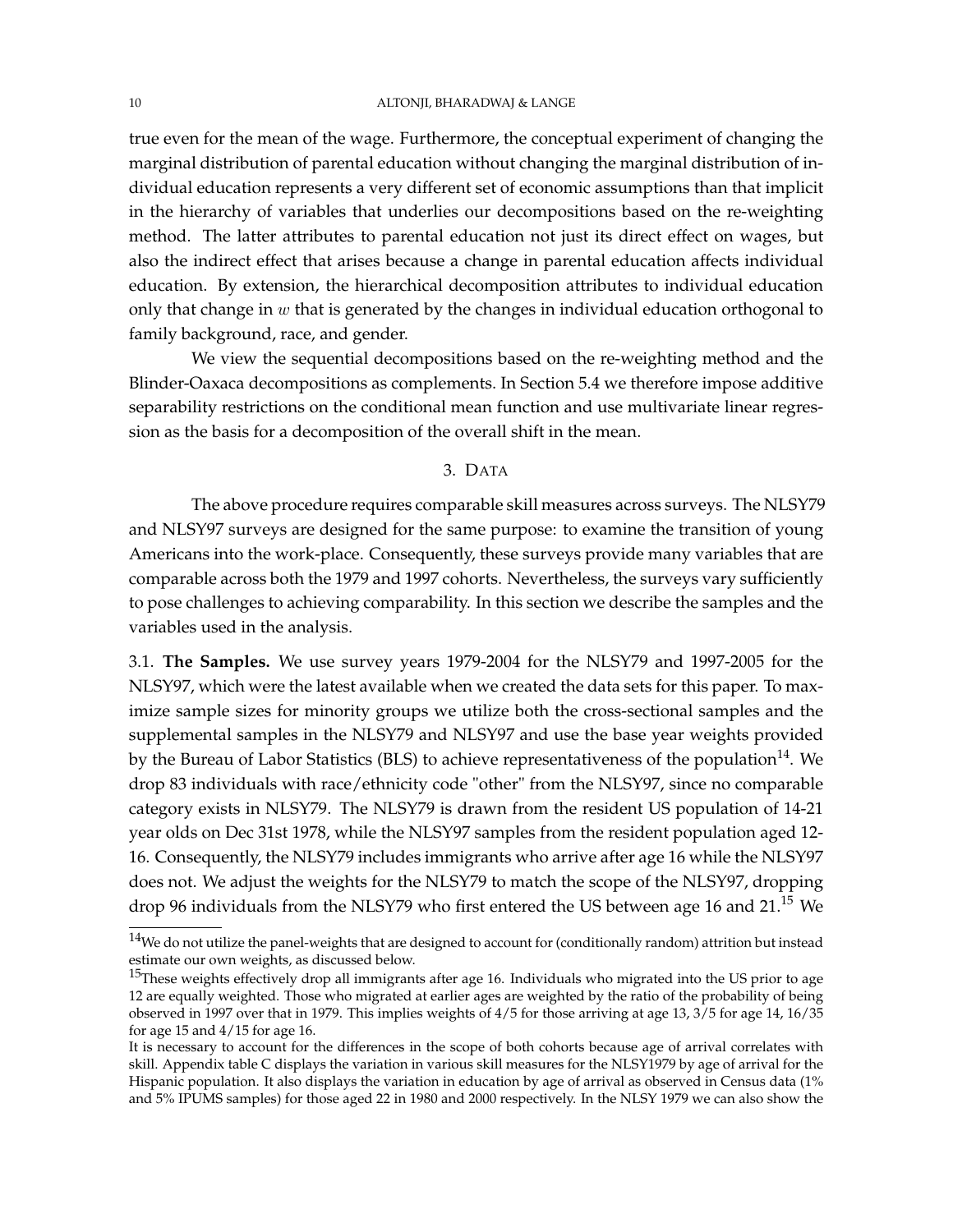### 10 ALTONJI, BHARADWAJ & LANGE

true even for the mean of the wage. Furthermore, the conceptual experiment of changing the marginal distribution of parental education without changing the marginal distribution of individual education represents a very different set of economic assumptions than that implicit in the hierarchy of variables that underlies our decompositions based on the re-weighting method. The latter attributes to parental education not just its direct effect on wages, but also the indirect effect that arises because a change in parental education affects individual education. By extension, the hierarchical decomposition attributes to individual education only that change in  $w$  that is generated by the changes in individual education orthogonal to family background, race, and gender.

We view the sequential decompositions based on the re-weighting method and the Blinder-Oaxaca decompositions as complements. In Section 5.4 we therefore impose additive separability restrictions on the conditional mean function and use multivariate linear regression as the basis for a decomposition of the overall shift in the mean.

# 3. DATA

The above procedure requires comparable skill measures across surveys. The NLSY79 and NLSY97 surveys are designed for the same purpose: to examine the transition of young Americans into the work-place. Consequently, these surveys provide many variables that are comparable across both the 1979 and 1997 cohorts. Nevertheless, the surveys vary sufficiently to pose challenges to achieving comparability. In this section we describe the samples and the variables used in the analysis.

3.1. **The Samples.** We use survey years 1979-2004 for the NLSY79 and 1997-2005 for the NLSY97, which were the latest available when we created the data sets for this paper. To maximize sample sizes for minority groups we utilize both the cross-sectional samples and the supplemental samples in the NLSY79 and NLSY97 and use the base year weights provided by the Bureau of Labor Statistics (BLS) to achieve representativeness of the population<sup>14</sup>. We drop 83 individuals with race/ethnicity code "other" from the NLSY97, since no comparable category exists in NLSY79. The NLSY79 is drawn from the resident US population of 14-21 year olds on Dec 31st 1978, while the NLSY97 samples from the resident population aged 12- 16. Consequently, the NLSY79 includes immigrants who arrive after age 16 while the NLSY97 does not. We adjust the weights for the NLSY79 to match the scope of the NLSY97, dropping drop 96 individuals from the NLSY79 who first entered the US between age 16 and 21.<sup>15</sup> We

 $14$ We do not utilize the panel-weights that are designed to account for (conditionally random) attrition but instead estimate our own weights, as discussed below.

<sup>&</sup>lt;sup>15</sup>These weights effectively drop all immigrants after age 16. Individuals who migrated into the US prior to age 12 are equally weighted. Those who migrated at earlier ages are weighted by the ratio of the probability of being observed in 1997 over that in 1979. This implies weights of 4/5 for those arriving at age 13, 3/5 for age 14, 16/35 for age 15 and  $4/15$  for age 16.

It is necessary to account for the differences in the scope of both cohorts because age of arrival correlates with skill. Appendix table C displays the variation in various skill measures for the NLSY1979 by age of arrival for the Hispanic population. It also displays the variation in education by age of arrival as observed in Census data (1% and 5% IPUMS samples) for those aged 22 in 1980 and 2000 respectively. In the NLSY 1979 we can also show the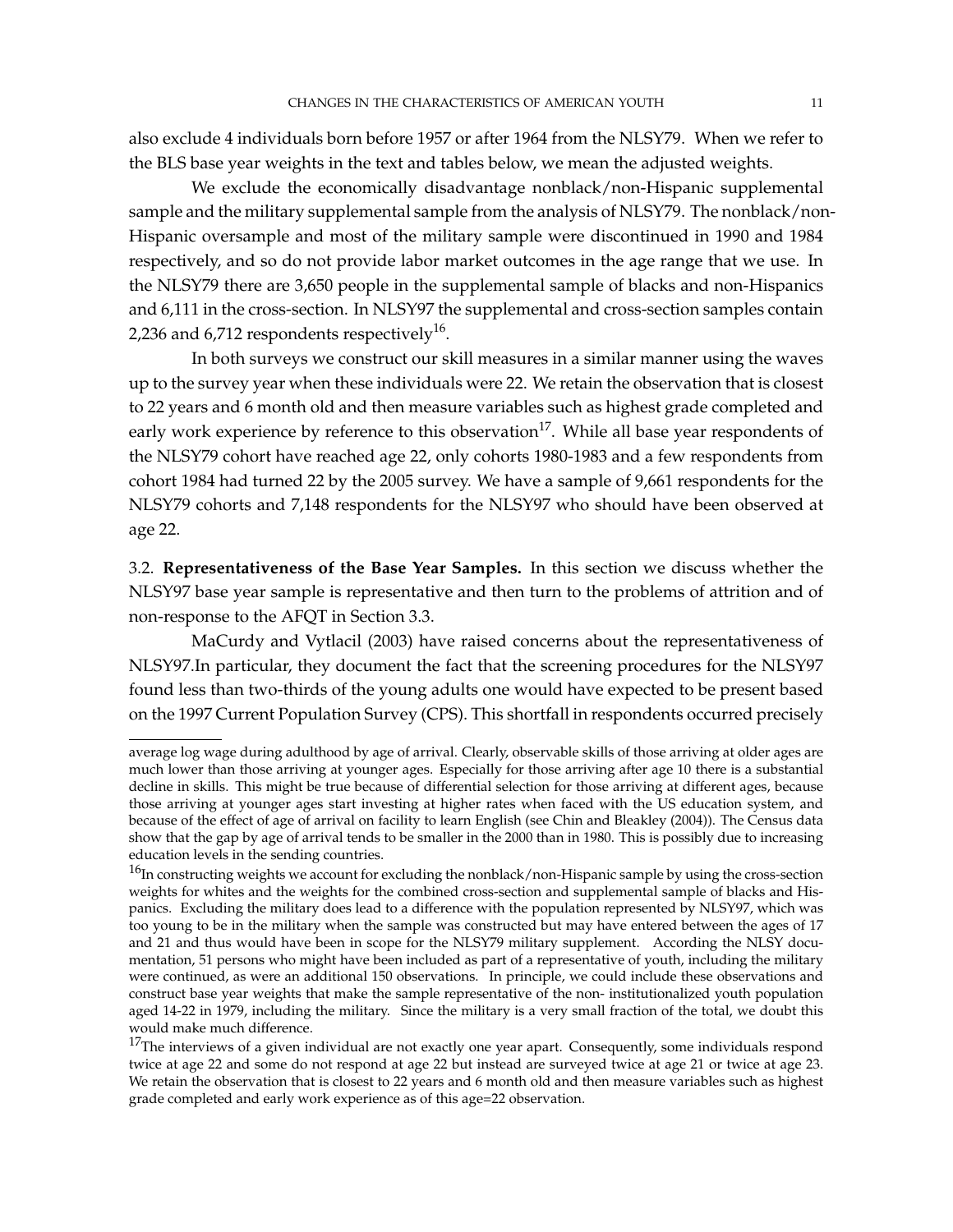also exclude 4 individuals born before 1957 or after 1964 from the NLSY79. When we refer to the BLS base year weights in the text and tables below, we mean the adjusted weights.

We exclude the economically disadvantage nonblack/non-Hispanic supplemental sample and the military supplemental sample from the analysis of NLSY79. The nonblack/non-Hispanic oversample and most of the military sample were discontinued in 1990 and 1984 respectively, and so do not provide labor market outcomes in the age range that we use. In the NLSY79 there are 3,650 people in the supplemental sample of blacks and non-Hispanics and 6,111 in the cross-section. In NLSY97 the supplemental and cross-section samples contain 2,236 and 6,712 respondents respectively $^{16}$ .

In both surveys we construct our skill measures in a similar manner using the waves up to the survey year when these individuals were 22. We retain the observation that is closest to 22 years and 6 month old and then measure variables such as highest grade completed and early work experience by reference to this observation<sup>17</sup>. While all base year respondents of the NLSY79 cohort have reached age 22, only cohorts 1980-1983 and a few respondents from cohort 1984 had turned 22 by the 2005 survey. We have a sample of 9,661 respondents for the NLSY79 cohorts and 7,148 respondents for the NLSY97 who should have been observed at age 22.

3.2. **Representativeness of the Base Year Samples.** In this section we discuss whether the NLSY97 base year sample is representative and then turn to the problems of attrition and of non-response to the AFQT in Section 3.3.

MaCurdy and Vytlacil (2003) have raised concerns about the representativeness of NLSY97.In particular, they document the fact that the screening procedures for the NLSY97 found less than two-thirds of the young adults one would have expected to be present based on the 1997 Current Population Survey (CPS). This shortfall in respondents occurred precisely

average log wage during adulthood by age of arrival. Clearly, observable skills of those arriving at older ages are much lower than those arriving at younger ages. Especially for those arriving after age 10 there is a substantial decline in skills. This might be true because of differential selection for those arriving at different ages, because those arriving at younger ages start investing at higher rates when faced with the US education system, and because of the effect of age of arrival on facility to learn English (see Chin and Bleakley (2004)). The Census data show that the gap by age of arrival tends to be smaller in the 2000 than in 1980. This is possibly due to increasing education levels in the sending countries.

 $^{16}$ In constructing weights we account for excluding the nonblack/non-Hispanic sample by using the cross-section weights for whites and the weights for the combined cross-section and supplemental sample of blacks and Hispanics. Excluding the military does lead to a difference with the population represented by NLSY97, which was too young to be in the military when the sample was constructed but may have entered between the ages of 17 and 21 and thus would have been in scope for the NLSY79 military supplement. According the NLSY documentation, 51 persons who might have been included as part of a representative of youth, including the military were continued, as were an additional 150 observations. In principle, we could include these observations and construct base year weights that make the sample representative of the non- institutionalized youth population aged 14-22 in 1979, including the military. Since the military is a very small fraction of the total, we doubt this would make much difference.

 $17$ The interviews of a given individual are not exactly one year apart. Consequently, some individuals respond twice at age 22 and some do not respond at age 22 but instead are surveyed twice at age 21 or twice at age 23. We retain the observation that is closest to 22 years and 6 month old and then measure variables such as highest grade completed and early work experience as of this age=22 observation.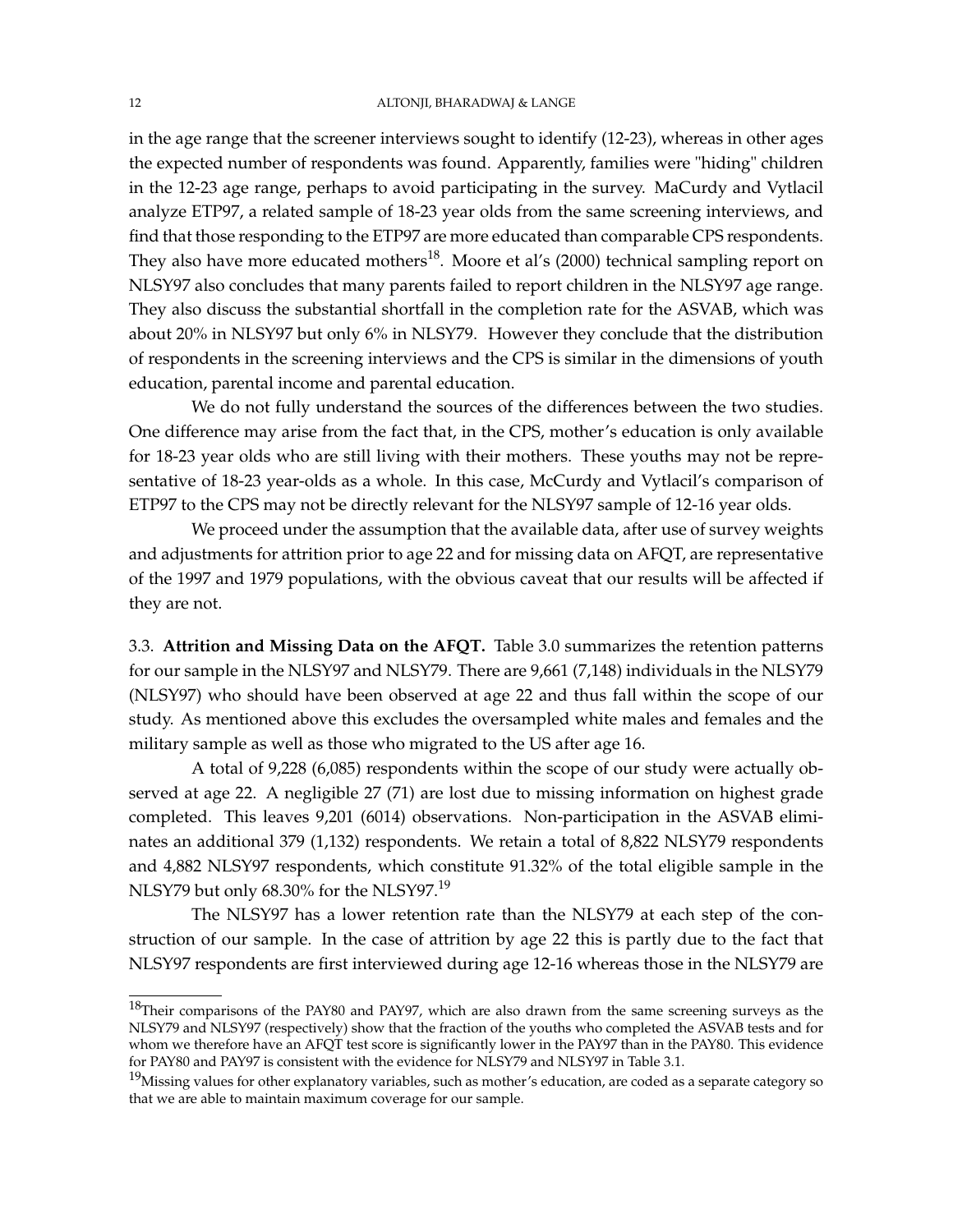in the age range that the screener interviews sought to identify (12-23), whereas in other ages the expected number of respondents was found. Apparently, families were "hiding" children in the 12-23 age range, perhaps to avoid participating in the survey. MaCurdy and Vytlacil analyze ETP97, a related sample of 18-23 year olds from the same screening interviews, and find that those responding to the ETP97 are more educated than comparable CPS respondents. They also have more educated mothers<sup>18</sup>. Moore et al's (2000) technical sampling report on NLSY97 also concludes that many parents failed to report children in the NLSY97 age range. They also discuss the substantial shortfall in the completion rate for the ASVAB, which was about 20% in NLSY97 but only 6% in NLSY79. However they conclude that the distribution of respondents in the screening interviews and the CPS is similar in the dimensions of youth education, parental income and parental education.

We do not fully understand the sources of the differences between the two studies. One difference may arise from the fact that, in the CPS, mother's education is only available for 18-23 year olds who are still living with their mothers. These youths may not be representative of 18-23 year-olds as a whole. In this case, McCurdy and Vytlacil's comparison of ETP97 to the CPS may not be directly relevant for the NLSY97 sample of 12-16 year olds.

We proceed under the assumption that the available data, after use of survey weights and adjustments for attrition prior to age 22 and for missing data on AFQT, are representative of the 1997 and 1979 populations, with the obvious caveat that our results will be affected if they are not.

3.3. **Attrition and Missing Data on the AFQT.** Table 3.0 summarizes the retention patterns for our sample in the NLSY97 and NLSY79. There are 9,661 (7,148) individuals in the NLSY79 (NLSY97) who should have been observed at age 22 and thus fall within the scope of our study. As mentioned above this excludes the oversampled white males and females and the military sample as well as those who migrated to the US after age 16.

A total of 9,228 (6,085) respondents within the scope of our study were actually observed at age 22. A negligible 27 (71) are lost due to missing information on highest grade completed. This leaves 9,201 (6014) observations. Non-participation in the ASVAB eliminates an additional 379 (1,132) respondents. We retain a total of 8,822 NLSY79 respondents and 4,882 NLSY97 respondents, which constitute 91.32% of the total eligible sample in the NLSY79 but only 68.30% for the NLSY97.<sup>19</sup>

The NLSY97 has a lower retention rate than the NLSY79 at each step of the construction of our sample. In the case of attrition by age 22 this is partly due to the fact that NLSY97 respondents are first interviewed during age 12-16 whereas those in the NLSY79 are

<sup>&</sup>lt;sup>18</sup>Their comparisons of the PAY80 and PAY97, which are also drawn from the same screening surveys as the NLSY79 and NLSY97 (respectively) show that the fraction of the youths who completed the ASVAB tests and for whom we therefore have an AFQT test score is significantly lower in the PAY97 than in the PAY80. This evidence for PAY80 and PAY97 is consistent with the evidence for NLSY79 and NLSY97 in Table 3.1.

 $19$ Missing values for other explanatory variables, such as mother's education, are coded as a separate category so that we are able to maintain maximum coverage for our sample.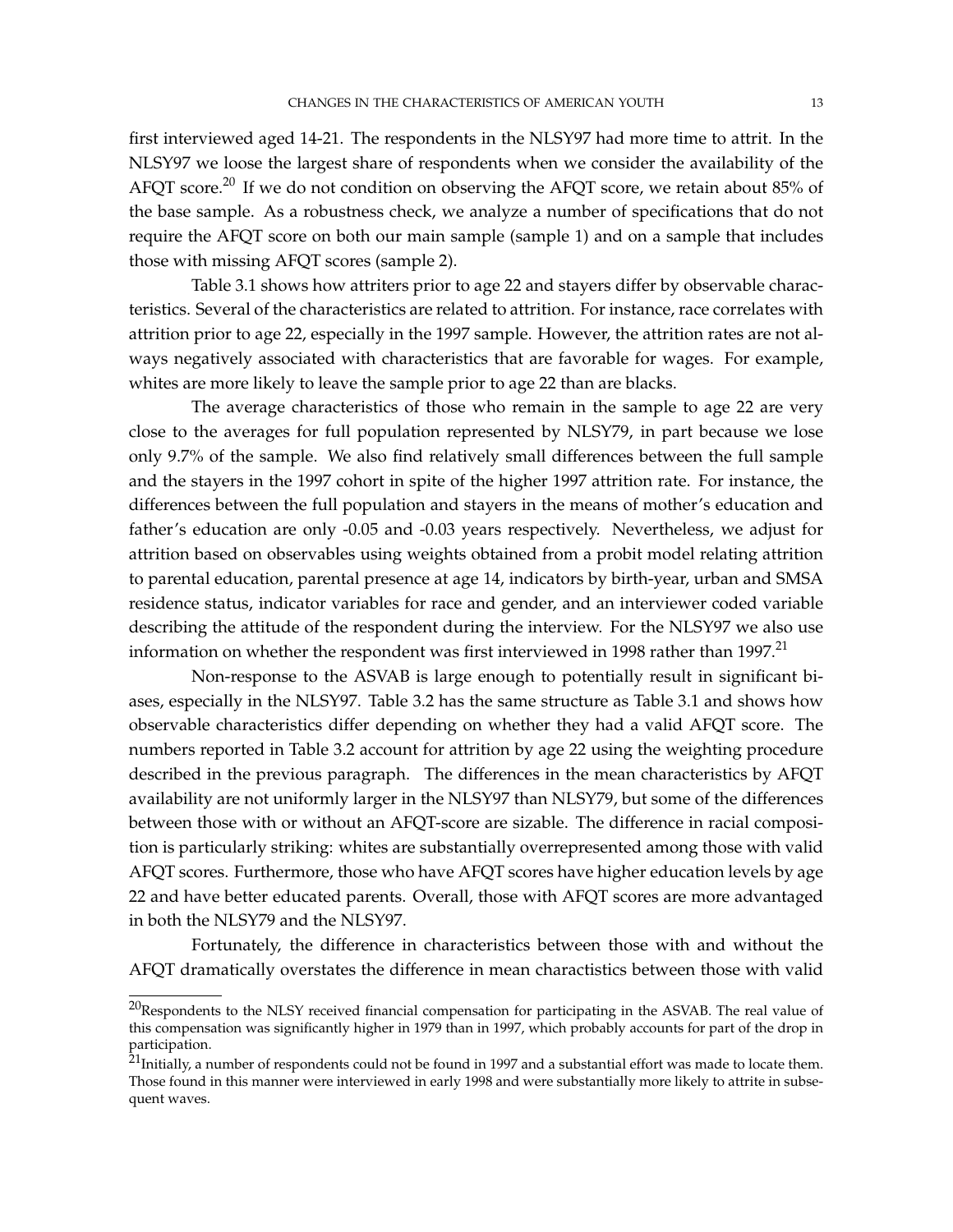first interviewed aged 14-21. The respondents in the NLSY97 had more time to attrit. In the NLSY97 we loose the largest share of respondents when we consider the availability of the AFQT score.<sup>20</sup> If we do not condition on observing the AFQT score, we retain about 85% of the base sample. As a robustness check, we analyze a number of specifications that do not require the AFQT score on both our main sample (sample 1) and on a sample that includes those with missing AFQT scores (sample 2).

Table 3.1 shows how attriters prior to age 22 and stayers differ by observable characteristics. Several of the characteristics are related to attrition. For instance, race correlates with attrition prior to age 22, especially in the 1997 sample. However, the attrition rates are not always negatively associated with characteristics that are favorable for wages. For example, whites are more likely to leave the sample prior to age 22 than are blacks.

The average characteristics of those who remain in the sample to age 22 are very close to the averages for full population represented by NLSY79, in part because we lose only 9.7% of the sample. We also find relatively small differences between the full sample and the stayers in the 1997 cohort in spite of the higher 1997 attrition rate. For instance, the differences between the full population and stayers in the means of mother's education and father's education are only -0.05 and -0.03 years respectively. Nevertheless, we adjust for attrition based on observables using weights obtained from a probit model relating attrition to parental education, parental presence at age 14, indicators by birth-year, urban and SMSA residence status, indicator variables for race and gender, and an interviewer coded variable describing the attitude of the respondent during the interview. For the NLSY97 we also use information on whether the respondent was first interviewed in 1998 rather than  $1997$ .<sup>21</sup>

Non-response to the ASVAB is large enough to potentially result in significant biases, especially in the NLSY97. Table 3.2 has the same structure as Table 3.1 and shows how observable characteristics differ depending on whether they had a valid AFQT score. The numbers reported in Table 3.2 account for attrition by age 22 using the weighting procedure described in the previous paragraph. The differences in the mean characteristics by AFQT availability are not uniformly larger in the NLSY97 than NLSY79, but some of the differences between those with or without an AFQT-score are sizable. The difference in racial composition is particularly striking: whites are substantially overrepresented among those with valid AFQT scores. Furthermore, those who have AFQT scores have higher education levels by age 22 and have better educated parents. Overall, those with AFQT scores are more advantaged in both the NLSY79 and the NLSY97.

Fortunately, the difference in characteristics between those with and without the AFQT dramatically overstates the difference in mean charactistics between those with valid

 $^{20}$ Respondents to the NLSY received financial compensation for participating in the ASVAB. The real value of this compensation was significantly higher in 1979 than in 1997, which probably accounts for part of the drop in participation.

 $^{21}$ Initially, a number of respondents could not be found in 1997 and a substantial effort was made to locate them. Those found in this manner were interviewed in early 1998 and were substantially more likely to attrite in subsequent waves.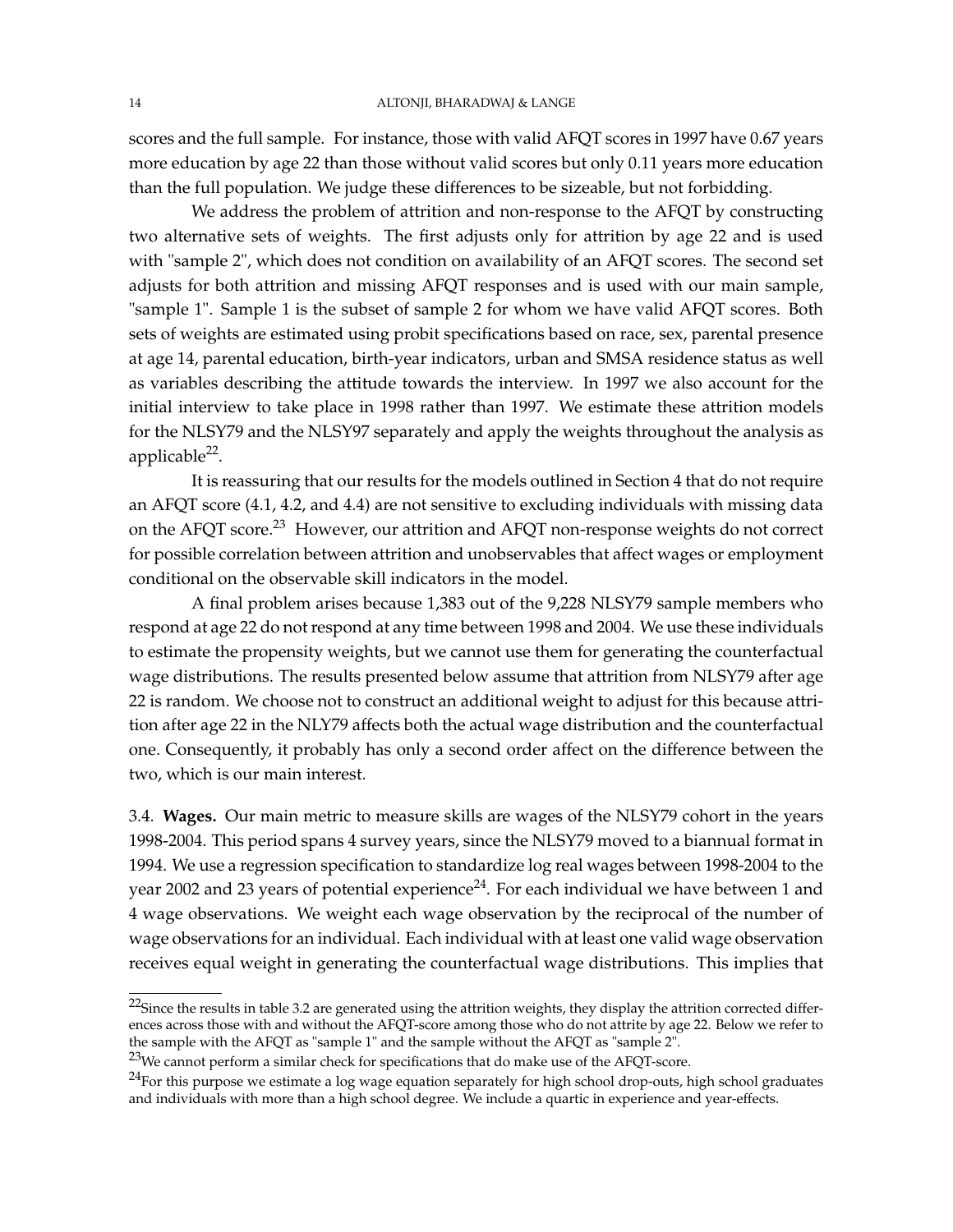scores and the full sample. For instance, those with valid AFQT scores in 1997 have 0.67 years more education by age 22 than those without valid scores but only 0.11 years more education than the full population. We judge these differences to be sizeable, but not forbidding.

We address the problem of attrition and non-response to the AFQT by constructing two alternative sets of weights. The first adjusts only for attrition by age 22 and is used with "sample 2", which does not condition on availability of an AFQT scores. The second set adjusts for both attrition and missing AFQT responses and is used with our main sample, "sample 1". Sample 1 is the subset of sample 2 for whom we have valid AFQT scores. Both sets of weights are estimated using probit specifications based on race, sex, parental presence at age 14, parental education, birth-year indicators, urban and SMSA residence status as well as variables describing the attitude towards the interview. In 1997 we also account for the initial interview to take place in 1998 rather than 1997. We estimate these attrition models for the NLSY79 and the NLSY97 separately and apply the weights throughout the analysis as applicable<sup>22</sup>.

It is reassuring that our results for the models outlined in Section 4 that do not require an AFQT score (4.1, 4.2, and 4.4) are not sensitive to excluding individuals with missing data on the AFQT score.<sup>23</sup> However, our attrition and AFQT non-response weights do not correct for possible correlation between attrition and unobservables that affect wages or employment conditional on the observable skill indicators in the model.

A final problem arises because 1,383 out of the 9,228 NLSY79 sample members who respond at age 22 do not respond at any time between 1998 and 2004. We use these individuals to estimate the propensity weights, but we cannot use them for generating the counterfactual wage distributions. The results presented below assume that attrition from NLSY79 after age 22 is random. We choose not to construct an additional weight to adjust for this because attrition after age 22 in the NLY79 affects both the actual wage distribution and the counterfactual one. Consequently, it probably has only a second order affect on the difference between the two, which is our main interest.

3.4. **Wages.** Our main metric to measure skills are wages of the NLSY79 cohort in the years 1998-2004. This period spans 4 survey years, since the NLSY79 moved to a biannual format in 1994. We use a regression specification to standardize log real wages between 1998-2004 to the year 2002 and 23 years of potential experience<sup>24</sup>. For each individual we have between 1 and 4 wage observations. We weight each wage observation by the reciprocal of the number of wage observations for an individual. Each individual with at least one valid wage observation receives equal weight in generating the counterfactual wage distributions. This implies that

 $22$ Since the results in table 3.2 are generated using the attrition weights, they display the attrition corrected differences across those with and without the AFQT-score among those who do not attrite by age 22. Below we refer to the sample with the AFQT as "sample 1" and the sample without the AFQT as "sample 2".

 $^{23}$ We cannot perform a similar check for specifications that do make use of the AFQT-score.

 $^{24}$ For this purpose we estimate a log wage equation separately for high school drop-outs, high school graduates and individuals with more than a high school degree. We include a quartic in experience and year-effects.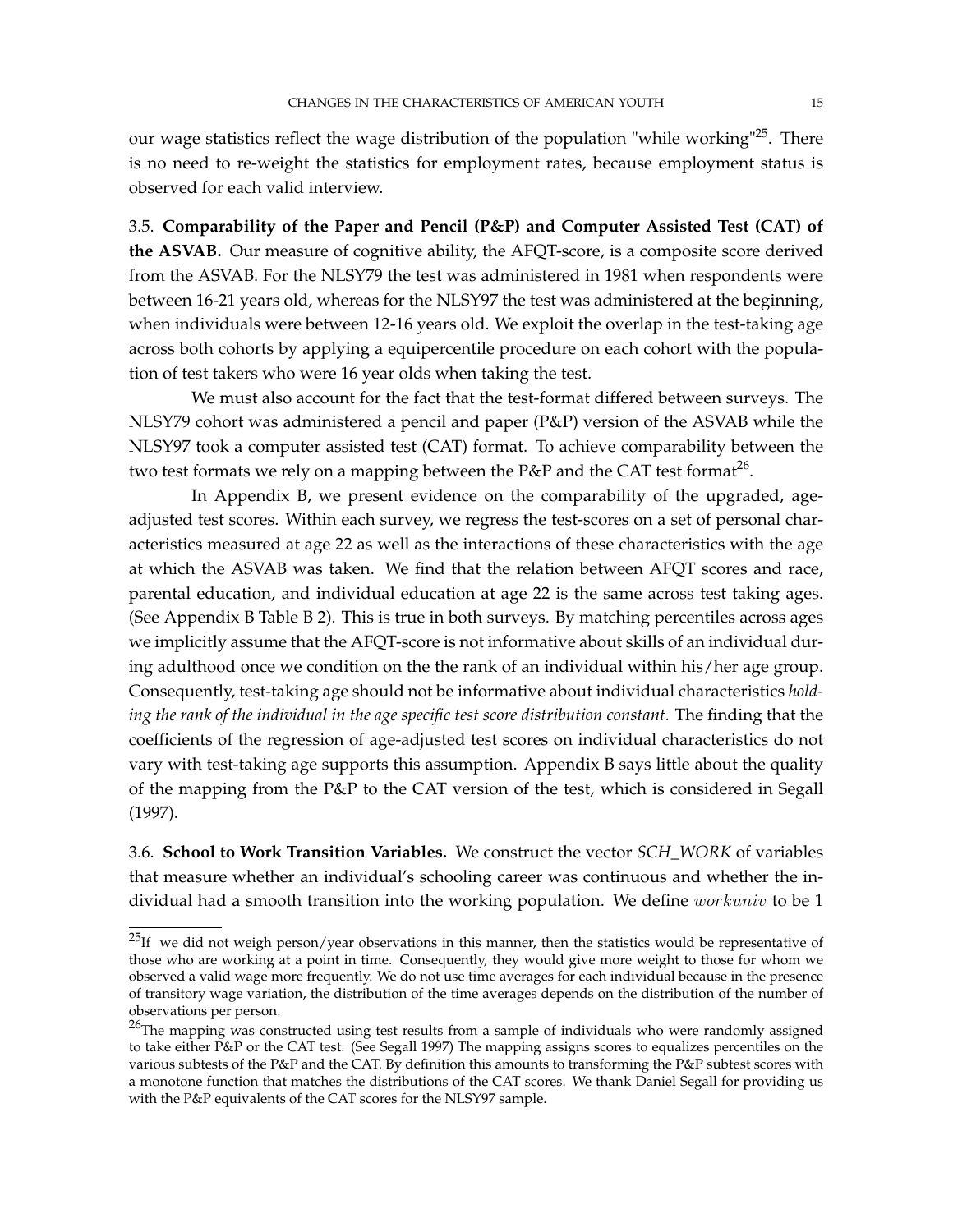our wage statistics reflect the wage distribution of the population "while working"<sup>25</sup>. There is no need to re-weight the statistics for employment rates, because employment status is observed for each valid interview.

3.5. **Comparability of the Paper and Pencil (P&P) and Computer Assisted Test (CAT) of the ASVAB.** Our measure of cognitive ability, the AFQT-score, is a composite score derived from the ASVAB. For the NLSY79 the test was administered in 1981 when respondents were between 16-21 years old, whereas for the NLSY97 the test was administered at the beginning, when individuals were between 12-16 years old. We exploit the overlap in the test-taking age across both cohorts by applying a equipercentile procedure on each cohort with the population of test takers who were 16 year olds when taking the test.

We must also account for the fact that the test-format differed between surveys. The NLSY79 cohort was administered a pencil and paper (P&P) version of the ASVAB while the NLSY97 took a computer assisted test (CAT) format. To achieve comparability between the two test formats we rely on a mapping between the P&P and the CAT test format $^{26}$ .

In Appendix B, we present evidence on the comparability of the upgraded, ageadjusted test scores. Within each survey, we regress the test-scores on a set of personal characteristics measured at age 22 as well as the interactions of these characteristics with the age at which the ASVAB was taken. We find that the relation between AFQT scores and race, parental education, and individual education at age 22 is the same across test taking ages. (See Appendix B Table B 2). This is true in both surveys. By matching percentiles across ages we implicitly assume that the AFQT-score is not informative about skills of an individual during adulthood once we condition on the the rank of an individual within his/her age group. Consequently, test-taking age should not be informative about individual characteristics *holding the rank of the individual in the age specific test score distribution constant.* The finding that the coefficients of the regression of age-adjusted test scores on individual characteristics do not vary with test-taking age supports this assumption. Appendix B says little about the quality of the mapping from the P&P to the CAT version of the test, which is considered in Segall (1997).

3.6. **School to Work Transition Variables.** We construct the vector *SCH\_WORK* of variables that measure whether an individual's schooling career was continuous and whether the individual had a smooth transition into the working population. We define *workuniv* to be 1

 $^{25}$ If we did not weigh person/year observations in this manner, then the statistics would be representative of those who are working at a point in time. Consequently, they would give more weight to those for whom we observed a valid wage more frequently. We do not use time averages for each individual because in the presence of transitory wage variation, the distribution of the time averages depends on the distribution of the number of observations per person.

<sup>&</sup>lt;sup>26</sup>The mapping was constructed using test results from a sample of individuals who were randomly assigned to take either P&P or the CAT test. (See Segall 1997) The mapping assigns scores to equalizes percentiles on the various subtests of the P&P and the CAT. By definition this amounts to transforming the P&P subtest scores with a monotone function that matches the distributions of the CAT scores. We thank Daniel Segall for providing us with the P&P equivalents of the CAT scores for the NLSY97 sample.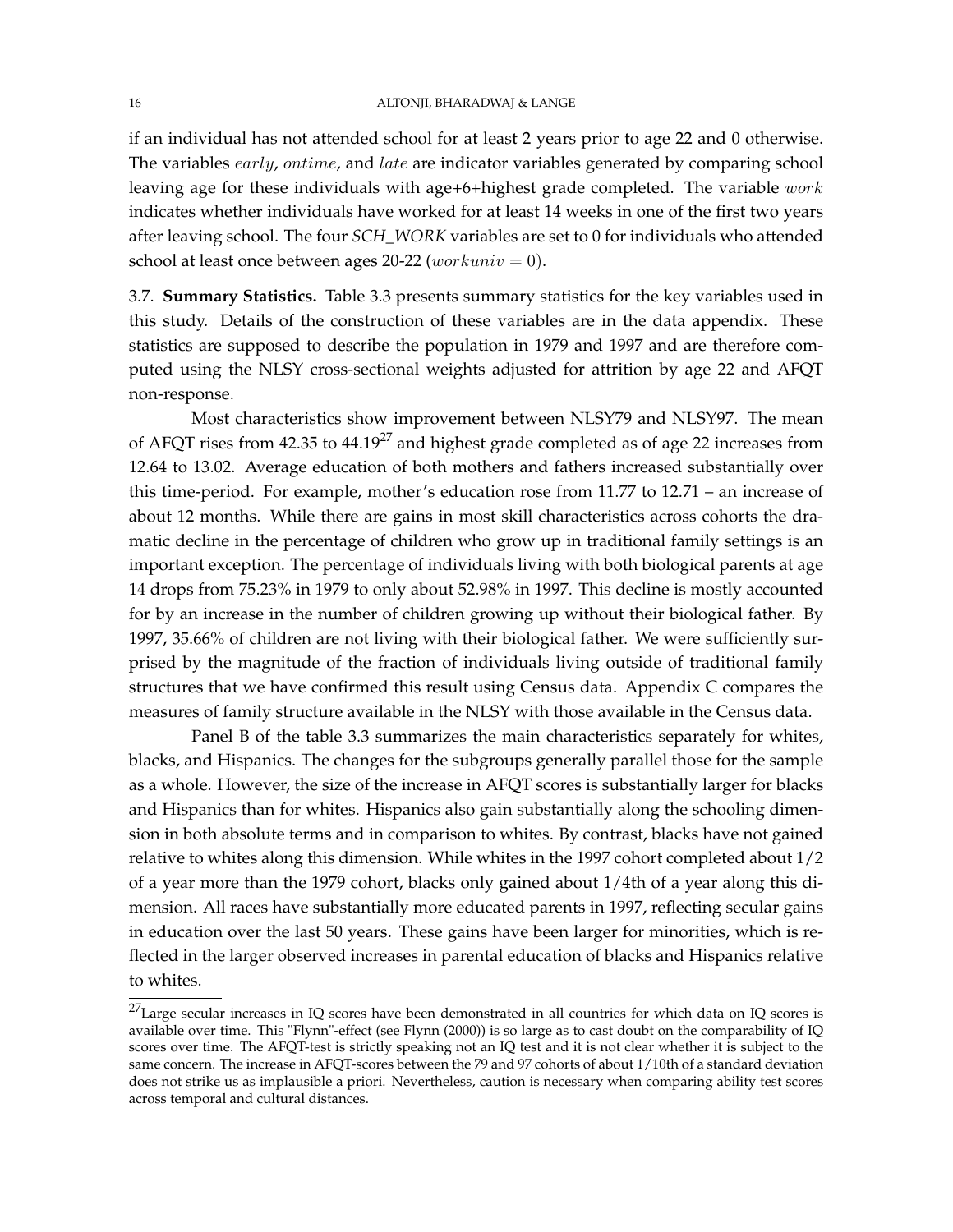if an individual has not attended school for at least 2 years prior to age 22 and 0 otherwise. The variables early, ontime, and late are indicator variables generated by comparing school leaving age for these individuals with age+6+highest grade completed. The variable work indicates whether individuals have worked for at least 14 weeks in one of the first two years after leaving school. The four *SCH\_WORK* variables are set to 0 for individuals who attended school at least once between ages 20-22 (*workuniv* = 0).

3.7. **Summary Statistics.** Table 3.3 presents summary statistics for the key variables used in this study. Details of the construction of these variables are in the data appendix. These statistics are supposed to describe the population in 1979 and 1997 and are therefore computed using the NLSY cross-sectional weights adjusted for attrition by age 22 and AFQT non-response.

Most characteristics show improvement between NLSY79 and NLSY97. The mean of AFQT rises from 42.35 to  $44.19^{27}$  and highest grade completed as of age 22 increases from 12.64 to 13.02. Average education of both mothers and fathers increased substantially over this time-period. For example, mother's education rose from 11.77 to 12.71 – an increase of about 12 months. While there are gains in most skill characteristics across cohorts the dramatic decline in the percentage of children who grow up in traditional family settings is an important exception. The percentage of individuals living with both biological parents at age 14 drops from 75.23% in 1979 to only about 52.98% in 1997. This decline is mostly accounted for by an increase in the number of children growing up without their biological father. By 1997, 35.66% of children are not living with their biological father. We were sufficiently surprised by the magnitude of the fraction of individuals living outside of traditional family structures that we have confirmed this result using Census data. Appendix C compares the measures of family structure available in the NLSY with those available in the Census data.

Panel B of the table 3.3 summarizes the main characteristics separately for whites, blacks, and Hispanics. The changes for the subgroups generally parallel those for the sample as a whole. However, the size of the increase in AFQT scores is substantially larger for blacks and Hispanics than for whites. Hispanics also gain substantially along the schooling dimension in both absolute terms and in comparison to whites. By contrast, blacks have not gained relative to whites along this dimension. While whites in the 1997 cohort completed about 1/2 of a year more than the 1979 cohort, blacks only gained about 1/4th of a year along this dimension. All races have substantially more educated parents in 1997, reflecting secular gains in education over the last 50 years. These gains have been larger for minorities, which is reflected in the larger observed increases in parental education of blacks and Hispanics relative to whites.

 $27$ Large secular increases in IQ scores have been demonstrated in all countries for which data on IQ scores is available over time. This "Flynn"-effect (see Flynn (2000)) is so large as to cast doubt on the comparability of IQ scores over time. The AFQT-test is strictly speaking not an IQ test and it is not clear whether it is subject to the same concern. The increase in AFQT-scores between the 79 and 97 cohorts of about 1/10th of a standard deviation does not strike us as implausible a priori. Nevertheless, caution is necessary when comparing ability test scores across temporal and cultural distances.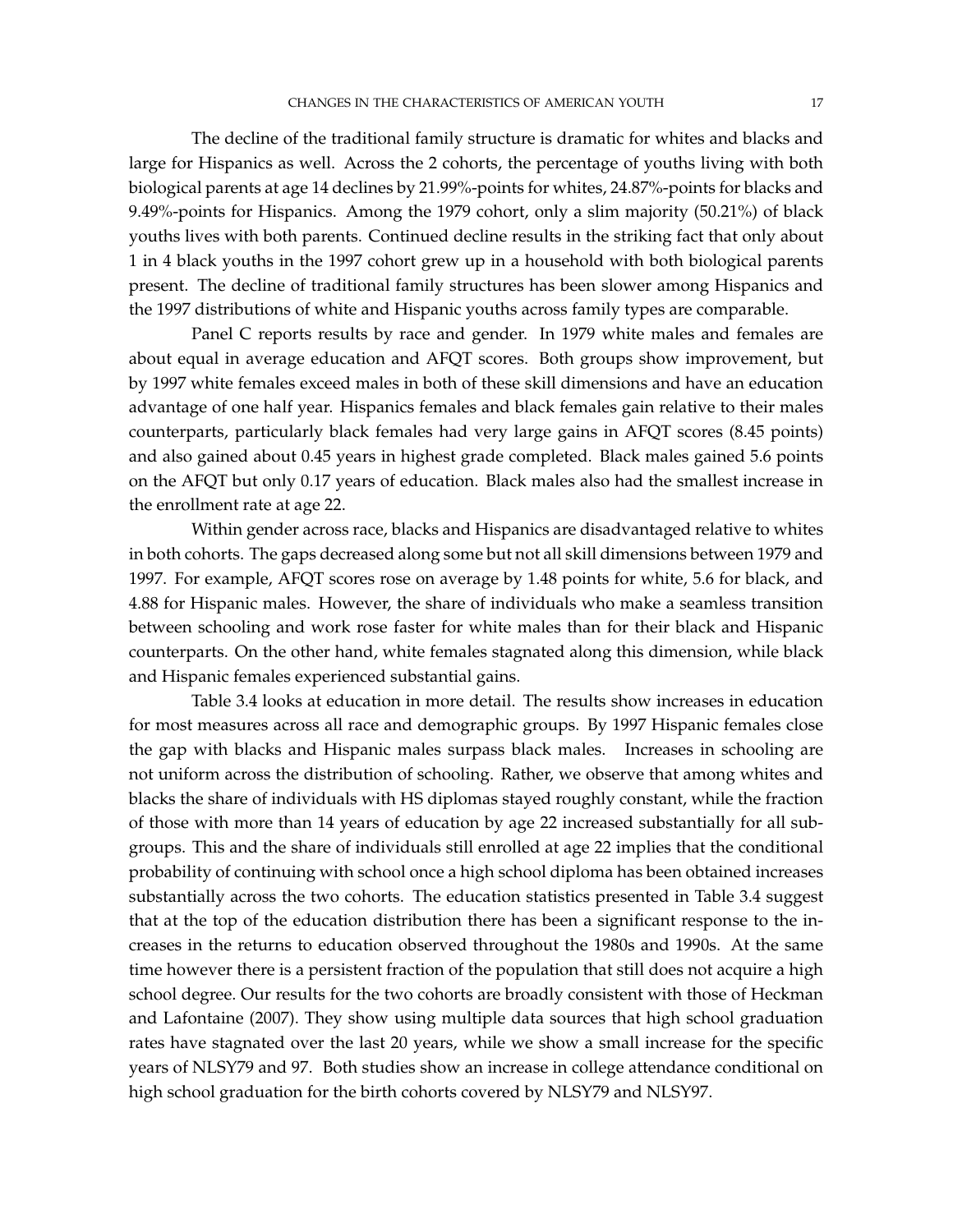The decline of the traditional family structure is dramatic for whites and blacks and large for Hispanics as well. Across the 2 cohorts, the percentage of youths living with both biological parents at age 14 declines by 21.99%-points for whites, 24.87%-points for blacks and 9.49%-points for Hispanics. Among the 1979 cohort, only a slim majority (50.21%) of black youths lives with both parents. Continued decline results in the striking fact that only about 1 in 4 black youths in the 1997 cohort grew up in a household with both biological parents present. The decline of traditional family structures has been slower among Hispanics and the 1997 distributions of white and Hispanic youths across family types are comparable.

Panel C reports results by race and gender. In 1979 white males and females are about equal in average education and AFQT scores. Both groups show improvement, but by 1997 white females exceed males in both of these skill dimensions and have an education advantage of one half year. Hispanics females and black females gain relative to their males counterparts, particularly black females had very large gains in AFQT scores (8.45 points) and also gained about 0.45 years in highest grade completed. Black males gained 5.6 points on the AFQT but only 0.17 years of education. Black males also had the smallest increase in the enrollment rate at age 22.

Within gender across race, blacks and Hispanics are disadvantaged relative to whites in both cohorts. The gaps decreased along some but not all skill dimensions between 1979 and 1997. For example, AFQT scores rose on average by 1.48 points for white, 5.6 for black, and 4.88 for Hispanic males. However, the share of individuals who make a seamless transition between schooling and work rose faster for white males than for their black and Hispanic counterparts. On the other hand, white females stagnated along this dimension, while black and Hispanic females experienced substantial gains.

Table 3.4 looks at education in more detail. The results show increases in education for most measures across all race and demographic groups. By 1997 Hispanic females close the gap with blacks and Hispanic males surpass black males. Increases in schooling are not uniform across the distribution of schooling. Rather, we observe that among whites and blacks the share of individuals with HS diplomas stayed roughly constant, while the fraction of those with more than 14 years of education by age 22 increased substantially for all subgroups. This and the share of individuals still enrolled at age 22 implies that the conditional probability of continuing with school once a high school diploma has been obtained increases substantially across the two cohorts. The education statistics presented in Table 3.4 suggest that at the top of the education distribution there has been a significant response to the increases in the returns to education observed throughout the 1980s and 1990s. At the same time however there is a persistent fraction of the population that still does not acquire a high school degree. Our results for the two cohorts are broadly consistent with those of Heckman and Lafontaine (2007). They show using multiple data sources that high school graduation rates have stagnated over the last 20 years, while we show a small increase for the specific years of NLSY79 and 97. Both studies show an increase in college attendance conditional on high school graduation for the birth cohorts covered by NLSY79 and NLSY97.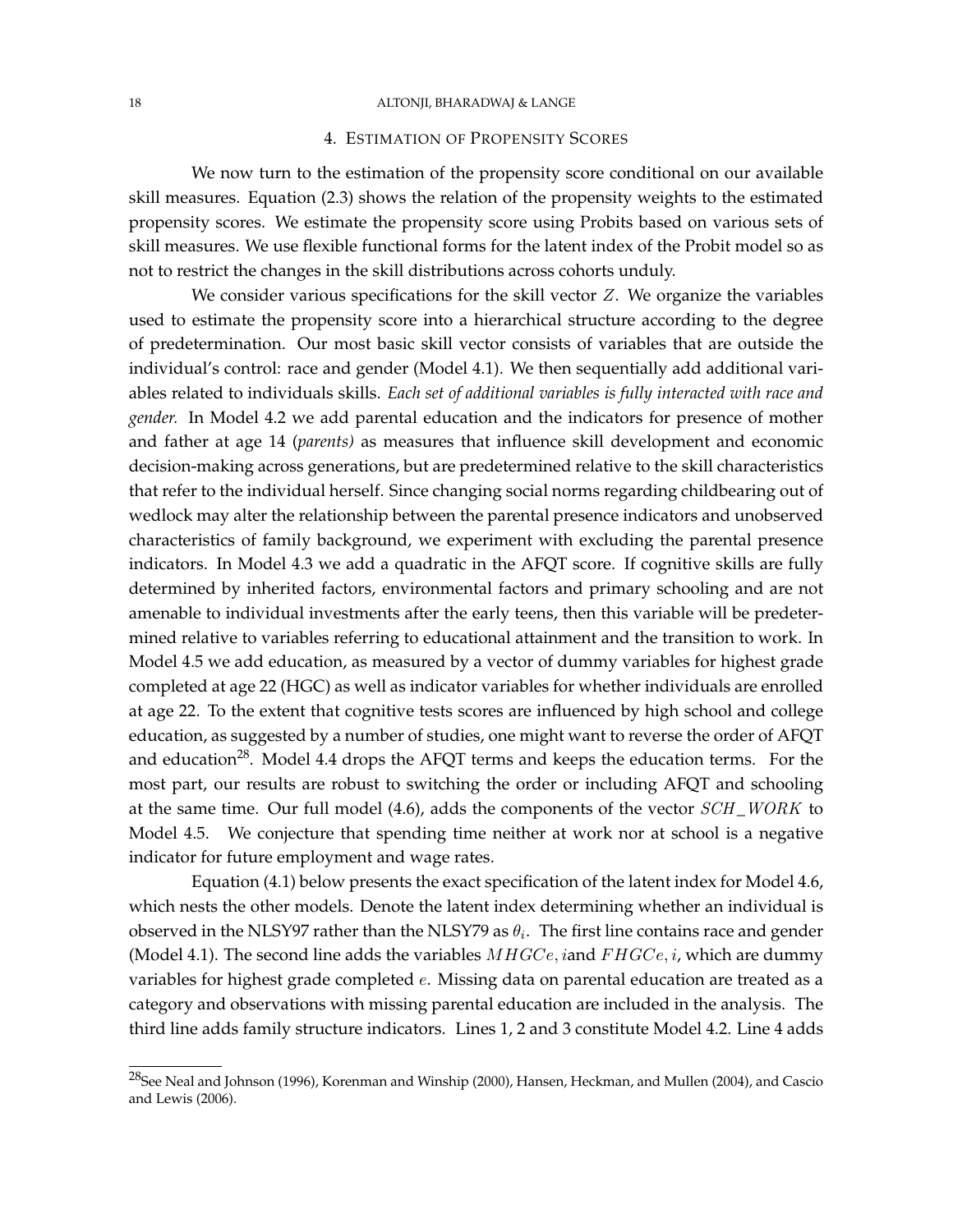### 18 ALTONJI, BHARADWAJ & LANGE

# 4. ESTIMATION OF PROPENSITY SCORES

We now turn to the estimation of the propensity score conditional on our available skill measures. Equation (2.3) shows the relation of the propensity weights to the estimated propensity scores. We estimate the propensity score using Probits based on various sets of skill measures. We use flexible functional forms for the latent index of the Probit model so as not to restrict the changes in the skill distributions across cohorts unduly.

We consider various specifications for the skill vector  $Z$ . We organize the variables used to estimate the propensity score into a hierarchical structure according to the degree of predetermination. Our most basic skill vector consists of variables that are outside the individual's control: race and gender (Model 4.1). We then sequentially add additional variables related to individuals skills. *Each set of additional variables is fully interacted with race and gender.* In Model 4.2 we add parental education and the indicators for presence of mother and father at age 14 (*parents)* as measures that influence skill development and economic decision-making across generations, but are predetermined relative to the skill characteristics that refer to the individual herself. Since changing social norms regarding childbearing out of wedlock may alter the relationship between the parental presence indicators and unobserved characteristics of family background, we experiment with excluding the parental presence indicators. In Model 4.3 we add a quadratic in the AFQT score. If cognitive skills are fully determined by inherited factors, environmental factors and primary schooling and are not amenable to individual investments after the early teens, then this variable will be predetermined relative to variables referring to educational attainment and the transition to work. In Model 4.5 we add education, as measured by a vector of dummy variables for highest grade completed at age 22 (HGC) as well as indicator variables for whether individuals are enrolled at age 22. To the extent that cognitive tests scores are influenced by high school and college education, as suggested by a number of studies, one might want to reverse the order of AFQT and education<sup>28</sup>. Model 4.4 drops the AFQT terms and keeps the education terms. For the most part, our results are robust to switching the order or including AFQT and schooling at the same time. Our full model  $(4.6)$ , adds the components of the vector  $SCH_{W}ORK$  to Model 4.5. We conjecture that spending time neither at work nor at school is a negative indicator for future employment and wage rates.

Equation (4.1) below presents the exact specification of the latent index for Model 4.6, which nests the other models. Denote the latent index determining whether an individual is observed in the NLSY97 rather than the NLSY79 as  $\theta_i$ . The first line contains race and gender (Model 4.1). The second line adds the variables  $MHGCe$ , iand  $FHGCe$ , i, which are dummy variables for highest grade completed e. Missing data on parental education are treated as a category and observations with missing parental education are included in the analysis. The third line adds family structure indicators. Lines 1, 2 and 3 constitute Model 4.2. Line 4 adds

<sup>&</sup>lt;sup>28</sup>See Neal and Johnson (1996), Korenman and Winship (2000), Hansen, Heckman, and Mullen (2004), and Cascio and Lewis (2006).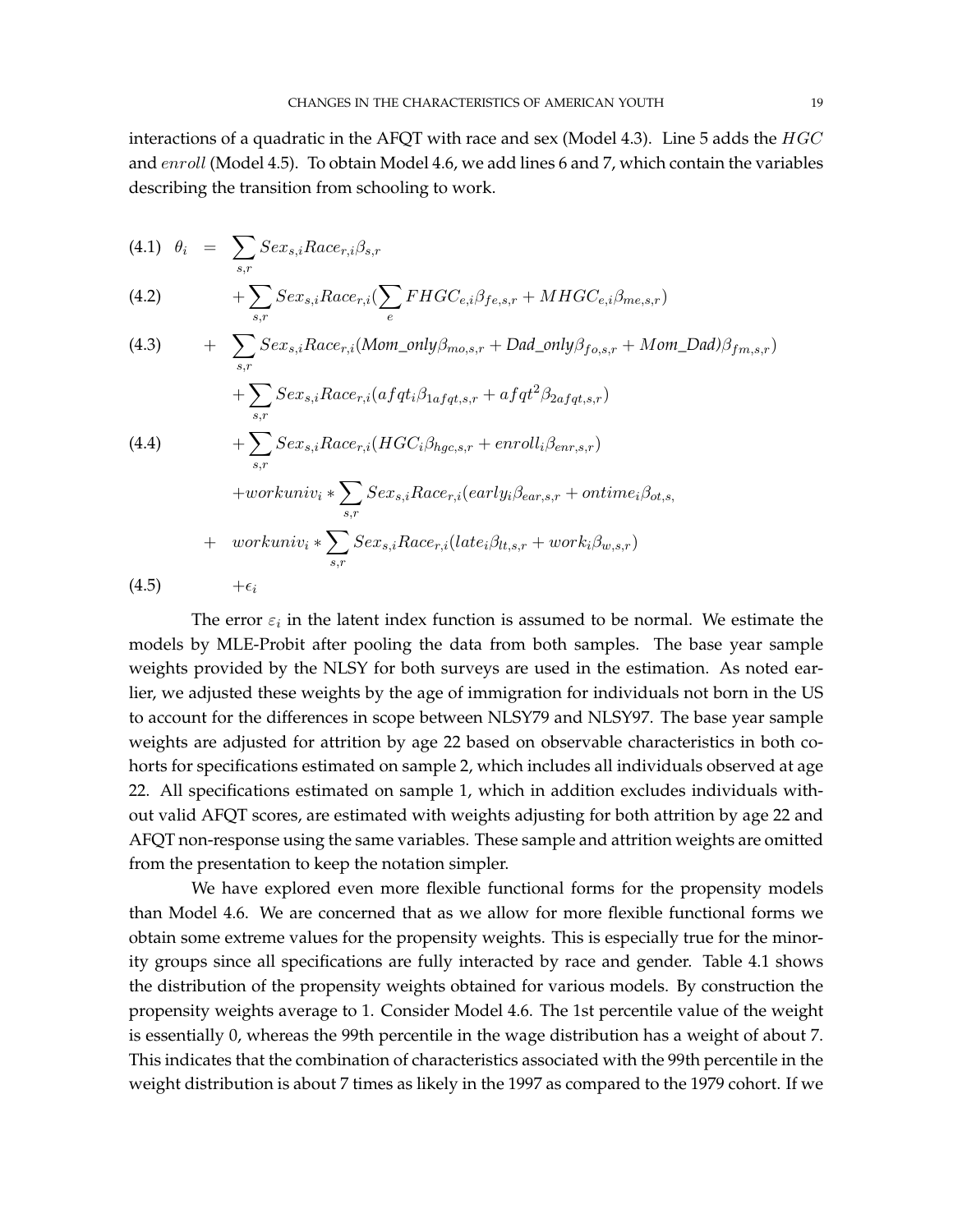interactions of a quadratic in the AFQT with race and sex (Model 4.3). Line 5 adds the  $HGC$ and enroll (Model 4.5). To obtain Model 4.6, we add lines 6 and 7, which contain the variables describing the transition from schooling to work.

(4.1) 
$$
\theta_i = \sum_{s,r} Sex_{s,i} Race_{r,i}\beta_{s,r}
$$
  
(4.2) 
$$
+ \sum Sex_{s,i} Race_{r,i}(\sum FHGC_{e,i}\beta_{fe,s,r} + MHGC_{e,i}\beta_{me,s,r})
$$

e

s,r

(4.3) 
$$
+ \sum_{s,r} Sex_{s,i}Race_{r,i}(Mom\_only\beta_{mo,s,r} + Dad\_only\beta_{fo,s,r} + Mom\_Dad)\beta_{fm,s,r})
$$

$$
+ \sum_{s,r} Sex_{s,i}Race_{r,i}(afqt_i\beta_{1afqt,s,r} + afqt^2\beta_{2afqt,s,r})
$$

$$
+ \sum_{s,r} Sex_{s,i}Race_{r,i}(HGC_i\beta_{hgc,s,r} + envoli_i\beta_{enr,s,r})
$$

$$
+ workuniv_i * \sum_{s,r} Sex_{s,i}Race_{r,i}(early_i\beta_{ear,s,r} + ontime_i\beta_{ot,s,})
$$

$$
+ workuniv_i * \sum_{s,r} Sex_{s,i}Race_{r,i}(late_i\beta_{lt,s,r} + work_i\beta_{w,s,r})
$$

$$
(4.5) + \epsilon_i
$$

The error  $\varepsilon_i$  in the latent index function is assumed to be normal. We estimate the models by MLE-Probit after pooling the data from both samples. The base year sample weights provided by the NLSY for both surveys are used in the estimation. As noted earlier, we adjusted these weights by the age of immigration for individuals not born in the US to account for the differences in scope between NLSY79 and NLSY97. The base year sample weights are adjusted for attrition by age 22 based on observable characteristics in both cohorts for specifications estimated on sample 2, which includes all individuals observed at age 22. All specifications estimated on sample 1, which in addition excludes individuals without valid AFQT scores, are estimated with weights adjusting for both attrition by age 22 and AFQT non-response using the same variables. These sample and attrition weights are omitted from the presentation to keep the notation simpler.

We have explored even more flexible functional forms for the propensity models than Model 4.6. We are concerned that as we allow for more flexible functional forms we obtain some extreme values for the propensity weights. This is especially true for the minority groups since all specifications are fully interacted by race and gender. Table 4.1 shows the distribution of the propensity weights obtained for various models. By construction the propensity weights average to 1. Consider Model 4.6. The 1st percentile value of the weight is essentially 0, whereas the 99th percentile in the wage distribution has a weight of about 7. This indicates that the combination of characteristics associated with the 99th percentile in the weight distribution is about 7 times as likely in the 1997 as compared to the 1979 cohort. If we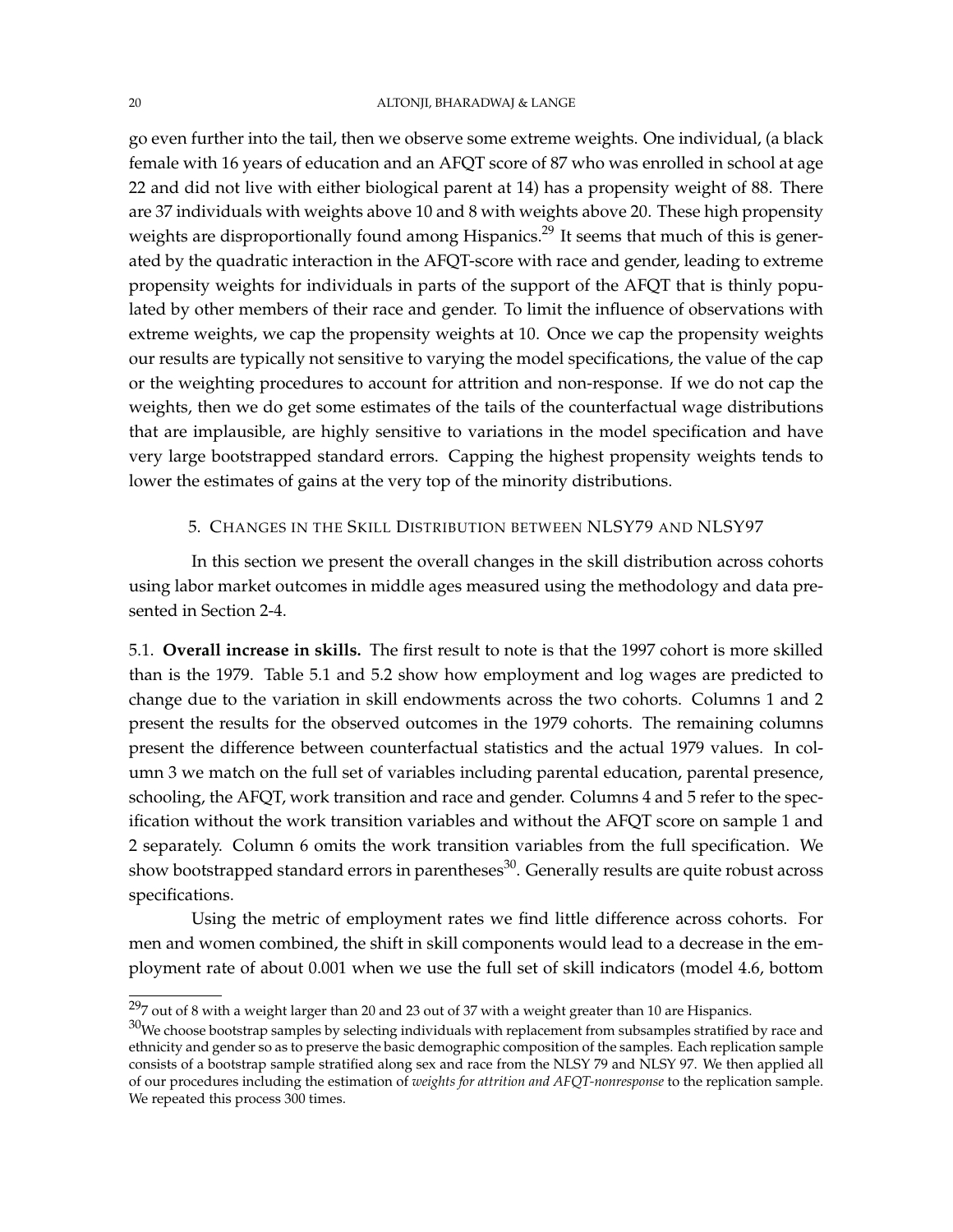go even further into the tail, then we observe some extreme weights. One individual, (a black female with 16 years of education and an AFQT score of 87 who was enrolled in school at age 22 and did not live with either biological parent at 14) has a propensity weight of 88. There are 37 individuals with weights above 10 and 8 with weights above 20. These high propensity weights are disproportionally found among Hispanics.<sup>29</sup> It seems that much of this is generated by the quadratic interaction in the AFQT-score with race and gender, leading to extreme propensity weights for individuals in parts of the support of the AFQT that is thinly populated by other members of their race and gender. To limit the influence of observations with extreme weights, we cap the propensity weights at 10. Once we cap the propensity weights our results are typically not sensitive to varying the model specifications, the value of the cap or the weighting procedures to account for attrition and non-response. If we do not cap the weights, then we do get some estimates of the tails of the counterfactual wage distributions that are implausible, are highly sensitive to variations in the model specification and have very large bootstrapped standard errors. Capping the highest propensity weights tends to lower the estimates of gains at the very top of the minority distributions.

# 5. CHANGES IN THE SKILL DISTRIBUTION BETWEEN NLSY79 AND NLSY97

In this section we present the overall changes in the skill distribution across cohorts using labor market outcomes in middle ages measured using the methodology and data presented in Section 2-4.

5.1. **Overall increase in skills.** The first result to note is that the 1997 cohort is more skilled than is the 1979. Table 5.1 and 5.2 show how employment and log wages are predicted to change due to the variation in skill endowments across the two cohorts. Columns 1 and 2 present the results for the observed outcomes in the 1979 cohorts. The remaining columns present the difference between counterfactual statistics and the actual 1979 values. In column 3 we match on the full set of variables including parental education, parental presence, schooling, the AFQT, work transition and race and gender. Columns 4 and 5 refer to the specification without the work transition variables and without the AFQT score on sample 1 and 2 separately. Column 6 omits the work transition variables from the full specification. We show bootstrapped standard errors in parentheses<sup>30</sup>. Generally results are quite robust across specifications.

Using the metric of employment rates we find little difference across cohorts. For men and women combined, the shift in skill components would lead to a decrease in the employment rate of about 0.001 when we use the full set of skill indicators (model 4.6, bottom

 $297$  out of 8 with a weight larger than 20 and 23 out of 37 with a weight greater than 10 are Hispanics.

 $30$ We choose bootstrap samples by selecting individuals with replacement from subsamples stratified by race and ethnicity and gender so as to preserve the basic demographic composition of the samples. Each replication sample consists of a bootstrap sample stratified along sex and race from the NLSY 79 and NLSY 97. We then applied all of our procedures including the estimation of *weights for attrition and AFQT-nonresponse* to the replication sample. We repeated this process 300 times.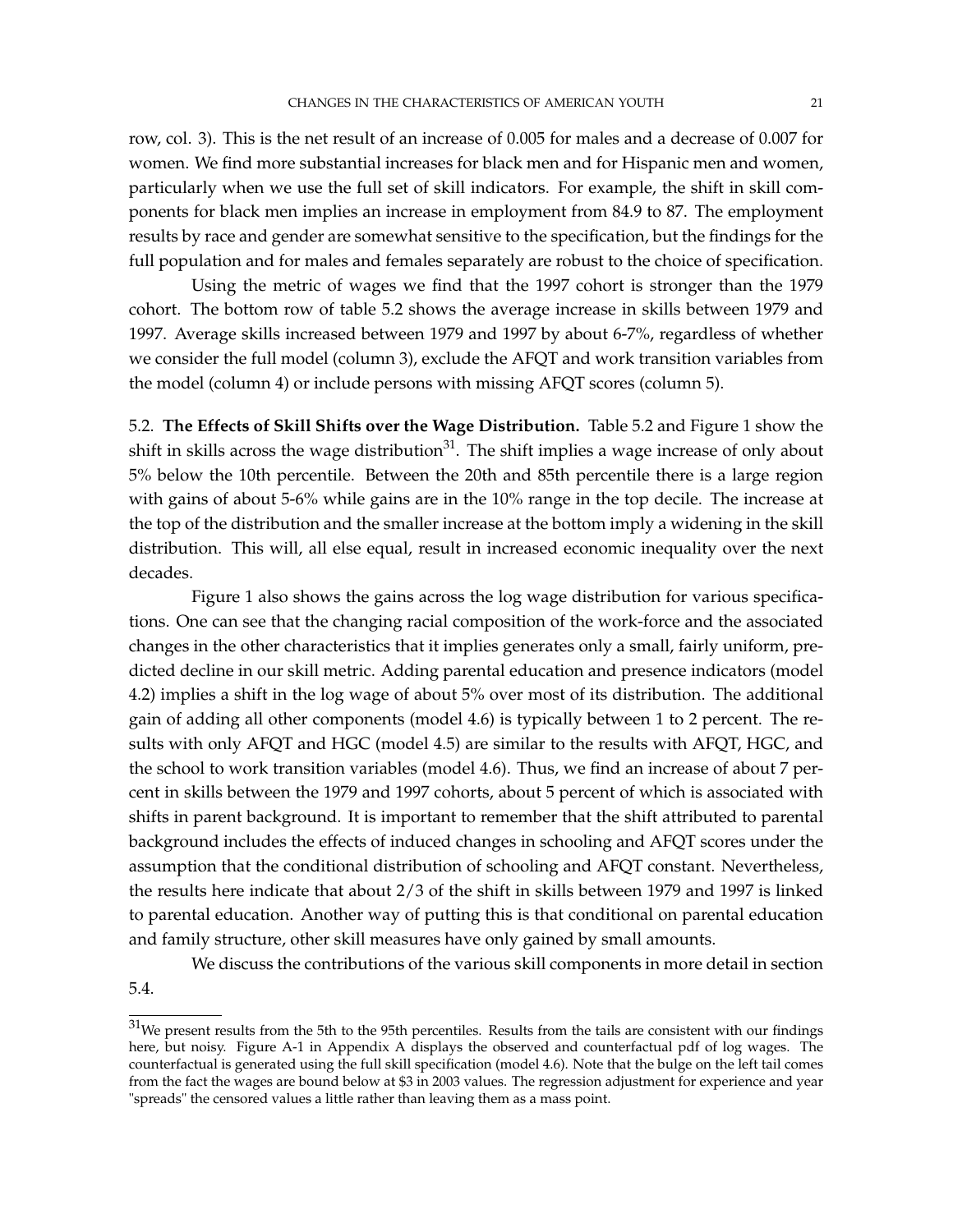row, col. 3). This is the net result of an increase of 0.005 for males and a decrease of 0.007 for women. We find more substantial increases for black men and for Hispanic men and women, particularly when we use the full set of skill indicators. For example, the shift in skill components for black men implies an increase in employment from 84.9 to 87. The employment results by race and gender are somewhat sensitive to the specification, but the findings for the full population and for males and females separately are robust to the choice of specification.

Using the metric of wages we find that the 1997 cohort is stronger than the 1979 cohort. The bottom row of table 5.2 shows the average increase in skills between 1979 and 1997. Average skills increased between 1979 and 1997 by about 6-7%, regardless of whether we consider the full model (column 3), exclude the AFQT and work transition variables from the model (column 4) or include persons with missing AFQT scores (column 5).

5.2. **The Effects of Skill Shifts over the Wage Distribution.** Table 5.2 and Figure 1 show the shift in skills across the wage distribution<sup>31</sup>. The shift implies a wage increase of only about 5% below the 10th percentile. Between the 20th and 85th percentile there is a large region with gains of about 5-6% while gains are in the 10% range in the top decile. The increase at the top of the distribution and the smaller increase at the bottom imply a widening in the skill distribution. This will, all else equal, result in increased economic inequality over the next decades.

Figure 1 also shows the gains across the log wage distribution for various specifications. One can see that the changing racial composition of the work-force and the associated changes in the other characteristics that it implies generates only a small, fairly uniform, predicted decline in our skill metric. Adding parental education and presence indicators (model 4.2) implies a shift in the log wage of about 5% over most of its distribution. The additional gain of adding all other components (model 4.6) is typically between 1 to 2 percent. The results with only AFQT and HGC (model 4.5) are similar to the results with AFQT, HGC, and the school to work transition variables (model 4.6). Thus, we find an increase of about 7 percent in skills between the 1979 and 1997 cohorts, about 5 percent of which is associated with shifts in parent background. It is important to remember that the shift attributed to parental background includes the effects of induced changes in schooling and AFQT scores under the assumption that the conditional distribution of schooling and AFQT constant. Nevertheless, the results here indicate that about 2/3 of the shift in skills between 1979 and 1997 is linked to parental education. Another way of putting this is that conditional on parental education and family structure, other skill measures have only gained by small amounts.

We discuss the contributions of the various skill components in more detail in section

5.4.

 $31$ We present results from the 5th to the 95th percentiles. Results from the tails are consistent with our findings here, but noisy. Figure A-1 in Appendix A displays the observed and counterfactual pdf of log wages. The counterfactual is generated using the full skill specification (model 4.6). Note that the bulge on the left tail comes from the fact the wages are bound below at \$3 in 2003 values. The regression adjustment for experience and year "spreads" the censored values a little rather than leaving them as a mass point.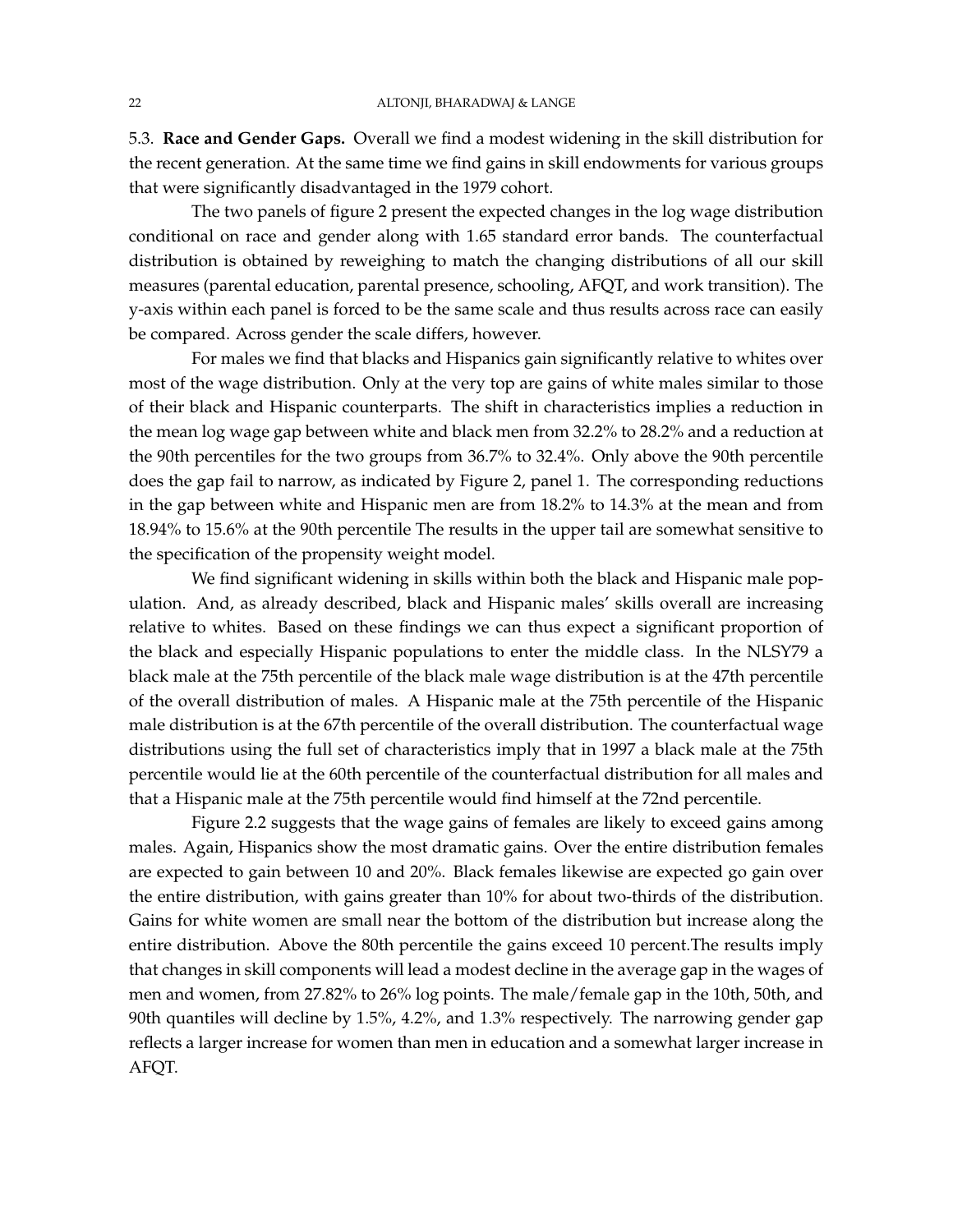5.3. **Race and Gender Gaps.** Overall we find a modest widening in the skill distribution for the recent generation. At the same time we find gains in skill endowments for various groups that were significantly disadvantaged in the 1979 cohort.

The two panels of figure 2 present the expected changes in the log wage distribution conditional on race and gender along with 1.65 standard error bands. The counterfactual distribution is obtained by reweighing to match the changing distributions of all our skill measures (parental education, parental presence, schooling, AFQT, and work transition). The y-axis within each panel is forced to be the same scale and thus results across race can easily be compared. Across gender the scale differs, however.

For males we find that blacks and Hispanics gain significantly relative to whites over most of the wage distribution. Only at the very top are gains of white males similar to those of their black and Hispanic counterparts. The shift in characteristics implies a reduction in the mean log wage gap between white and black men from 32.2% to 28.2% and a reduction at the 90th percentiles for the two groups from 36.7% to 32.4%. Only above the 90th percentile does the gap fail to narrow, as indicated by Figure 2, panel 1. The corresponding reductions in the gap between white and Hispanic men are from 18.2% to 14.3% at the mean and from 18.94% to 15.6% at the 90th percentile The results in the upper tail are somewhat sensitive to the specification of the propensity weight model.

We find significant widening in skills within both the black and Hispanic male population. And, as already described, black and Hispanic males' skills overall are increasing relative to whites. Based on these findings we can thus expect a significant proportion of the black and especially Hispanic populations to enter the middle class. In the NLSY79 a black male at the 75th percentile of the black male wage distribution is at the 47th percentile of the overall distribution of males. A Hispanic male at the 75th percentile of the Hispanic male distribution is at the 67th percentile of the overall distribution. The counterfactual wage distributions using the full set of characteristics imply that in 1997 a black male at the 75th percentile would lie at the 60th percentile of the counterfactual distribution for all males and that a Hispanic male at the 75th percentile would find himself at the 72nd percentile.

Figure 2.2 suggests that the wage gains of females are likely to exceed gains among males. Again, Hispanics show the most dramatic gains. Over the entire distribution females are expected to gain between 10 and 20%. Black females likewise are expected go gain over the entire distribution, with gains greater than 10% for about two-thirds of the distribution. Gains for white women are small near the bottom of the distribution but increase along the entire distribution. Above the 80th percentile the gains exceed 10 percent.The results imply that changes in skill components will lead a modest decline in the average gap in the wages of men and women, from 27.82% to 26% log points. The male/female gap in the 10th, 50th, and 90th quantiles will decline by 1.5%, 4.2%, and 1.3% respectively. The narrowing gender gap reflects a larger increase for women than men in education and a somewhat larger increase in AFQT.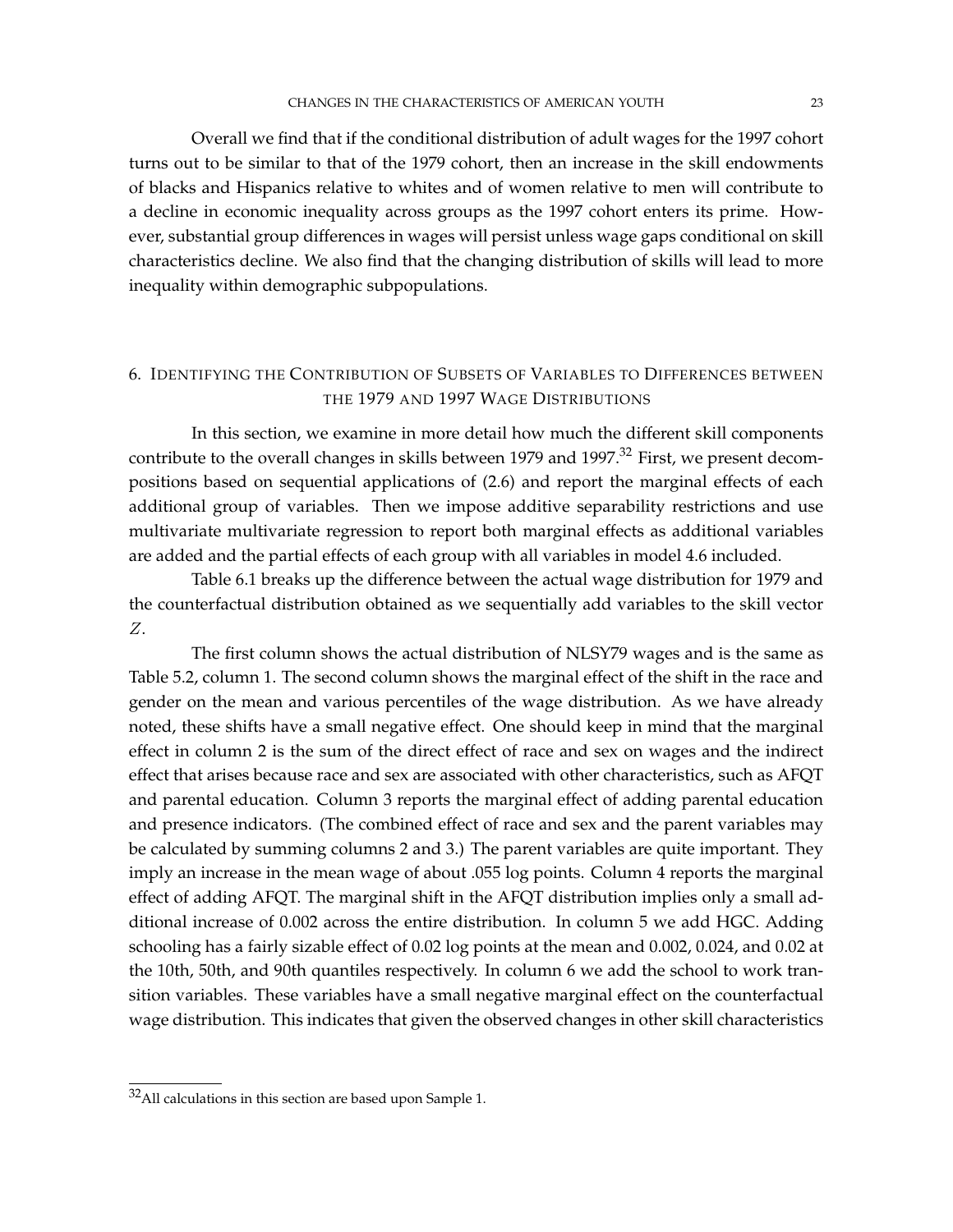Overall we find that if the conditional distribution of adult wages for the 1997 cohort turns out to be similar to that of the 1979 cohort, then an increase in the skill endowments of blacks and Hispanics relative to whites and of women relative to men will contribute to a decline in economic inequality across groups as the 1997 cohort enters its prime. However, substantial group differences in wages will persist unless wage gaps conditional on skill characteristics decline. We also find that the changing distribution of skills will lead to more inequality within demographic subpopulations.

# 6. IDENTIFYING THE CONTRIBUTION OF SUBSETS OF VARIABLES TO DIFFERENCES BETWEEN THE 1979 AND 1997 WAGE DISTRIBUTIONS

In this section, we examine in more detail how much the different skill components contribute to the overall changes in skills between 1979 and 1997.<sup>32</sup> First, we present decompositions based on sequential applications of (2.6) and report the marginal effects of each additional group of variables. Then we impose additive separability restrictions and use multivariate multivariate regression to report both marginal effects as additional variables are added and the partial effects of each group with all variables in model 4.6 included.

Table 6.1 breaks up the difference between the actual wage distribution for 1979 and the counterfactual distribution obtained as we sequentially add variables to the skill vector Z.

The first column shows the actual distribution of NLSY79 wages and is the same as Table 5.2, column 1. The second column shows the marginal effect of the shift in the race and gender on the mean and various percentiles of the wage distribution. As we have already noted, these shifts have a small negative effect. One should keep in mind that the marginal effect in column 2 is the sum of the direct effect of race and sex on wages and the indirect effect that arises because race and sex are associated with other characteristics, such as AFQT and parental education. Column 3 reports the marginal effect of adding parental education and presence indicators. (The combined effect of race and sex and the parent variables may be calculated by summing columns 2 and 3.) The parent variables are quite important. They imply an increase in the mean wage of about .055 log points. Column 4 reports the marginal effect of adding AFQT. The marginal shift in the AFQT distribution implies only a small additional increase of 0.002 across the entire distribution. In column 5 we add HGC. Adding schooling has a fairly sizable effect of 0.02 log points at the mean and 0.002, 0.024, and 0.02 at the 10th, 50th, and 90th quantiles respectively. In column 6 we add the school to work transition variables. These variables have a small negative marginal effect on the counterfactual wage distribution. This indicates that given the observed changes in other skill characteristics

<sup>&</sup>lt;sup>32</sup>All calculations in this section are based upon Sample 1.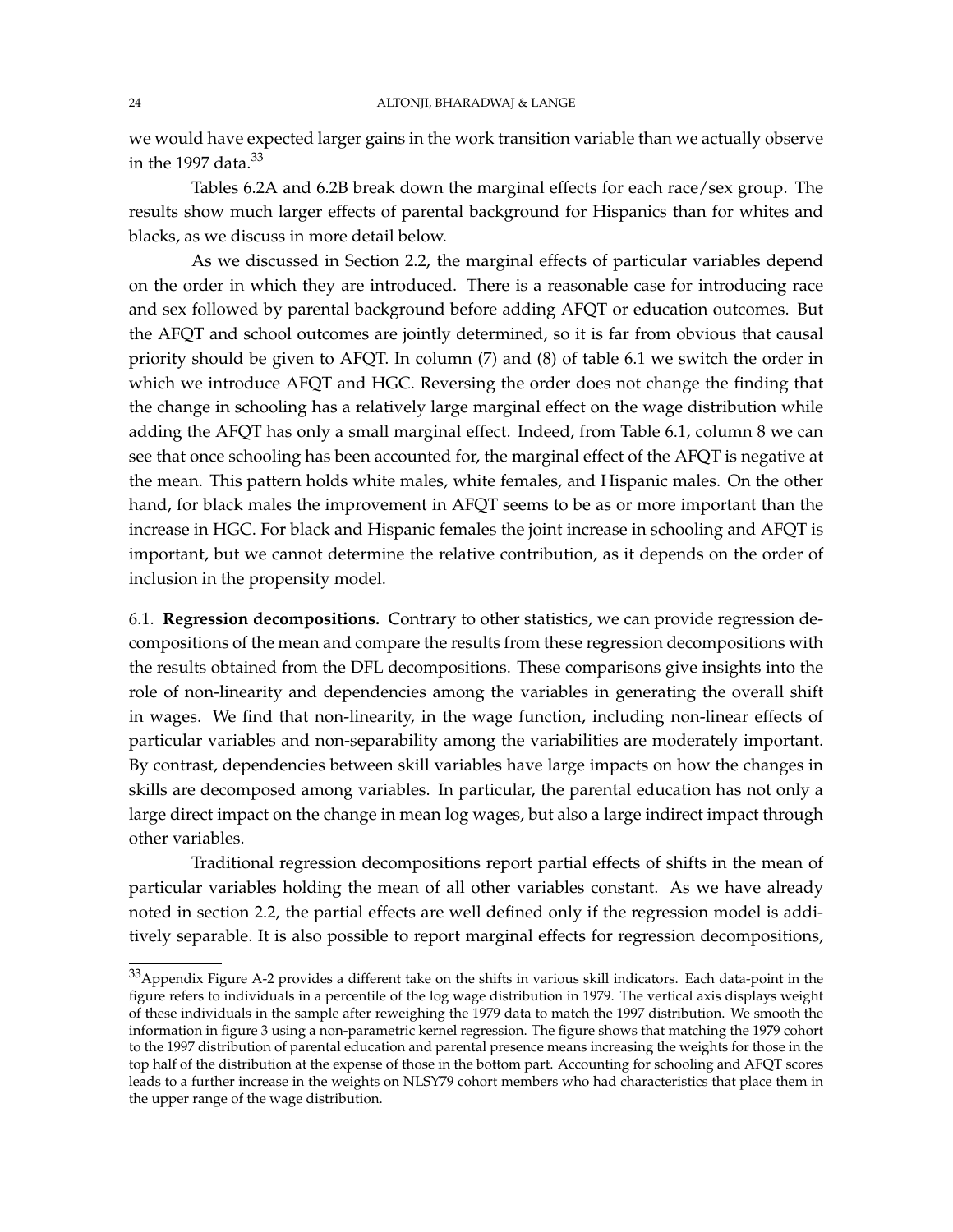we would have expected larger gains in the work transition variable than we actually observe in the 1997 data. $33$ 

Tables 6.2A and 6.2B break down the marginal effects for each race/sex group. The results show much larger effects of parental background for Hispanics than for whites and blacks, as we discuss in more detail below.

As we discussed in Section 2.2, the marginal effects of particular variables depend on the order in which they are introduced. There is a reasonable case for introducing race and sex followed by parental background before adding AFQT or education outcomes. But the AFQT and school outcomes are jointly determined, so it is far from obvious that causal priority should be given to AFQT. In column (7) and (8) of table 6.1 we switch the order in which we introduce AFQT and HGC. Reversing the order does not change the finding that the change in schooling has a relatively large marginal effect on the wage distribution while adding the AFQT has only a small marginal effect. Indeed, from Table 6.1, column 8 we can see that once schooling has been accounted for, the marginal effect of the AFQT is negative at the mean. This pattern holds white males, white females, and Hispanic males. On the other hand, for black males the improvement in AFQT seems to be as or more important than the increase in HGC. For black and Hispanic females the joint increase in schooling and AFQT is important, but we cannot determine the relative contribution, as it depends on the order of inclusion in the propensity model.

6.1. **Regression decompositions.** Contrary to other statistics, we can provide regression decompositions of the mean and compare the results from these regression decompositions with the results obtained from the DFL decompositions. These comparisons give insights into the role of non-linearity and dependencies among the variables in generating the overall shift in wages. We find that non-linearity, in the wage function, including non-linear effects of particular variables and non-separability among the variabilities are moderately important. By contrast, dependencies between skill variables have large impacts on how the changes in skills are decomposed among variables. In particular, the parental education has not only a large direct impact on the change in mean log wages, but also a large indirect impact through other variables.

Traditional regression decompositions report partial effects of shifts in the mean of particular variables holding the mean of all other variables constant. As we have already noted in section 2.2, the partial effects are well defined only if the regression model is additively separable. It is also possible to report marginal effects for regression decompositions,

 $33$ Appendix Figure A-2 provides a different take on the shifts in various skill indicators. Each data-point in the figure refers to individuals in a percentile of the log wage distribution in 1979. The vertical axis displays weight of these individuals in the sample after reweighing the 1979 data to match the 1997 distribution. We smooth the information in figure 3 using a non-parametric kernel regression. The figure shows that matching the 1979 cohort to the 1997 distribution of parental education and parental presence means increasing the weights for those in the top half of the distribution at the expense of those in the bottom part. Accounting for schooling and AFQT scores leads to a further increase in the weights on NLSY79 cohort members who had characteristics that place them in the upper range of the wage distribution.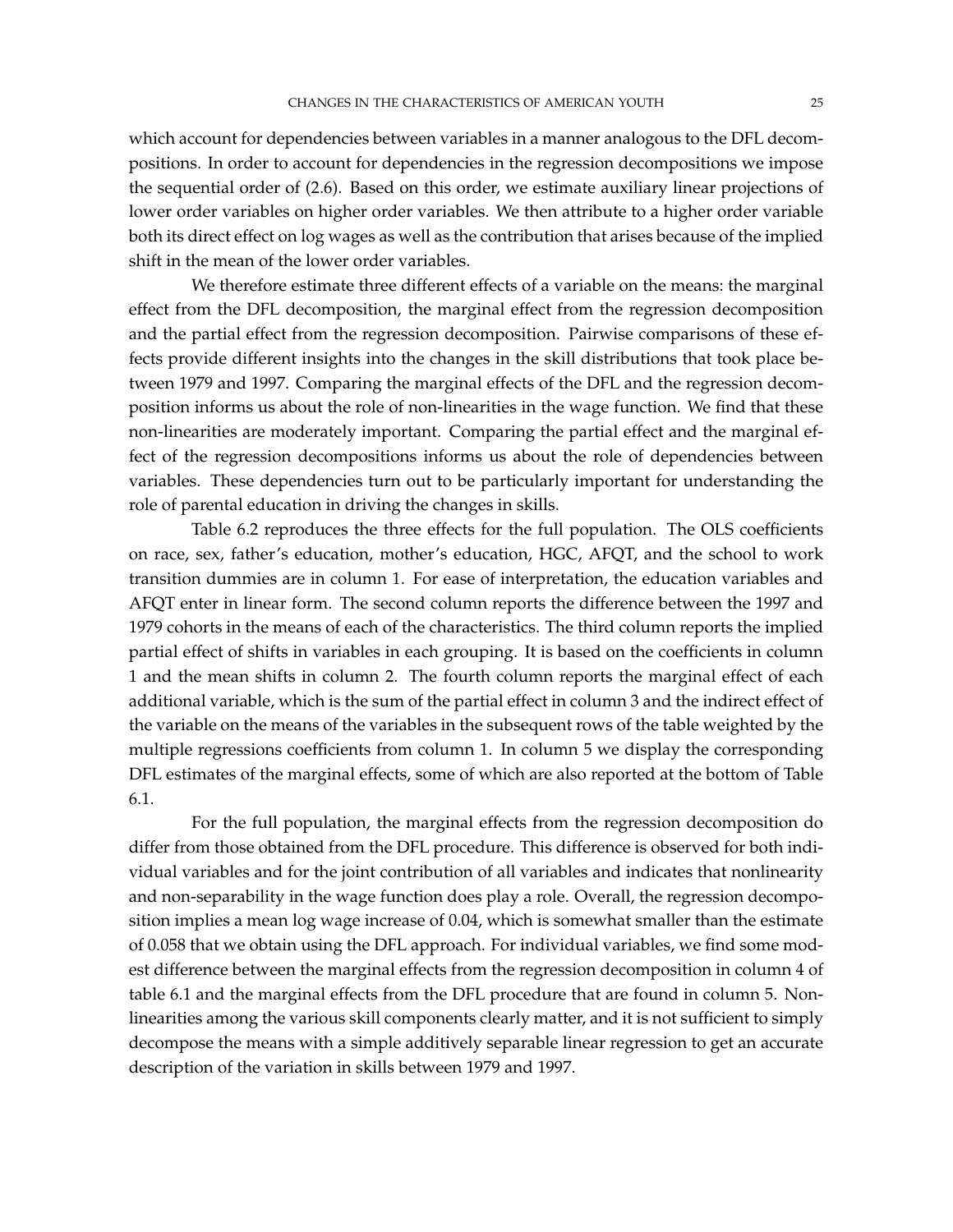which account for dependencies between variables in a manner analogous to the DFL decompositions. In order to account for dependencies in the regression decompositions we impose the sequential order of (2.6). Based on this order, we estimate auxiliary linear projections of lower order variables on higher order variables. We then attribute to a higher order variable both its direct effect on log wages as well as the contribution that arises because of the implied shift in the mean of the lower order variables.

We therefore estimate three different effects of a variable on the means: the marginal effect from the DFL decomposition, the marginal effect from the regression decomposition and the partial effect from the regression decomposition. Pairwise comparisons of these effects provide different insights into the changes in the skill distributions that took place between 1979 and 1997. Comparing the marginal effects of the DFL and the regression decomposition informs us about the role of non-linearities in the wage function. We find that these non-linearities are moderately important. Comparing the partial effect and the marginal effect of the regression decompositions informs us about the role of dependencies between variables. These dependencies turn out to be particularly important for understanding the role of parental education in driving the changes in skills.

Table 6.2 reproduces the three effects for the full population. The OLS coefficients on race, sex, father's education, mother's education, HGC, AFQT, and the school to work transition dummies are in column 1. For ease of interpretation, the education variables and AFQT enter in linear form. The second column reports the difference between the 1997 and 1979 cohorts in the means of each of the characteristics. The third column reports the implied partial effect of shifts in variables in each grouping. It is based on the coefficients in column 1 and the mean shifts in column 2. The fourth column reports the marginal effect of each additional variable, which is the sum of the partial effect in column 3 and the indirect effect of the variable on the means of the variables in the subsequent rows of the table weighted by the multiple regressions coefficients from column 1. In column 5 we display the corresponding DFL estimates of the marginal effects, some of which are also reported at the bottom of Table 6.1.

For the full population, the marginal effects from the regression decomposition do differ from those obtained from the DFL procedure. This difference is observed for both individual variables and for the joint contribution of all variables and indicates that nonlinearity and non-separability in the wage function does play a role. Overall, the regression decomposition implies a mean log wage increase of 0.04, which is somewhat smaller than the estimate of 0.058 that we obtain using the DFL approach. For individual variables, we find some modest difference between the marginal effects from the regression decomposition in column 4 of table 6.1 and the marginal effects from the DFL procedure that are found in column 5. Nonlinearities among the various skill components clearly matter, and it is not sufficient to simply decompose the means with a simple additively separable linear regression to get an accurate description of the variation in skills between 1979 and 1997.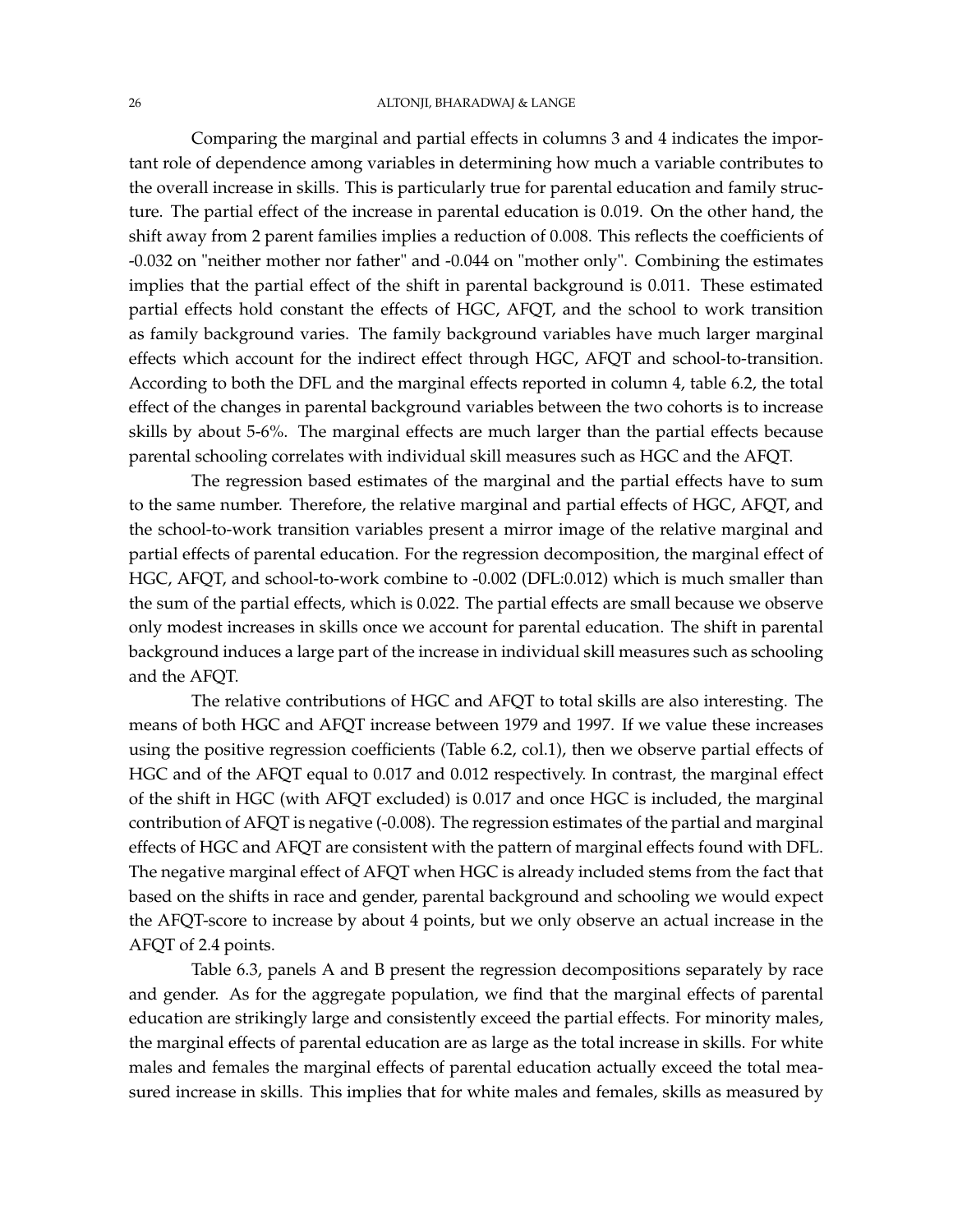### 26 ALTONJI, BHARADWAJ & LANGE

Comparing the marginal and partial effects in columns 3 and 4 indicates the important role of dependence among variables in determining how much a variable contributes to the overall increase in skills. This is particularly true for parental education and family structure. The partial effect of the increase in parental education is 0.019. On the other hand, the shift away from 2 parent families implies a reduction of 0.008. This reflects the coefficients of -0.032 on "neither mother nor father" and -0.044 on "mother only". Combining the estimates implies that the partial effect of the shift in parental background is 0.011. These estimated partial effects hold constant the effects of HGC, AFQT, and the school to work transition as family background varies. The family background variables have much larger marginal effects which account for the indirect effect through HGC, AFQT and school-to-transition. According to both the DFL and the marginal effects reported in column 4, table 6.2, the total effect of the changes in parental background variables between the two cohorts is to increase skills by about 5-6%. The marginal effects are much larger than the partial effects because parental schooling correlates with individual skill measures such as HGC and the AFQT.

The regression based estimates of the marginal and the partial effects have to sum to the same number. Therefore, the relative marginal and partial effects of HGC, AFQT, and the school-to-work transition variables present a mirror image of the relative marginal and partial effects of parental education. For the regression decomposition, the marginal effect of HGC, AFQT, and school-to-work combine to -0.002 (DFL:0.012) which is much smaller than the sum of the partial effects, which is 0.022. The partial effects are small because we observe only modest increases in skills once we account for parental education. The shift in parental background induces a large part of the increase in individual skill measures such as schooling and the AFQT.

The relative contributions of HGC and AFQT to total skills are also interesting. The means of both HGC and AFQT increase between 1979 and 1997. If we value these increases using the positive regression coefficients (Table 6.2, col.1), then we observe partial effects of HGC and of the AFQT equal to 0.017 and 0.012 respectively. In contrast, the marginal effect of the shift in HGC (with AFQT excluded) is 0.017 and once HGC is included, the marginal contribution of AFQT is negative (-0.008). The regression estimates of the partial and marginal effects of HGC and AFQT are consistent with the pattern of marginal effects found with DFL. The negative marginal effect of AFQT when HGC is already included stems from the fact that based on the shifts in race and gender, parental background and schooling we would expect the AFQT-score to increase by about 4 points, but we only observe an actual increase in the AFQT of 2.4 points.

Table 6.3, panels A and B present the regression decompositions separately by race and gender. As for the aggregate population, we find that the marginal effects of parental education are strikingly large and consistently exceed the partial effects. For minority males, the marginal effects of parental education are as large as the total increase in skills. For white males and females the marginal effects of parental education actually exceed the total measured increase in skills. This implies that for white males and females, skills as measured by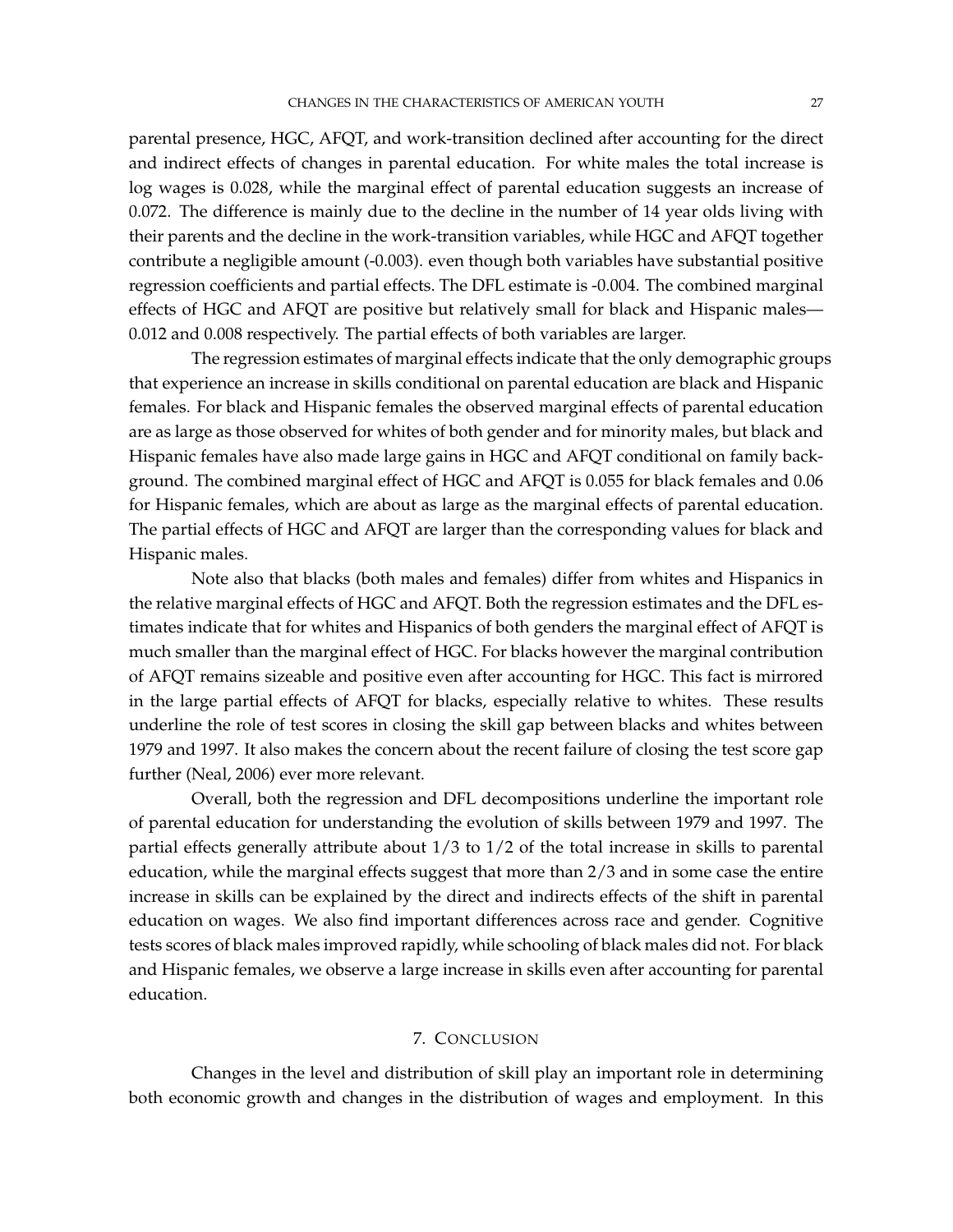parental presence, HGC, AFQT, and work-transition declined after accounting for the direct and indirect effects of changes in parental education. For white males the total increase is log wages is 0.028, while the marginal effect of parental education suggests an increase of 0.072. The difference is mainly due to the decline in the number of 14 year olds living with their parents and the decline in the work-transition variables, while HGC and AFQT together contribute a negligible amount (-0.003). even though both variables have substantial positive regression coefficients and partial effects. The DFL estimate is -0.004. The combined marginal effects of HGC and AFQT are positive but relatively small for black and Hispanic males— 0.012 and 0.008 respectively. The partial effects of both variables are larger.

The regression estimates of marginal effects indicate that the only demographic groups that experience an increase in skills conditional on parental education are black and Hispanic females. For black and Hispanic females the observed marginal effects of parental education are as large as those observed for whites of both gender and for minority males, but black and Hispanic females have also made large gains in HGC and AFQT conditional on family background. The combined marginal effect of HGC and AFQT is 0.055 for black females and 0.06 for Hispanic females, which are about as large as the marginal effects of parental education. The partial effects of HGC and AFQT are larger than the corresponding values for black and Hispanic males.

Note also that blacks (both males and females) differ from whites and Hispanics in the relative marginal effects of HGC and AFQT. Both the regression estimates and the DFL estimates indicate that for whites and Hispanics of both genders the marginal effect of AFQT is much smaller than the marginal effect of HGC. For blacks however the marginal contribution of AFQT remains sizeable and positive even after accounting for HGC. This fact is mirrored in the large partial effects of AFQT for blacks, especially relative to whites. These results underline the role of test scores in closing the skill gap between blacks and whites between 1979 and 1997. It also makes the concern about the recent failure of closing the test score gap further (Neal, 2006) ever more relevant.

Overall, both the regression and DFL decompositions underline the important role of parental education for understanding the evolution of skills between 1979 and 1997. The partial effects generally attribute about 1/3 to 1/2 of the total increase in skills to parental education, while the marginal effects suggest that more than 2/3 and in some case the entire increase in skills can be explained by the direct and indirects effects of the shift in parental education on wages. We also find important differences across race and gender. Cognitive tests scores of black males improved rapidly, while schooling of black males did not. For black and Hispanic females, we observe a large increase in skills even after accounting for parental education.

## 7. CONCLUSION

Changes in the level and distribution of skill play an important role in determining both economic growth and changes in the distribution of wages and employment. In this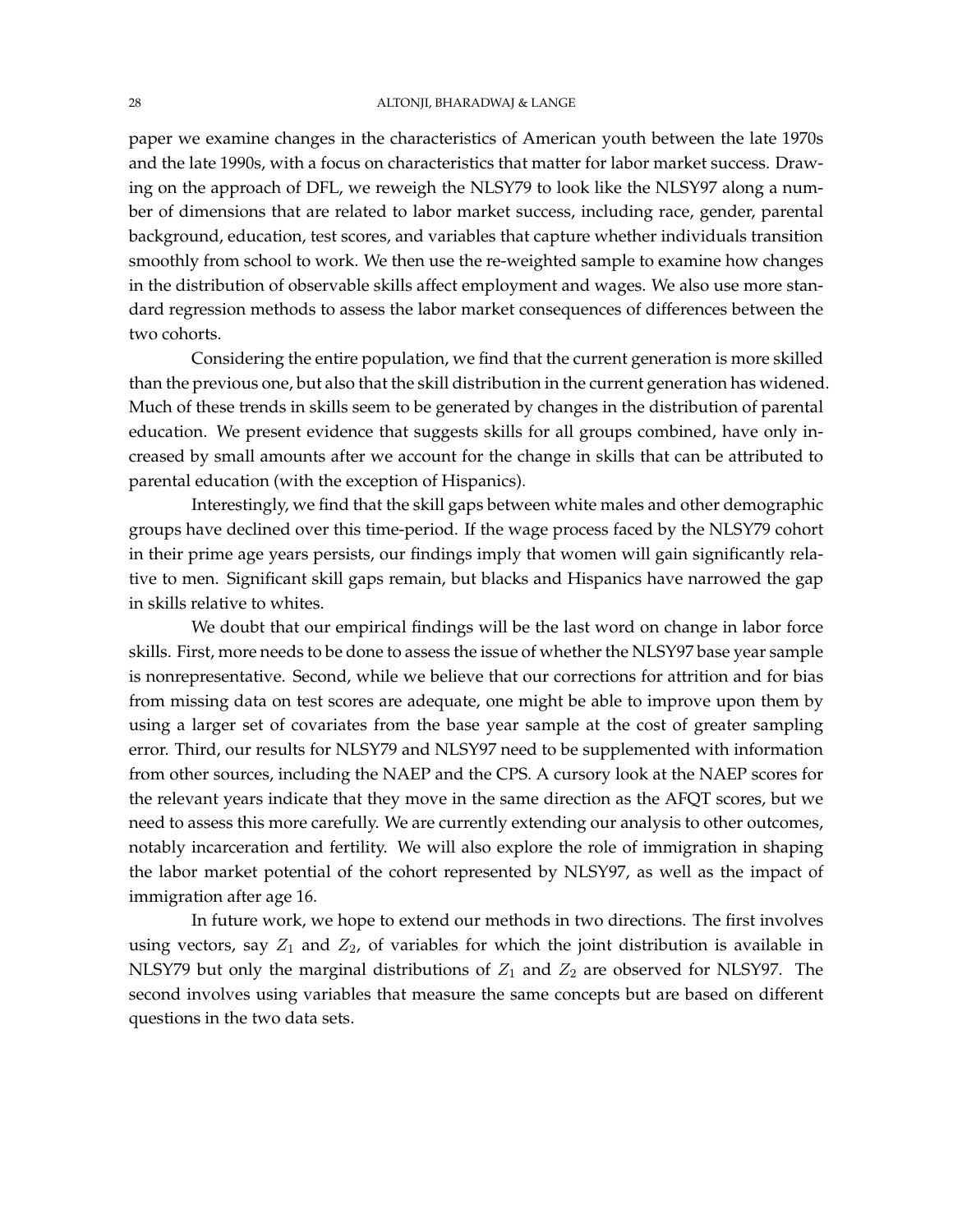### 28 ALTONJI, BHARADWAJ & LANGE

paper we examine changes in the characteristics of American youth between the late 1970s and the late 1990s, with a focus on characteristics that matter for labor market success. Drawing on the approach of DFL, we reweigh the NLSY79 to look like the NLSY97 along a number of dimensions that are related to labor market success, including race, gender, parental background, education, test scores, and variables that capture whether individuals transition smoothly from school to work. We then use the re-weighted sample to examine how changes in the distribution of observable skills affect employment and wages. We also use more standard regression methods to assess the labor market consequences of differences between the two cohorts.

Considering the entire population, we find that the current generation is more skilled than the previous one, but also that the skill distribution in the current generation has widened. Much of these trends in skills seem to be generated by changes in the distribution of parental education. We present evidence that suggests skills for all groups combined, have only increased by small amounts after we account for the change in skills that can be attributed to parental education (with the exception of Hispanics).

Interestingly, we find that the skill gaps between white males and other demographic groups have declined over this time-period. If the wage process faced by the NLSY79 cohort in their prime age years persists, our findings imply that women will gain significantly relative to men. Significant skill gaps remain, but blacks and Hispanics have narrowed the gap in skills relative to whites.

We doubt that our empirical findings will be the last word on change in labor force skills. First, more needs to be done to assess the issue of whether the NLSY97 base year sample is nonrepresentative. Second, while we believe that our corrections for attrition and for bias from missing data on test scores are adequate, one might be able to improve upon them by using a larger set of covariates from the base year sample at the cost of greater sampling error. Third, our results for NLSY79 and NLSY97 need to be supplemented with information from other sources, including the NAEP and the CPS. A cursory look at the NAEP scores for the relevant years indicate that they move in the same direction as the AFQT scores, but we need to assess this more carefully. We are currently extending our analysis to other outcomes, notably incarceration and fertility. We will also explore the role of immigration in shaping the labor market potential of the cohort represented by NLSY97, as well as the impact of immigration after age 16.

In future work, we hope to extend our methods in two directions. The first involves using vectors, say  $Z_1$  and  $Z_2$ , of variables for which the joint distribution is available in NLSY79 but only the marginal distributions of  $Z_1$  and  $Z_2$  are observed for NLSY97. The second involves using variables that measure the same concepts but are based on different questions in the two data sets.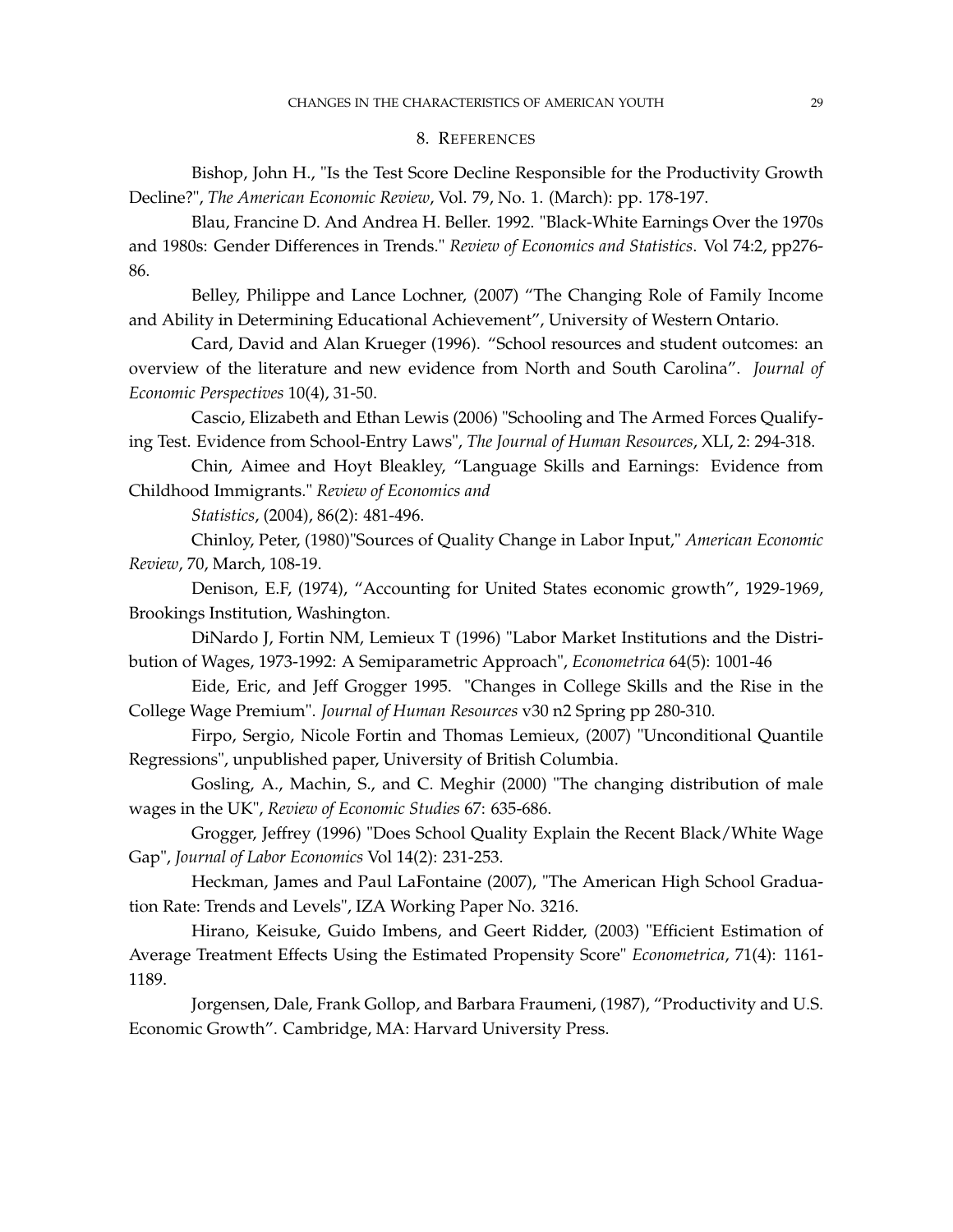#### 8. REFERENCES

Bishop, John H., "Is the Test Score Decline Responsible for the Productivity Growth Decline?", *The American Economic Review*, Vol. 79, No. 1. (March): pp. 178-197.

Blau, Francine D. And Andrea H. Beller. 1992. "Black-White Earnings Over the 1970s and 1980s: Gender Differences in Trends." *Review of Economics and Statistics*. Vol 74:2, pp276- 86.

Belley, Philippe and Lance Lochner, (2007) "The Changing Role of Family Income and Ability in Determining Educational Achievement", University of Western Ontario.

Card, David and Alan Krueger (1996). "School resources and student outcomes: an overview of the literature and new evidence from North and South Carolina". *Journal of Economic Perspectives* 10(4), 31-50.

Cascio, Elizabeth and Ethan Lewis (2006) "Schooling and The Armed Forces Qualifying Test. Evidence from School-Entry Laws", *The Journal of Human Resources*, XLI, 2: 294-318.

Chin, Aimee and Hoyt Bleakley, "Language Skills and Earnings: Evidence from Childhood Immigrants." *Review of Economics and*

*Statistics*, (2004), 86(2): 481-496.

Chinloy, Peter, (1980)"Sources of Quality Change in Labor Input," *American Economic Review*, 70, March, 108-19.

Denison, E.F, (1974), "Accounting for United States economic growth", 1929-1969, Brookings Institution, Washington.

DiNardo J, Fortin NM, Lemieux T (1996) "Labor Market Institutions and the Distribution of Wages, 1973-1992: A Semiparametric Approach", *Econometrica* 64(5): 1001-46

Eide, Eric, and Jeff Grogger 1995. "Changes in College Skills and the Rise in the College Wage Premium". *Journal of Human Resources* v30 n2 Spring pp 280-310.

Firpo, Sergio, Nicole Fortin and Thomas Lemieux, (2007) "Unconditional Quantile Regressions", unpublished paper, University of British Columbia.

Gosling, A., Machin, S., and C. Meghir (2000) "The changing distribution of male wages in the UK", *Review of Economic Studies* 67: 635-686.

Grogger, Jeffrey (1996) "Does School Quality Explain the Recent Black/White Wage Gap", *Journal of Labor Economics* Vol 14(2): 231-253.

Heckman, James and Paul LaFontaine (2007), "The American High School Graduation Rate: Trends and Levels", IZA Working Paper No. 3216.

Hirano, Keisuke, Guido Imbens, and Geert Ridder, (2003) "Efficient Estimation of Average Treatment Effects Using the Estimated Propensity Score" *Econometrica*, 71(4): 1161- 1189.

Jorgensen, Dale, Frank Gollop, and Barbara Fraumeni, (1987), "Productivity and U.S. Economic Growth". Cambridge, MA: Harvard University Press.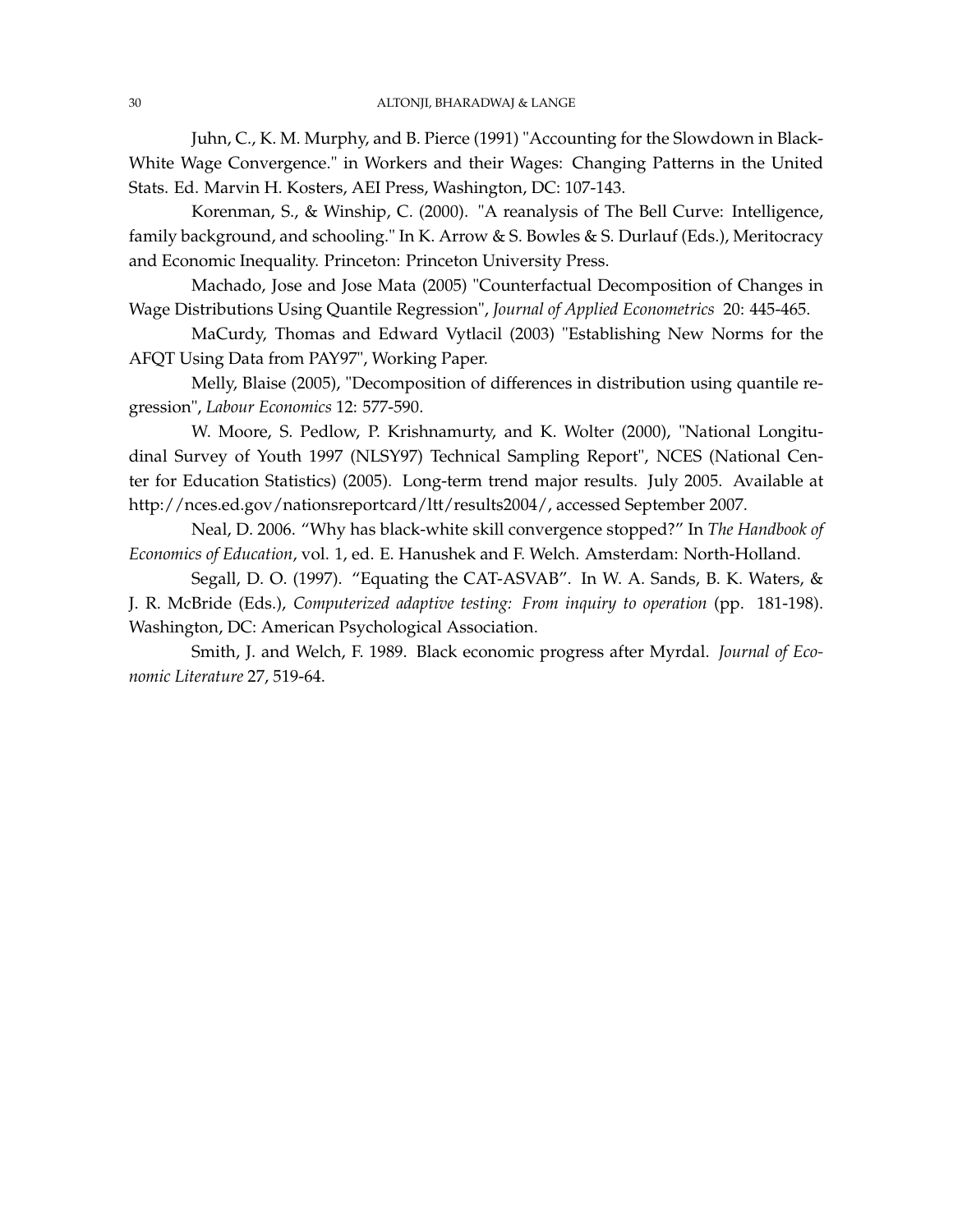Juhn, C., K. M. Murphy, and B. Pierce (1991) "Accounting for the Slowdown in Black-White Wage Convergence." in Workers and their Wages: Changing Patterns in the United Stats. Ed. Marvin H. Kosters, AEI Press, Washington, DC: 107-143.

Korenman, S., & Winship, C. (2000). "A reanalysis of The Bell Curve: Intelligence, family background, and schooling." In K. Arrow & S. Bowles & S. Durlauf (Eds.), Meritocracy and Economic Inequality. Princeton: Princeton University Press.

Machado, Jose and Jose Mata (2005) "Counterfactual Decomposition of Changes in Wage Distributions Using Quantile Regression", *Journal of Applied Econometrics* 20: 445-465.

MaCurdy, Thomas and Edward Vytlacil (2003) "Establishing New Norms for the AFQT Using Data from PAY97", Working Paper.

Melly, Blaise (2005), "Decomposition of differences in distribution using quantile regression", *Labour Economics* 12: 577-590.

W. Moore, S. Pedlow, P. Krishnamurty, and K. Wolter (2000), "National Longitudinal Survey of Youth 1997 (NLSY97) Technical Sampling Report", NCES (National Center for Education Statistics) (2005). Long-term trend major results. July 2005. Available at http://nces.ed.gov/nationsreportcard/ltt/results2004/, accessed September 2007.

Neal, D. 2006. "Why has black-white skill convergence stopped?" In *The Handbook of Economics of Education*, vol. 1, ed. E. Hanushek and F. Welch. Amsterdam: North-Holland.

Segall, D. O. (1997). "Equating the CAT-ASVAB". In W. A. Sands, B. K. Waters, & J. R. McBride (Eds.), *Computerized adaptive testing: From inquiry to operation* (pp. 181-198). Washington, DC: American Psychological Association.

Smith, J. and Welch, F. 1989. Black economic progress after Myrdal. *Journal of Economic Literature* 27, 519-64.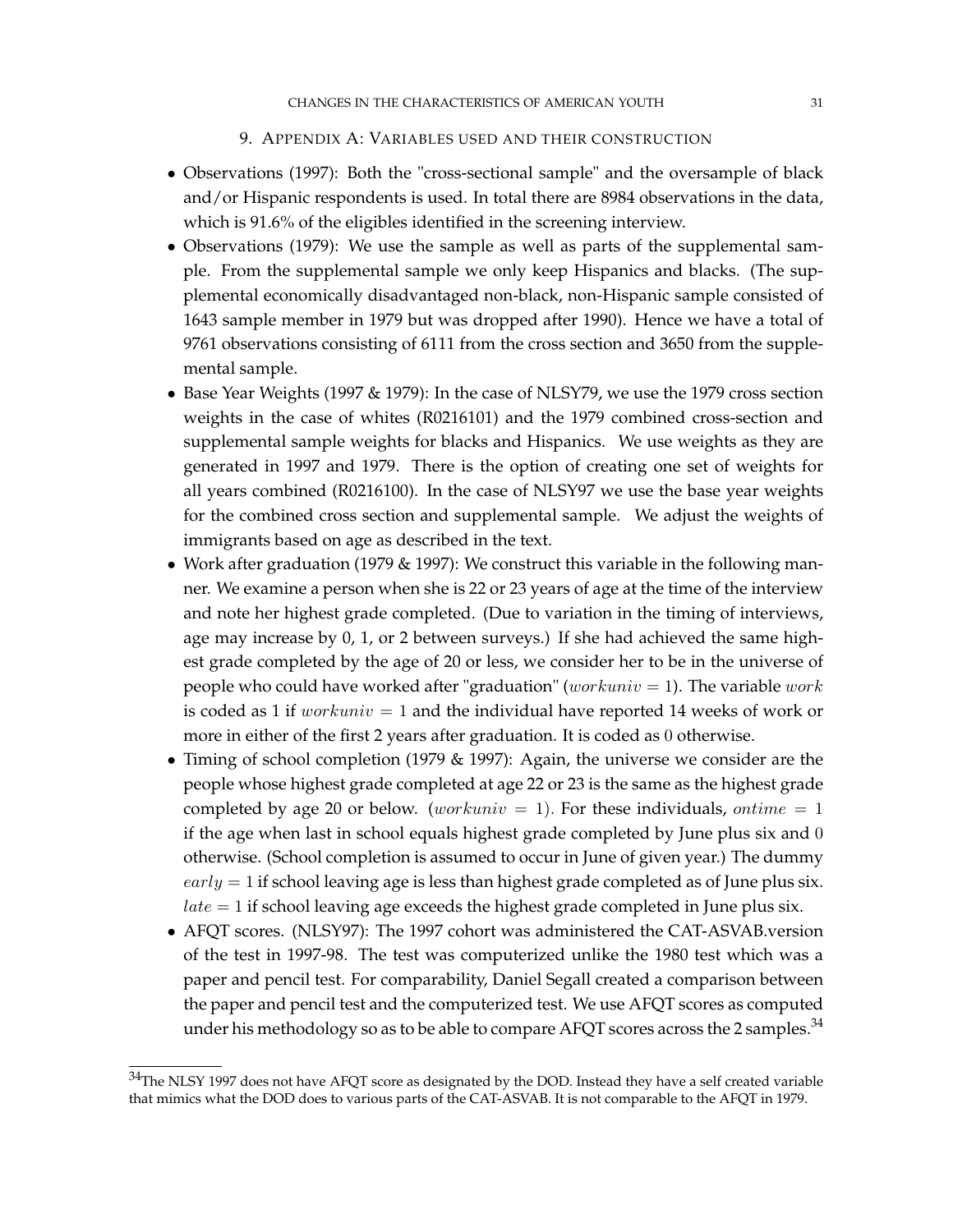#### 9. APPENDIX A: VARIABLES USED AND THEIR CONSTRUCTION

- Observations (1997): Both the "cross-sectional sample" and the oversample of black and/or Hispanic respondents is used. In total there are 8984 observations in the data, which is 91.6% of the eligibles identified in the screening interview.
- Observations (1979): We use the sample as well as parts of the supplemental sample. From the supplemental sample we only keep Hispanics and blacks. (The supplemental economically disadvantaged non-black, non-Hispanic sample consisted of 1643 sample member in 1979 but was dropped after 1990). Hence we have a total of 9761 observations consisting of 6111 from the cross section and 3650 from the supplemental sample.
- Base Year Weights (1997 & 1979): In the case of NLSY79, we use the 1979 cross section weights in the case of whites (R0216101) and the 1979 combined cross-section and supplemental sample weights for blacks and Hispanics. We use weights as they are generated in 1997 and 1979. There is the option of creating one set of weights for all years combined (R0216100). In the case of NLSY97 we use the base year weights for the combined cross section and supplemental sample. We adjust the weights of immigrants based on age as described in the text.
- Work after graduation (1979 & 1997): We construct this variable in the following manner. We examine a person when she is 22 or 23 years of age at the time of the interview and note her highest grade completed. (Due to variation in the timing of interviews, age may increase by 0, 1, or 2 between surveys.) If she had achieved the same highest grade completed by the age of 20 or less, we consider her to be in the universe of people who could have worked after "graduation" (workuniv = 1). The variable work is coded as 1 if  $workuniv = 1$  and the individual have reported 14 weeks of work or more in either of the first 2 years after graduation. It is coded as 0 otherwise.
- Timing of school completion (1979 & 1997): Again, the universe we consider are the people whose highest grade completed at age 22 or 23 is the same as the highest grade completed by age 20 or below. (workuniv = 1). For these individuals, ontime = 1 if the age when last in school equals highest grade completed by June plus six and 0 otherwise. (School completion is assumed to occur in June of given year.) The dummy  $early = 1$  if school leaving age is less than highest grade completed as of June plus six.  $late = 1$  if school leaving age exceeds the highest grade completed in June plus six.
- AFQT scores. (NLSY97): The 1997 cohort was administered the CAT-ASVAB.version of the test in 1997-98. The test was computerized unlike the 1980 test which was a paper and pencil test. For comparability, Daniel Segall created a comparison between the paper and pencil test and the computerized test. We use AFQT scores as computed under his methodology so as to be able to compare AFQT scores across the 2 samples.<sup>34</sup>

 $34$ The NLSY 1997 does not have AFQT score as designated by the DOD. Instead they have a self created variable that mimics what the DOD does to various parts of the CAT-ASVAB. It is not comparable to the AFQT in 1979.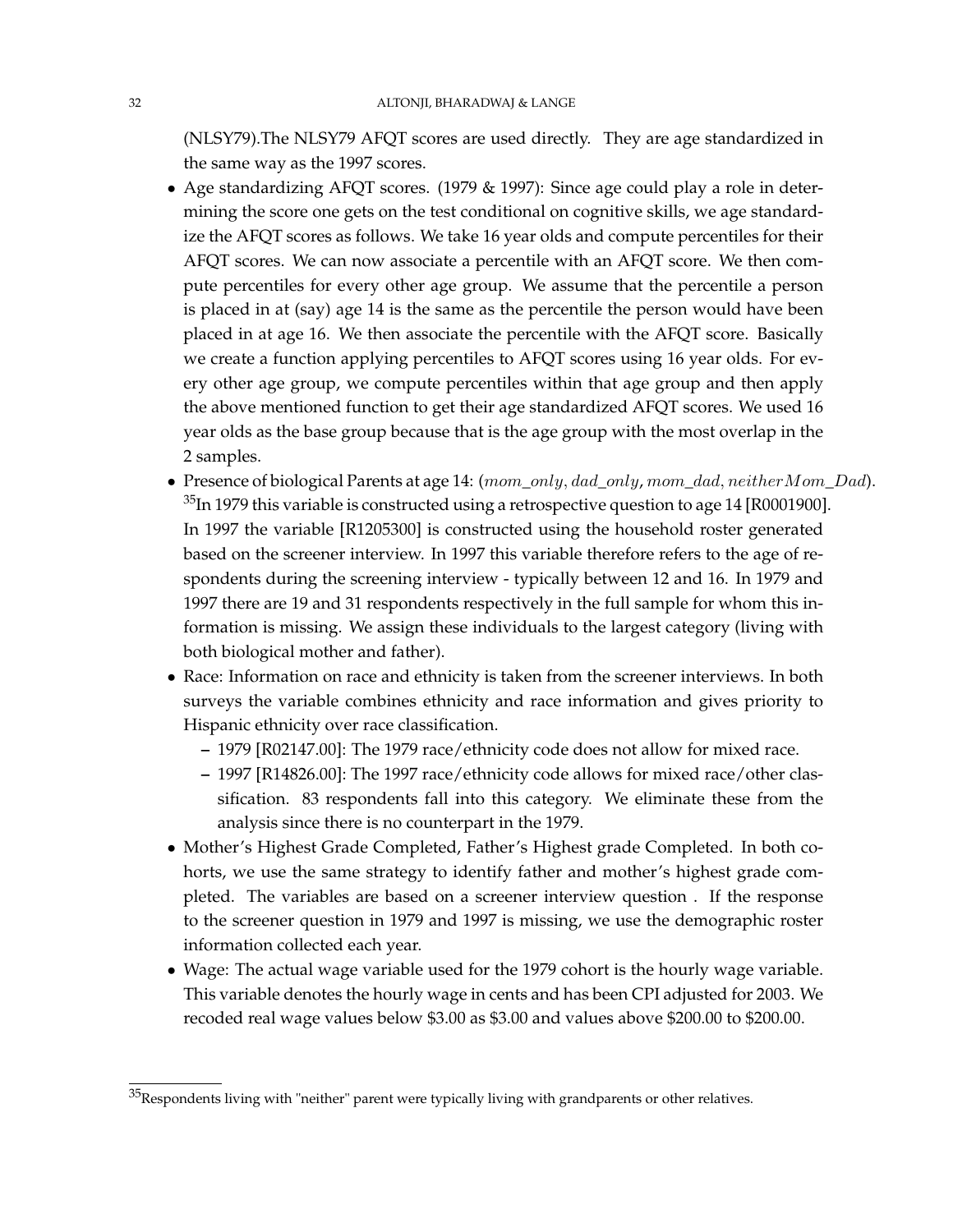(NLSY79).The NLSY79 AFQT scores are used directly. They are age standardized in the same way as the 1997 scores.

- Age standardizing AFQT scores. (1979 & 1997): Since age could play a role in determining the score one gets on the test conditional on cognitive skills, we age standardize the AFQT scores as follows. We take 16 year olds and compute percentiles for their AFQT scores. We can now associate a percentile with an AFQT score. We then compute percentiles for every other age group. We assume that the percentile a person is placed in at (say) age 14 is the same as the percentile the person would have been placed in at age 16. We then associate the percentile with the AFQT score. Basically we create a function applying percentiles to AFQT scores using 16 year olds. For every other age group, we compute percentiles within that age group and then apply the above mentioned function to get their age standardized AFQT scores. We used 16 year olds as the base group because that is the age group with the most overlap in the 2 samples.
- Presence of biological Parents at age 14:  $(mom\_only, dad\_only, mom\_dad, neitherMom\_Dad)$ .  $35$ In 1979 this variable is constructed using a retrospective question to age 14 [R0001900]. In 1997 the variable [R1205300] is constructed using the household roster generated based on the screener interview. In 1997 this variable therefore refers to the age of respondents during the screening interview - typically between 12 and 16. In 1979 and 1997 there are 19 and 31 respondents respectively in the full sample for whom this information is missing. We assign these individuals to the largest category (living with both biological mother and father).
- Race: Information on race and ethnicity is taken from the screener interviews. In both surveys the variable combines ethnicity and race information and gives priority to Hispanic ethnicity over race classification.
	- **–** 1979 [R02147.00]: The 1979 race/ethnicity code does not allow for mixed race.
	- **–** 1997 [R14826.00]: The 1997 race/ethnicity code allows for mixed race/other classification. 83 respondents fall into this category. We eliminate these from the analysis since there is no counterpart in the 1979.
- Mother's Highest Grade Completed, Father's Highest grade Completed. In both cohorts, we use the same strategy to identify father and mother's highest grade completed. The variables are based on a screener interview question . If the response to the screener question in 1979 and 1997 is missing, we use the demographic roster information collected each year.
- Wage: The actual wage variable used for the 1979 cohort is the hourly wage variable. This variable denotes the hourly wage in cents and has been CPI adjusted for 2003. We recoded real wage values below \$3.00 as \$3.00 and values above \$200.00 to \$200.00.

 $35$ Respondents living with "neither" parent were typically living with grandparents or other relatives.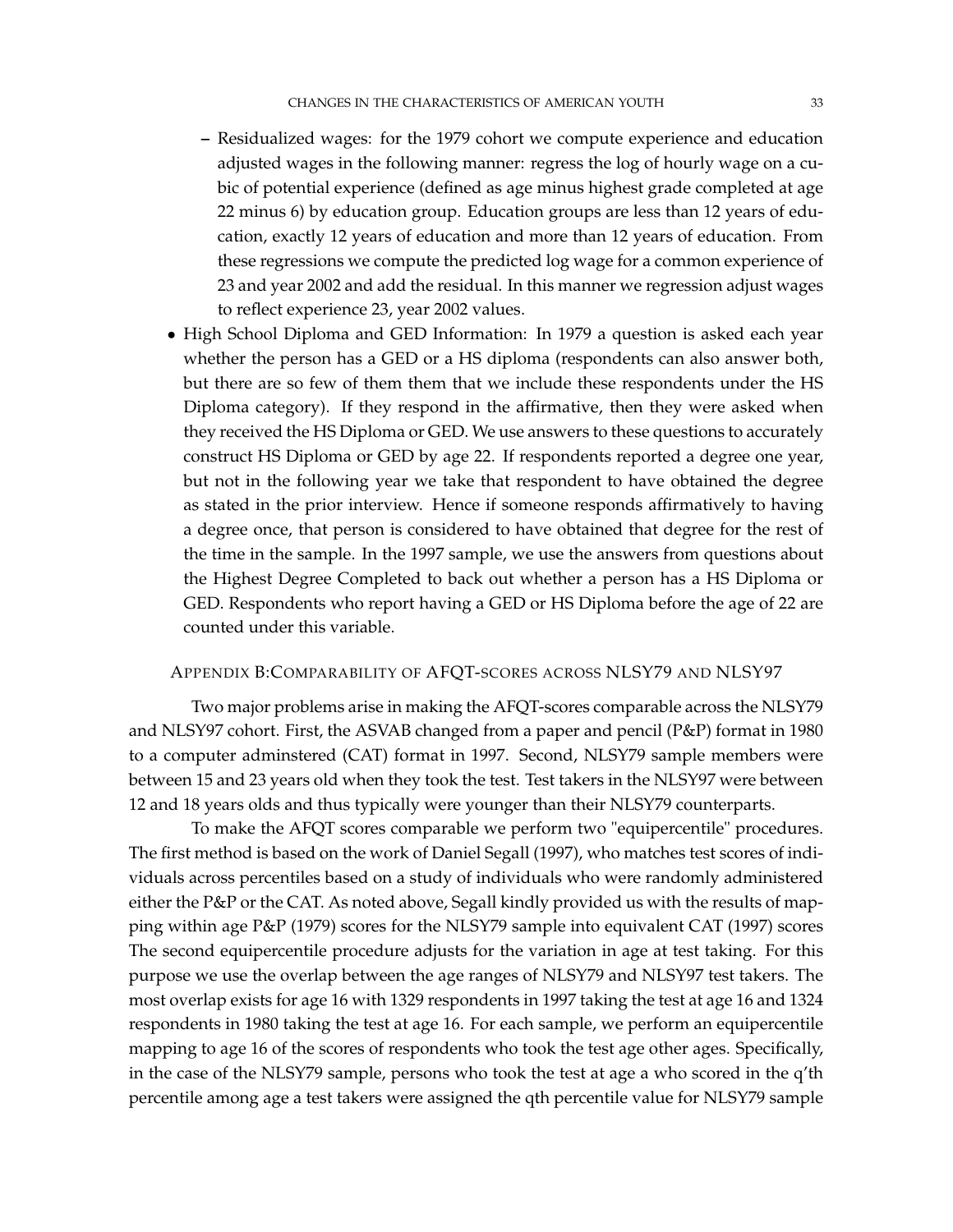- **–** Residualized wages: for the 1979 cohort we compute experience and education adjusted wages in the following manner: regress the log of hourly wage on a cubic of potential experience (defined as age minus highest grade completed at age 22 minus 6) by education group. Education groups are less than 12 years of education, exactly 12 years of education and more than 12 years of education. From these regressions we compute the predicted log wage for a common experience of 23 and year 2002 and add the residual. In this manner we regression adjust wages to reflect experience 23, year 2002 values.
- High School Diploma and GED Information: In 1979 a question is asked each year whether the person has a GED or a HS diploma (respondents can also answer both, but there are so few of them them that we include these respondents under the HS Diploma category). If they respond in the affirmative, then they were asked when they received the HS Diploma or GED. We use answers to these questions to accurately construct HS Diploma or GED by age 22. If respondents reported a degree one year, but not in the following year we take that respondent to have obtained the degree as stated in the prior interview. Hence if someone responds affirmatively to having a degree once, that person is considered to have obtained that degree for the rest of the time in the sample. In the 1997 sample, we use the answers from questions about the Highest Degree Completed to back out whether a person has a HS Diploma or GED. Respondents who report having a GED or HS Diploma before the age of 22 are counted under this variable.

# APPENDIX B:COMPARABILITY OF AFQT-SCORES ACROSS NLSY79 AND NLSY97

Two major problems arise in making the AFQT-scores comparable across the NLSY79 and NLSY97 cohort. First, the ASVAB changed from a paper and pencil (P&P) format in 1980 to a computer adminstered (CAT) format in 1997. Second, NLSY79 sample members were between 15 and 23 years old when they took the test. Test takers in the NLSY97 were between 12 and 18 years olds and thus typically were younger than their NLSY79 counterparts.

To make the AFQT scores comparable we perform two "equipercentile" procedures. The first method is based on the work of Daniel Segall (1997), who matches test scores of individuals across percentiles based on a study of individuals who were randomly administered either the P&P or the CAT. As noted above, Segall kindly provided us with the results of mapping within age P&P (1979) scores for the NLSY79 sample into equivalent CAT (1997) scores The second equipercentile procedure adjusts for the variation in age at test taking. For this purpose we use the overlap between the age ranges of NLSY79 and NLSY97 test takers. The most overlap exists for age 16 with 1329 respondents in 1997 taking the test at age 16 and 1324 respondents in 1980 taking the test at age 16. For each sample, we perform an equipercentile mapping to age 16 of the scores of respondents who took the test age other ages. Specifically, in the case of the NLSY79 sample, persons who took the test at age a who scored in the q'th percentile among age a test takers were assigned the qth percentile value for NLSY79 sample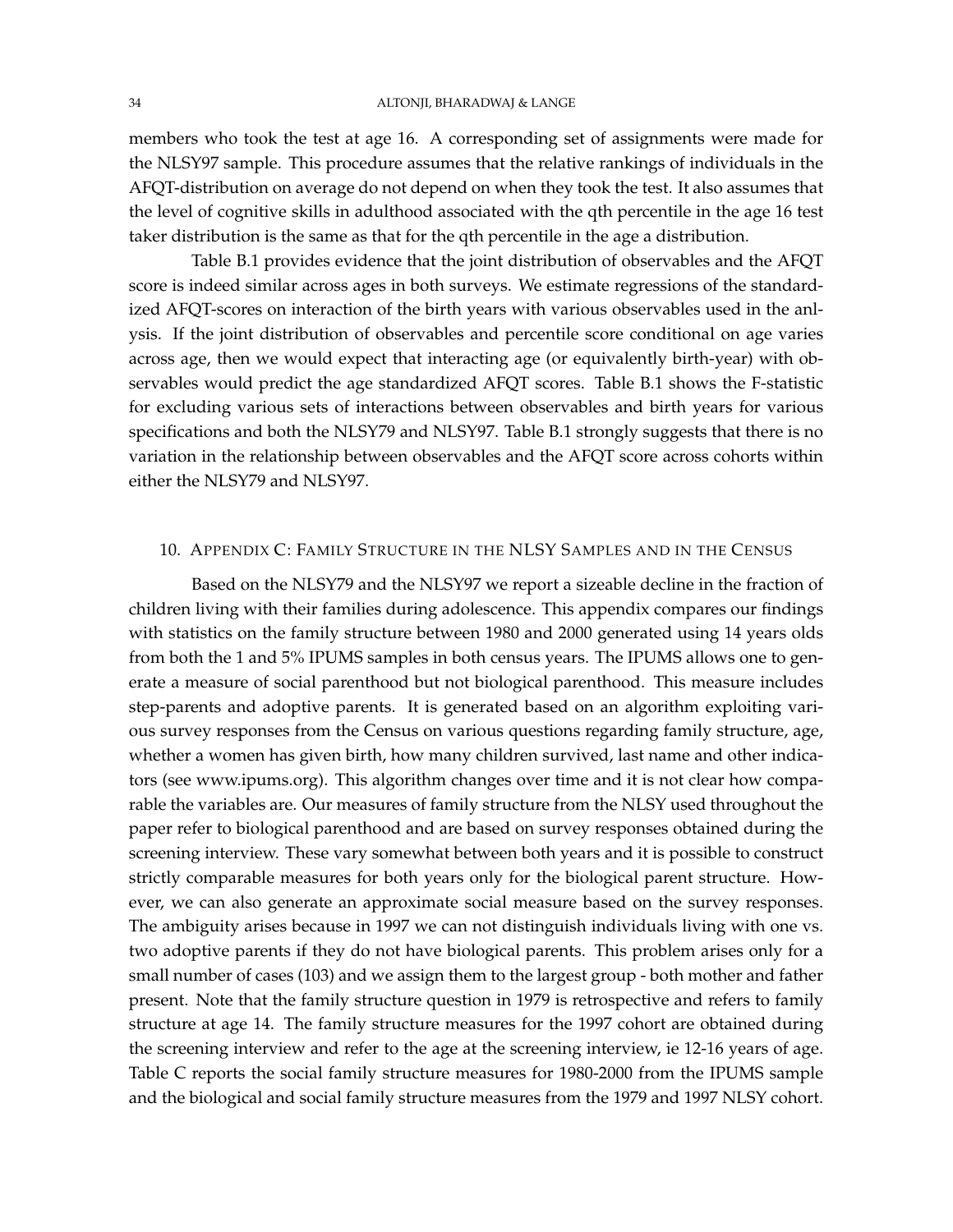members who took the test at age 16. A corresponding set of assignments were made for the NLSY97 sample. This procedure assumes that the relative rankings of individuals in the AFQT-distribution on average do not depend on when they took the test. It also assumes that the level of cognitive skills in adulthood associated with the qth percentile in the age 16 test taker distribution is the same as that for the qth percentile in the age a distribution.

Table B.1 provides evidence that the joint distribution of observables and the AFQT score is indeed similar across ages in both surveys. We estimate regressions of the standardized AFQT-scores on interaction of the birth years with various observables used in the anlysis. If the joint distribution of observables and percentile score conditional on age varies across age, then we would expect that interacting age (or equivalently birth-year) with observables would predict the age standardized AFQT scores. Table B.1 shows the F-statistic for excluding various sets of interactions between observables and birth years for various specifications and both the NLSY79 and NLSY97. Table B.1 strongly suggests that there is no variation in the relationship between observables and the AFQT score across cohorts within either the NLSY79 and NLSY97.

# 10. APPENDIX C: FAMILY STRUCTURE IN THE NLSY SAMPLES AND IN THE CENSUS

Based on the NLSY79 and the NLSY97 we report a sizeable decline in the fraction of children living with their families during adolescence. This appendix compares our findings with statistics on the family structure between 1980 and 2000 generated using 14 years olds from both the 1 and 5% IPUMS samples in both census years. The IPUMS allows one to generate a measure of social parenthood but not biological parenthood. This measure includes step-parents and adoptive parents. It is generated based on an algorithm exploiting various survey responses from the Census on various questions regarding family structure, age, whether a women has given birth, how many children survived, last name and other indicators (see www.ipums.org). This algorithm changes over time and it is not clear how comparable the variables are. Our measures of family structure from the NLSY used throughout the paper refer to biological parenthood and are based on survey responses obtained during the screening interview. These vary somewhat between both years and it is possible to construct strictly comparable measures for both years only for the biological parent structure. However, we can also generate an approximate social measure based on the survey responses. The ambiguity arises because in 1997 we can not distinguish individuals living with one vs. two adoptive parents if they do not have biological parents. This problem arises only for a small number of cases (103) and we assign them to the largest group - both mother and father present. Note that the family structure question in 1979 is retrospective and refers to family structure at age 14. The family structure measures for the 1997 cohort are obtained during the screening interview and refer to the age at the screening interview, ie 12-16 years of age. Table C reports the social family structure measures for 1980-2000 from the IPUMS sample and the biological and social family structure measures from the 1979 and 1997 NLSY cohort.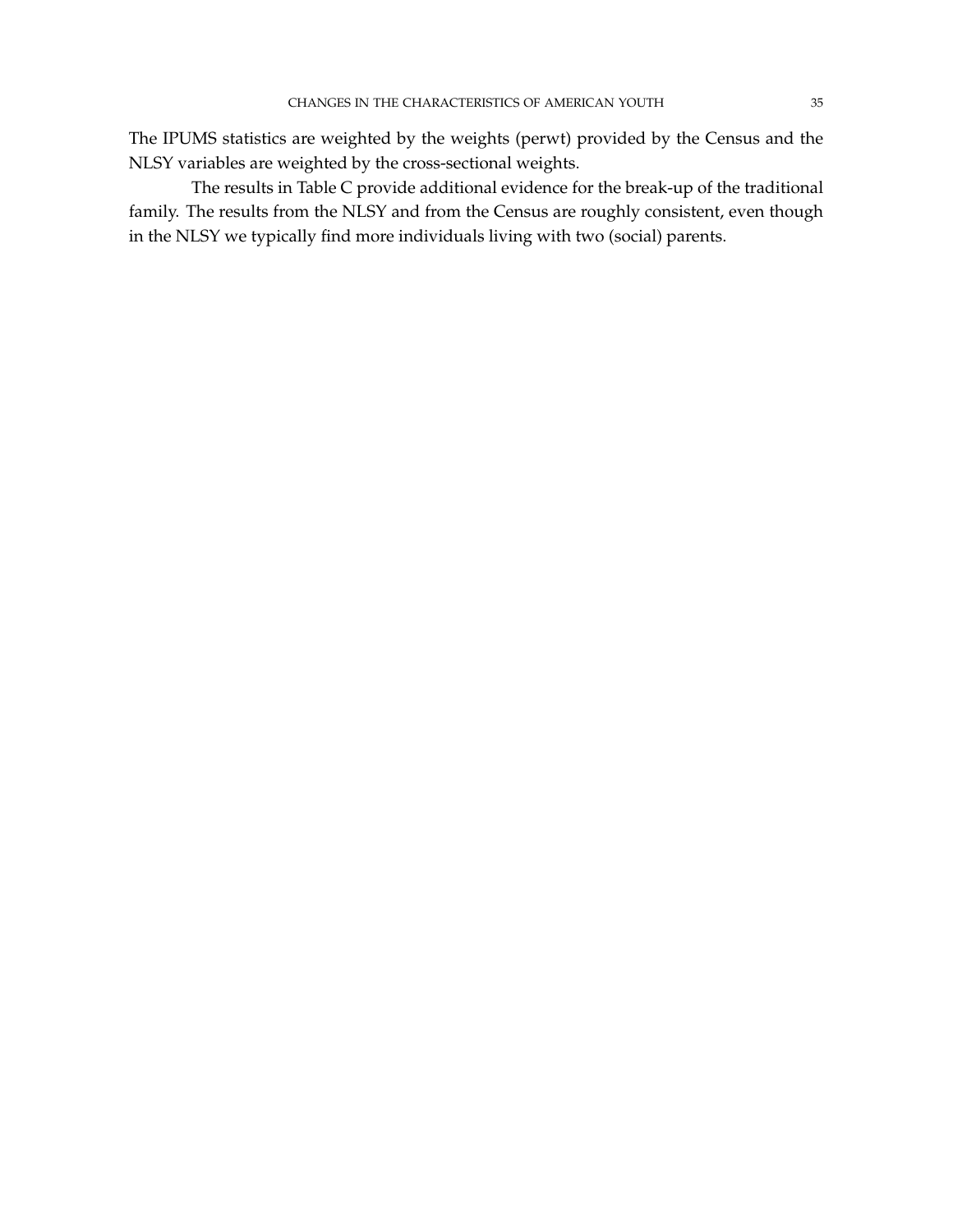The IPUMS statistics are weighted by the weights (perwt) provided by the Census and the NLSY variables are weighted by the cross-sectional weights.

The results in Table C provide additional evidence for the break-up of the traditional family. The results from the NLSY and from the Census are roughly consistent, even though in the NLSY we typically find more individuals living with two (social) parents.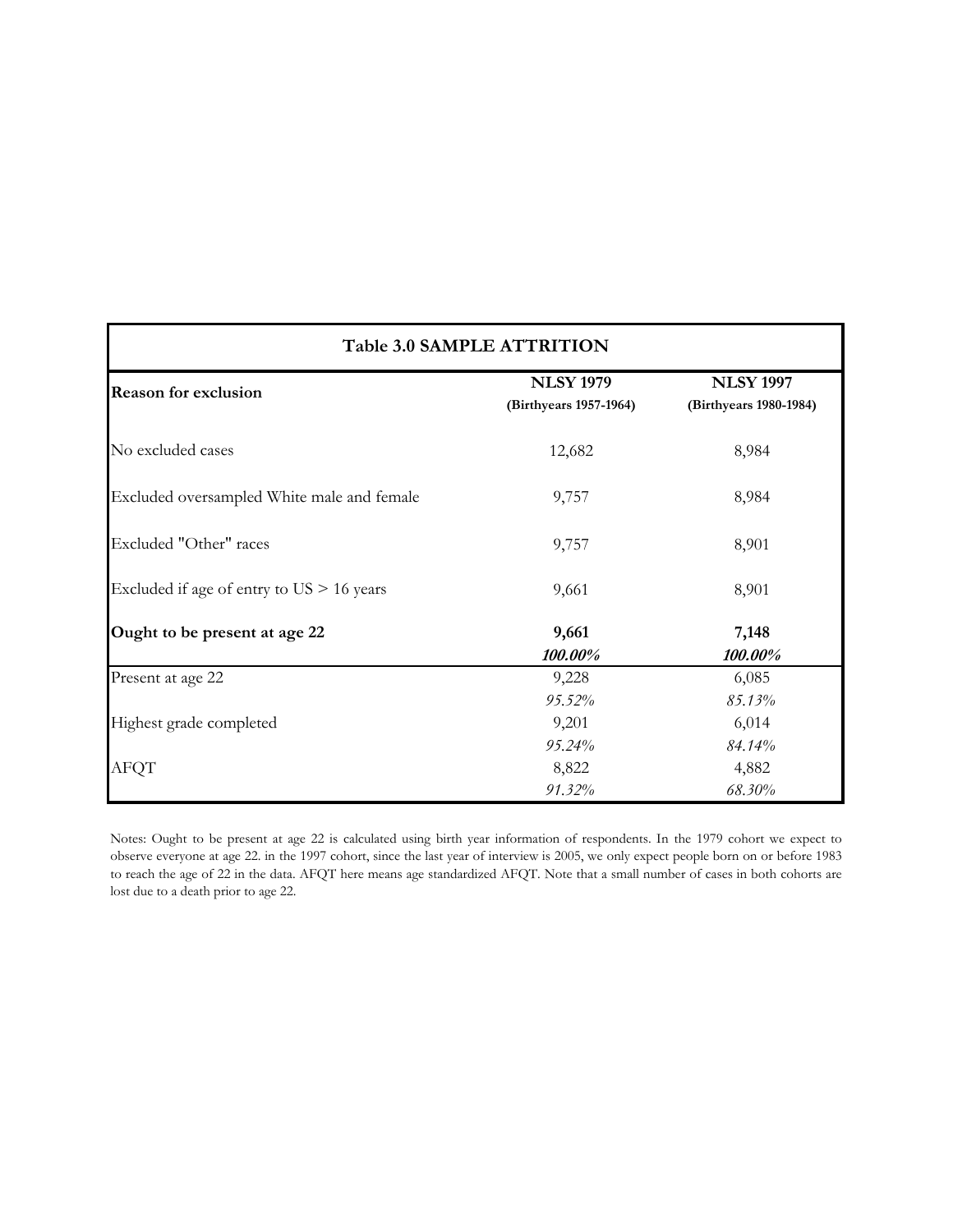|                                             | Table 3.0 SAMPLE ATTRITION                 |                                            |  |  |  |  |  |  |  |  |  |
|---------------------------------------------|--------------------------------------------|--------------------------------------------|--|--|--|--|--|--|--|--|--|
| <b>Reason for exclusion</b>                 | <b>NLSY 1979</b><br>(Birthyears 1957-1964) | <b>NLSY 1997</b><br>(Birthyears 1980-1984) |  |  |  |  |  |  |  |  |  |
| No excluded cases                           | 12,682                                     | 8,984                                      |  |  |  |  |  |  |  |  |  |
| Excluded oversampled White male and female  | 9,757                                      | 8,984                                      |  |  |  |  |  |  |  |  |  |
| Excluded "Other" races                      | 9,757                                      | 8,901                                      |  |  |  |  |  |  |  |  |  |
| Excluded if age of entry to $US > 16$ years | 9,661                                      | 8,901                                      |  |  |  |  |  |  |  |  |  |
| Ought to be present at age 22               | 9,661<br>100.00%                           | 7,148<br>100.00%                           |  |  |  |  |  |  |  |  |  |
| Present at age 22                           | 9,228                                      | 6,085                                      |  |  |  |  |  |  |  |  |  |
|                                             | 95.52%                                     | 85.13%                                     |  |  |  |  |  |  |  |  |  |
| Highest grade completed                     | 9,201                                      | 6,014                                      |  |  |  |  |  |  |  |  |  |
|                                             | 95.24%                                     | 84.14%                                     |  |  |  |  |  |  |  |  |  |
| <b>AFQT</b>                                 | 8,822                                      | 4,882                                      |  |  |  |  |  |  |  |  |  |
|                                             | 91.32%                                     | 68.30%                                     |  |  |  |  |  |  |  |  |  |

Notes: Ought to be present at age 22 is calculated using birth year information of respondents. In the 1979 cohort we expect to observe everyone at age 22. in the 1997 cohort, since the last year of interview is 2005, we only expect people born on or before 1983 to reach the age of 22 in the data. AFQT here means age standardized AFQT. Note that a small number of cases in both cohorts are lost due to a death prior to age 22.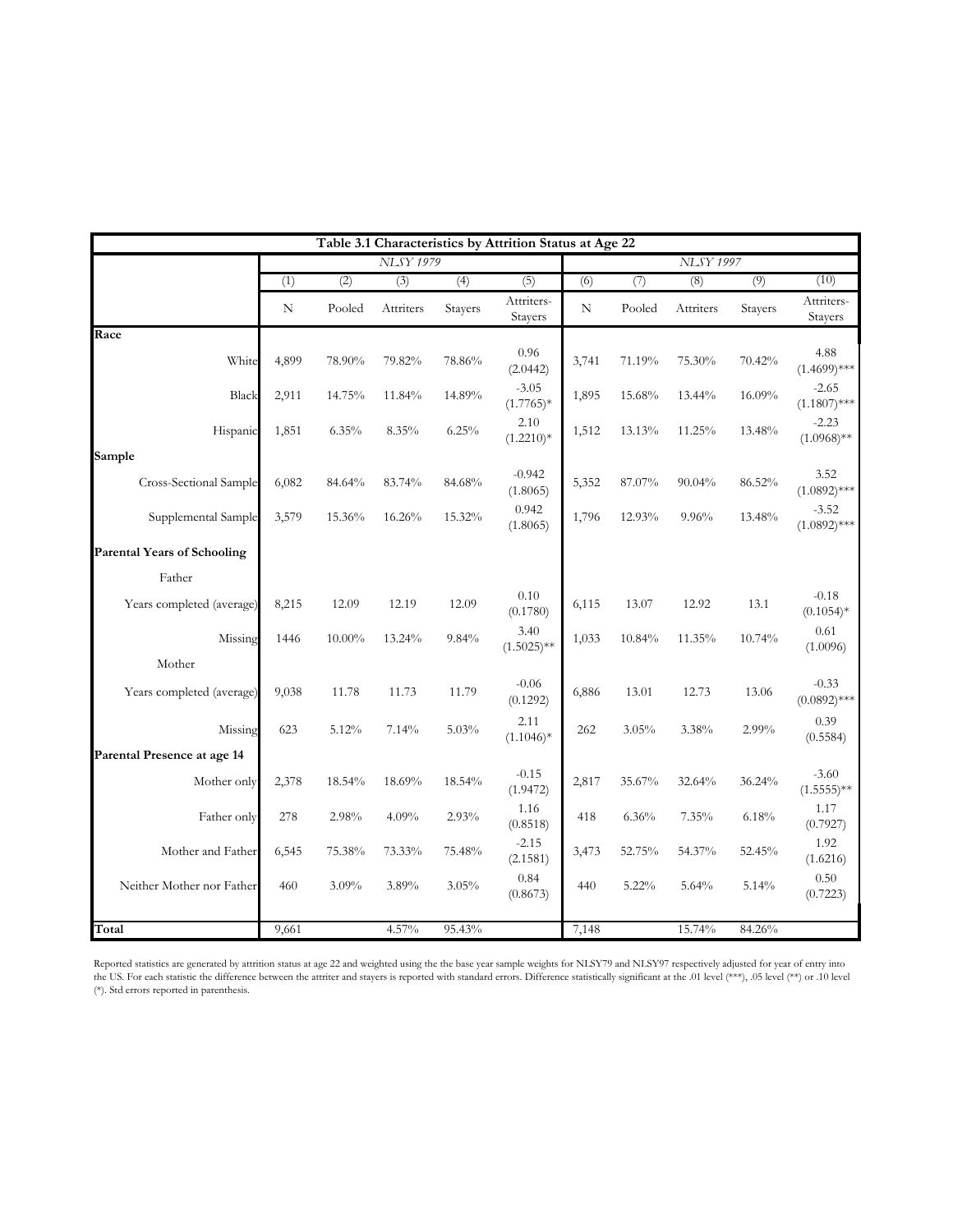|                                    | Table 3.1 Characteristics by Attrition Status at Age 22 |           |                  |         |                        |       |           |                  |         |                           |  |  |  |
|------------------------------------|---------------------------------------------------------|-----------|------------------|---------|------------------------|-------|-----------|------------------|---------|---------------------------|--|--|--|
|                                    |                                                         |           | <b>NLSY 1979</b> |         |                        |       |           | <b>NLSY 1997</b> |         |                           |  |  |  |
|                                    | (1)                                                     | (2)       | $\overline{3)}$  | (4)     | $\overline{(5)}$       | (6)   | (7)       | (8)              | (9)     | (10)                      |  |  |  |
|                                    | N                                                       | Pooled    | Attriters        | Stayers | Attriters-<br>Stayers  | N     | Pooled    | Attriters        | Stayers | Attriters-<br>Stayers     |  |  |  |
| Race                               |                                                         |           |                  |         |                        |       |           |                  |         |                           |  |  |  |
| White                              | 4,899                                                   | 78.90%    | 79.82%           | 78.86%  | 0.96<br>(2.0442)       | 3,741 | 71.19%    | 75.30%           | 70.42%  | 4.88<br>$(1.4699)$ ***    |  |  |  |
| Black                              | 2,911                                                   | 14.75%    | 11.84%           | 14.89%  | $-3.05$<br>$(1.7765)*$ | 1,895 | 15.68%    | 13.44%           | 16.09%  | $-2.65$<br>$(1.1807)$ *** |  |  |  |
| Hispanic                           | 1,851                                                   | $6.35\%$  | 8.35%            | 6.25%   | 2.10<br>$(1.2210)*$    | 1,512 | 13.13%    | 11.25%           | 13.48%  | $-2.23$<br>$(1.0968)$ **  |  |  |  |
| Sample                             |                                                         |           |                  |         |                        |       |           |                  |         |                           |  |  |  |
| Cross-Sectional Sample             | 6,082                                                   | 84.64%    | 83.74%           | 84.68%  | $-0.942$<br>(1.8065)   | 5,352 | $87.07\%$ | 90.04%           | 86.52%  | 3.52<br>$(1.0892)$ ***    |  |  |  |
| Supplemental Sample                | 3,579                                                   | 15.36%    | 16.26%           | 15.32%  | 0.942<br>(1.8065)      | 1,796 | 12.93%    | 9.96%            | 13.48%  | $-3.52$<br>$(1.0892)$ *** |  |  |  |
| <b>Parental Years of Schooling</b> |                                                         |           |                  |         |                        |       |           |                  |         |                           |  |  |  |
| Father                             |                                                         |           |                  |         |                        |       |           |                  |         |                           |  |  |  |
|                                    |                                                         |           |                  |         | 0.10                   |       |           |                  |         | $-0.18$                   |  |  |  |
| Years completed (average)          | 8,215                                                   | 12.09     | 12.19            | 12.09   | (0.1780)               | 6,115 | 13.07     | 12.92            | 13.1    | $(0.1054)*$               |  |  |  |
| Missing                            | 1446                                                    | $10.00\%$ | 13.24%           | 9.84%   | 3.40<br>$(1.5025)$ **  | 1,033 | 10.84%    | 11.35%           | 10.74%  | 0.61<br>(1.0096)          |  |  |  |
| Mother                             |                                                         |           |                  |         |                        |       |           |                  |         |                           |  |  |  |
| Years completed (average)          | 9,038                                                   | 11.78     | 11.73            | 11.79   | $-0.06$<br>(0.1292)    | 6,886 | 13.01     | 12.73            | 13.06   | $-0.33$<br>$(0.0892)$ *** |  |  |  |
| Missing                            | 623                                                     | 5.12%     | 7.14%            | 5.03%   | 2.11<br>$(1.1046)*$    | 262   | 3.05%     | 3.38%            | 2.99%   | 0.39<br>(0.5584)          |  |  |  |
| Parental Presence at age 14        |                                                         |           |                  |         |                        |       |           |                  |         |                           |  |  |  |
| Mother only                        | 2,378                                                   | 18.54%    | 18.69%           | 18.54%  | $-0.15$<br>(1.9472)    | 2,817 | 35.67%    | 32.64%           | 36.24%  | $-3.60$<br>$(1.5555)**$   |  |  |  |
| Father only                        | 278                                                     | 2.98%     | 4.09%            | 2.93%   | 1.16<br>(0.8518)       | 418   | 6.36%     | 7.35%            | 6.18%   | 1.17<br>(0.7927)          |  |  |  |
| Mother and Father                  | 6,545                                                   | 75.38%    | 73.33%           | 75.48%  | $-2.15$<br>(2.1581)    | 3,473 | 52.75%    | 54.37%           | 52.45%  | 1.92<br>(1.6216)          |  |  |  |
| Neither Mother nor Father          | 460                                                     | $3.09\%$  | 3.89%            | 3.05%   | 0.84<br>(0.8673)       | 440   | $5.22\%$  | 5.64%            | 5.14%   | 0.50<br>(0.7223)          |  |  |  |
|                                    |                                                         |           |                  |         |                        |       |           |                  |         |                           |  |  |  |
| Total                              | 9,661                                                   |           | 4.57%            | 95.43%  |                        | 7,148 |           | 15.74%           | 84.26%  |                           |  |  |  |

Reported statistics are generated by attrition status at age 22 and weighted using the the base year sample weights for NLSY79 and NLSY97 respectively adjusted for year of entry into the US. For each statistic the difference between the attriter and stayers is reported with standard errors. Difference statistically significant at the .01 level (\*\*), .05 level (\*\*) or .10 level (\*). Std errors reported in parenthesis.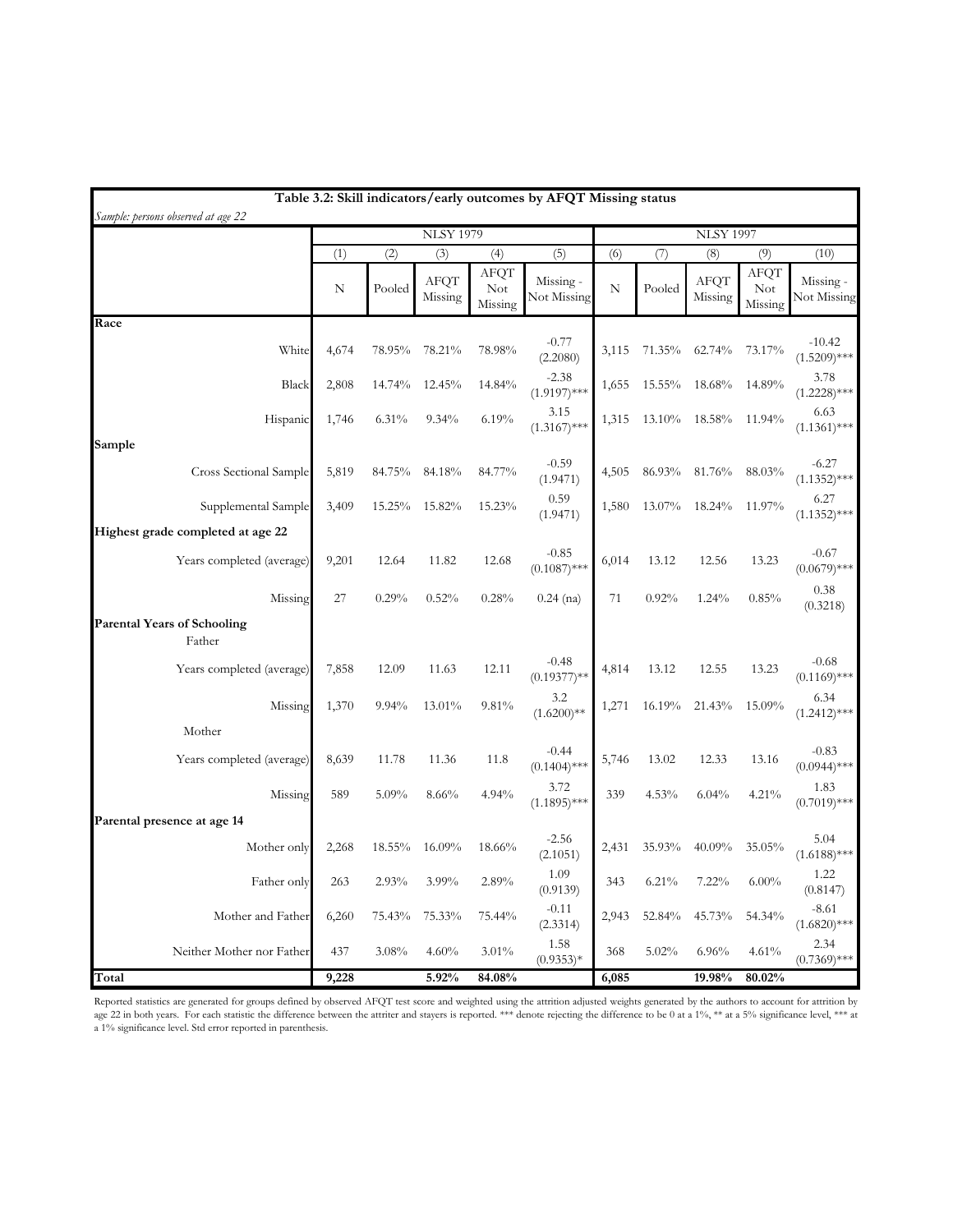| Sample: persons observed at age 22           |       |           |                  |                               | Table 3.2: Skill indicators/early outcomes by AFQT Missing status |       |        |                  |                        |                            |
|----------------------------------------------|-------|-----------|------------------|-------------------------------|-------------------------------------------------------------------|-------|--------|------------------|------------------------|----------------------------|
|                                              |       |           | <b>NLSY 1979</b> |                               |                                                                   |       |        | <b>NLSY 1997</b> |                        |                            |
|                                              | (1)   | (2)       | (3)              | (4)                           | (5)                                                               | (6)   | (7)    | (8)              | (9)                    | (10)                       |
|                                              | N     | Pooled    | AFQT<br>Missing  | AFQT<br><b>Not</b><br>Missing | Missing -<br>Not Missing                                          | N     | Pooled | AFQT<br>Missing  | AFQT<br>Not<br>Missing | Missing -<br>Not Missing   |
| Race                                         |       |           |                  |                               |                                                                   |       |        |                  |                        |                            |
| White                                        | 4,674 | 78.95%    | 78.21%           | 78.98%                        | $-0.77$<br>(2.2080)                                               | 3,115 | 71.35% | 62.74%           | 73.17%                 | $-10.42$<br>$(1.5209)$ *** |
| Black                                        | 2,808 | 14.74%    | 12.45%           | 14.84%                        | $-2.38$<br>$(1.9197)$ ***                                         | 1,655 | 15.55% | 18.68%           | 14.89%                 | 3.78<br>$(1.2228)$ ***     |
| Hispanic                                     | 1,746 | 6.31%     | 9.34%            | 6.19%                         | 3.15<br>$(1.3167)$ ***                                            | 1,315 | 13.10% | 18.58%           | 11.94%                 | 6.63<br>$(1.1361)$ ***     |
| Sample                                       |       |           |                  |                               |                                                                   |       |        |                  |                        |                            |
| Cross Sectional Sample                       | 5,819 | 84.75%    | 84.18%           | 84.77%                        | $-0.59$<br>(1.9471)                                               | 4,505 | 86.93% | 81.76%           | 88.03%                 | $-6.27$<br>$(1.1352)$ ***  |
| Supplemental Sample                          | 3,409 | $15.25\%$ | 15.82%           | 15.23%                        | 0.59<br>(1.9471)                                                  | 1,580 | 13.07% | 18.24%           | 11.97%                 | 6.27<br>$(1.1352)$ ***     |
| Highest grade completed at age 22            |       |           |                  |                               |                                                                   |       |        |                  |                        |                            |
| Years completed (average)                    | 9,201 | 12.64     | 11.82            | 12.68                         | $-0.85$<br>$(0.1087)$ ***                                         | 6,014 | 13.12  | 12.56            | 13.23                  | $-0.67$<br>$(0.0679)$ ***  |
| Missing                                      | 27    | 0.29%     | 0.52%            | 0.28%                         | $0.24$ (na)                                                       | 71    | 0.92%  | $1.24\%$         | 0.85%                  | 0.38<br>(0.3218)           |
| <b>Parental Years of Schooling</b><br>Father |       |           |                  |                               |                                                                   |       |        |                  |                        |                            |
| Years completed (average)                    | 7,858 | 12.09     | 11.63            | 12.11                         | $-0.48$<br>$(0.19377)$ **                                         | 4,814 | 13.12  | 12.55            | 13.23                  | $-0.68$<br>$(0.1169)$ ***  |
| Missing                                      | 1,370 | 9.94%     | 13.01%           | 9.81%                         | 3.2<br>$(1.6200)$ **                                              | 1,271 | 16.19% | 21.43%           | 15.09%                 | 6.34<br>$(1.2412)$ ***     |
| Mother                                       |       |           |                  |                               |                                                                   |       |        |                  |                        |                            |
| Years completed (average)                    | 8,639 | 11.78     | 11.36            | 11.8                          | $-0.44$<br>$(0.1404)$ ***                                         | 5,746 | 13.02  | 12.33            | 13.16                  | $-0.83$<br>$(0.0944)$ ***  |
| Missing                                      | 589   | 5.09%     | 8.66%            | 4.94%                         | 3.72<br>$(1.1895)$ ***                                            | 339   | 4.53%  | 6.04%            | 4.21%                  | 1.83<br>$(0.7019)$ ***     |
| Parental presence at age 14                  |       |           |                  |                               |                                                                   |       |        |                  |                        |                            |
| Mother only                                  | 2,268 | 18.55%    | 16.09%           | 18.66%                        | $-2.56$<br>(2.1051)                                               | 2,431 | 35.93% | 40.09%           | 35.05%                 | 5.04<br>$(1.6188)$ ***     |
| Father only                                  | 263   | 2.93%     | 3.99%            | 2.89%                         | 1.09<br>(0.9139)                                                  | 343   | 6.21%  | 7.22%            | $6.00\%$               | 1.22<br>(0.8147)           |
| Mother and Father                            | 6,260 | 75.43%    | 75.33%           | 75.44%                        | $-0.11$<br>(2.3314)                                               | 2,943 | 52.84% | 45.73%           | 54.34%                 | $-8.61$<br>$(1.6820)$ ***  |
| Neither Mother nor Father                    | 437   | 3.08%     | 4.60%            | 3.01%                         | 1.58<br>$(0.9353)*$                                               | 368   | 5.02%  | 6.96%            | 4.61%                  | 2.34<br>$(0.7369)$ ***     |
| Total                                        | 9,228 |           | 5.92%            | 84.08%                        |                                                                   | 6,085 |        | 19.98%           | 80.02%                 |                            |

Reported statistics are generated for groups defined by observed AFQT test score and weighted using the attrition adjusted weights generated by the authors to account for attrition by age 22 in both years. For each statistic the difference between the attriter and stayers is reported. \*\*\* denote rejecting the difference to be 0 at a 1%, \*\* at a 5% significance level, \*\*\* at a 5% significance level, \*\*\* a 1% significance level. Std error reported in parenthesis.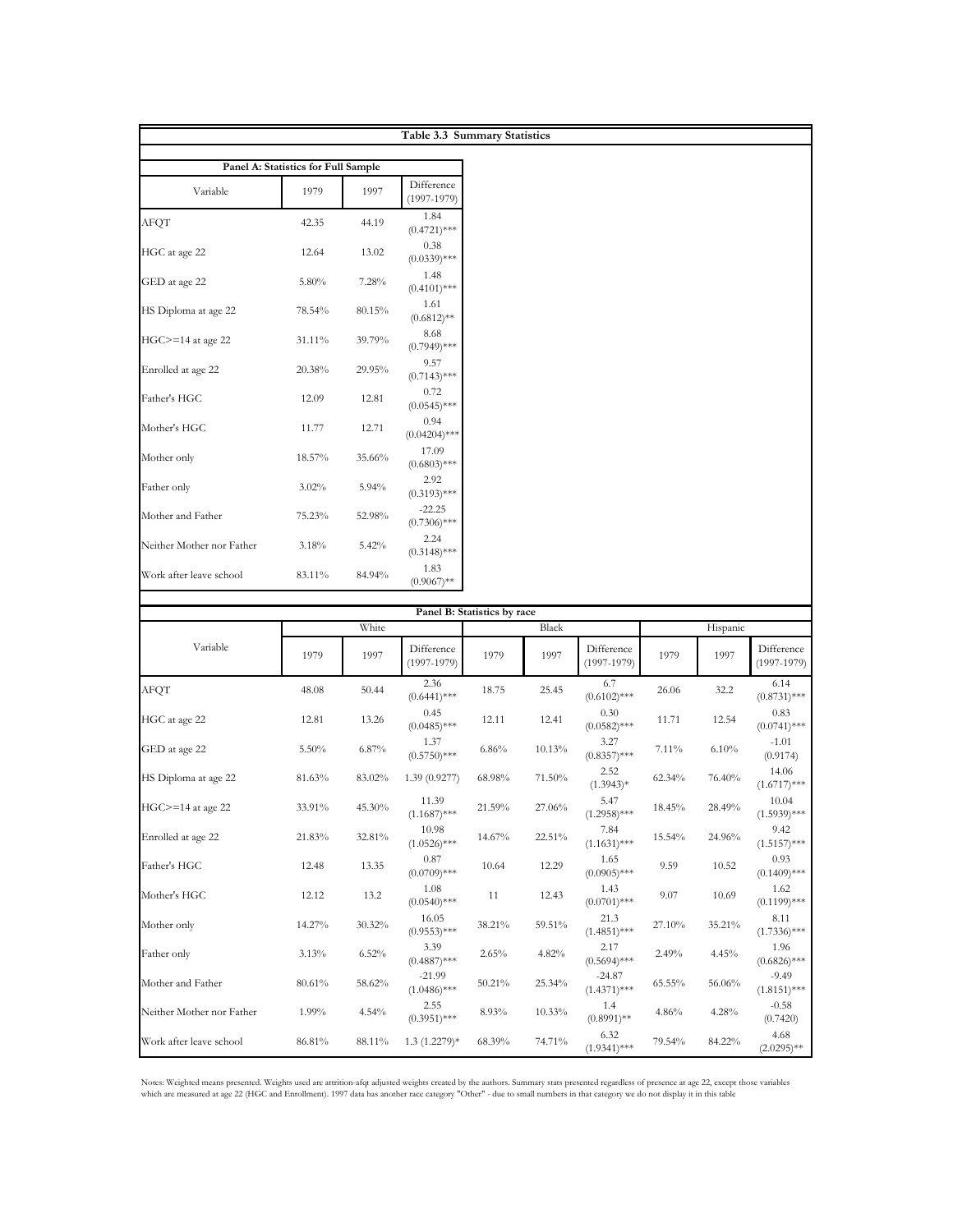|                           |                                     |           | Table 3.3 Summary Statistics |                             |           |                               |           |          |                             |
|---------------------------|-------------------------------------|-----------|------------------------------|-----------------------------|-----------|-------------------------------|-----------|----------|-----------------------------|
|                           | Panel A: Statistics for Full Sample |           |                              |                             |           |                               |           |          |                             |
| Variable                  | 1979                                | 1997      | Difference<br>$(1997-1979)$  |                             |           |                               |           |          |                             |
| AFQT                      | 42.35                               | 44.19     | 1.84<br>$(0.4721)$ ***       |                             |           |                               |           |          |                             |
| HGC at age 22             | 12.64                               | 13.02     | 0.38<br>$(0.0339)$ ***       |                             |           |                               |           |          |                             |
| GED at age 22             | 5.80%                               | 7.28%     | 1.48<br>$(0.4101)$ ***       |                             |           |                               |           |          |                             |
| HS Diploma at age 22      | 78.54%                              | 80.15%    | 1.61<br>$(0.6812)$ **        |                             |           |                               |           |          |                             |
| $HGC>=14$ at age 22       | 31.11%                              | 39.79%    | 8.68<br>$(0.7949)$ ***       |                             |           |                               |           |          |                             |
| Enrolled at age 22        | 20.38%                              | 29.95%    | 9.57<br>$(0.7143)$ ***       |                             |           |                               |           |          |                             |
| Father's HGC              | 12.09                               | 12.81     | 0.72<br>$(0.0545)$ ***       |                             |           |                               |           |          |                             |
| Mother's HGC              | 11.77                               | 12.71     | 0.94<br>$(0.04204)$ ***      |                             |           |                               |           |          |                             |
| Mother only               | 18.57%                              | 35.66%    | 17.09<br>$(0.6803)$ ***      |                             |           |                               |           |          |                             |
| Father only               | $3.02\%$                            | 5.94%     | 2.92<br>$(0.3193)$ ***       |                             |           |                               |           |          |                             |
| Mother and Father         | 75.23%                              | 52.98%    | $-22.25$<br>$(0.7306)$ ***   |                             |           |                               |           |          |                             |
| Neither Mother nor Father | 3.18%                               | 5.42%     | 2.24<br>$(0.3148)$ ***       |                             |           |                               |           |          |                             |
| Work after leave school   | 83.11%                              | 84.94%    | 1.83<br>$(0.9067)$ **        |                             |           |                               |           |          |                             |
|                           |                                     |           |                              | Panel B: Statistics by race |           |                               |           |          |                             |
|                           |                                     | White     |                              |                             | Black     |                               |           | Hispanic |                             |
| Variable                  | 1979                                | 1997      | Difference<br>$(1997-1979)$  | 1979                        | 1997      | Difference<br>$(1997 - 1979)$ | 1979      | 1997     | Difference<br>$(1997-1979)$ |
| <b>AFQT</b>               | 48.08                               | 50.44     | 2.36<br>$(0.6441)$ ***       | 18.75                       | 25.45     | 6.7<br>$(0.6102)$ ***         | 26.06     | 32.2     | 6.14<br>$(0.8731)$ ***      |
| HGC at age 22             | 12.81                               | 13.26     | 0.45<br>$(0.0485)$ ***       | 12.11                       | 12.41     | 0.30<br>$(0.0582)$ ***        | 11.71     | 12.54    | 0.83<br>$(0.0741)$ ***      |
| GED at age 22             | 5.50%                               | 6.87%     | 1.37<br>$(0.5750)$ ***       | 6.86%                       | 10.13%    | 3.27<br>$(0.8357)$ ***        | 7.11%     | 6.10%    | $-1.01$<br>(0.9174)         |
| HS Diploma at age 22      | 81.63%                              | 83.02%    | 1.39(0.9277)                 | 68.98%                      | 71.50%    | 2.52<br>$(1.3943)*$           | $62.34\%$ | 76.40%   | 14.06<br>$(1.6717)$ ***     |
| $HGC>=14$ at age 22       | 33.91%                              | $45.30\%$ | 11.39<br>$(1.1687)$ ***      | 21.59%                      | 27.06%    | 5.47<br>$(1.2958)$ ***        | 18.45%    | 28.49%   | 10.04<br>$(1.5939)$ ***     |
| Enrolled at age 22        | 21.83%                              | 32.81%    | 10.98<br>$(1.0526)$ ***      | 14.67%                      | 22.51%    | 7.84<br>$(1.1631)$ ***        | 15.54%    | 24.96%   | 9.42<br>$(1.5157)$ ***      |
| Father's HGC              | 12.48                               | 13.35     | 0.87<br>$(0.0709)$ ***       | 10.64                       | 12.29     | 1.65<br>$(0.0905)$ ***        | 9.59      | 10.52    | 0.93<br>$(0.1409)$ ***      |
| Mother's HGC              | 12.12                               | 13.2      | 1.08<br>$(0.0540)$ ***       | 11                          | 12.43     | 1.43<br>$(0.0701)$ ***        | 9.07      | 10.69    | 1.62<br>$(0.1199)$ ***      |
| Mother only               | 14.27%                              | 30.32%    | 16.05<br>$(0.9553)$ ***      | 38.21%                      | 59.51%    | 21.3<br>$(1.4851)$ ***        | 27.10%    | 35.21%   | 8.11<br>$(1.7336)$ ***      |
| Father only               | 3.13%                               | 6.52%     | 3.39<br>$(0.4887)$ ***       | 2.65%                       | 4.82%     | 2.17<br>$(0.5694)$ ***        | 2.49%     | 4.45%    | 1.96<br>$(0.6826)$ ***      |
| Mother and Father         | 80.61%                              | 58.62%    | $-21.99$<br>$(1.0486)$ ***   | 50.21%                      | 25.34%    | -24.87<br>$(1.4371)$ ***      | 65.55%    | 56.06%   | $-9.49$<br>$(1.8151)$ ***   |
| Neither Mother nor Father | 1.99%                               | 4.54%     | 2.55<br>$(0.3951)$ ***       | 8.93%                       | $10.33\%$ | 1.4<br>$(0.8991)$ **          | 4.86%     | 4.28%    | $-0.58$<br>(0.7420)         |
| Work after leave school   | 86.81%                              | 88.11%    | $1.3(1.2279)*$               | 68.39%                      | 74.71%    | 6.32<br>$(1.9341)$ ***        | 79.54%    | 84.22%   | 4.68<br>$(2.0295)$ **       |

Notes: Weighted means presented. Weights used are attrition-afqt adjusted weights created by the authors. Summary stats presented regardless of presence at age 22, except those variables<br>which are measured at age 22 (HGC a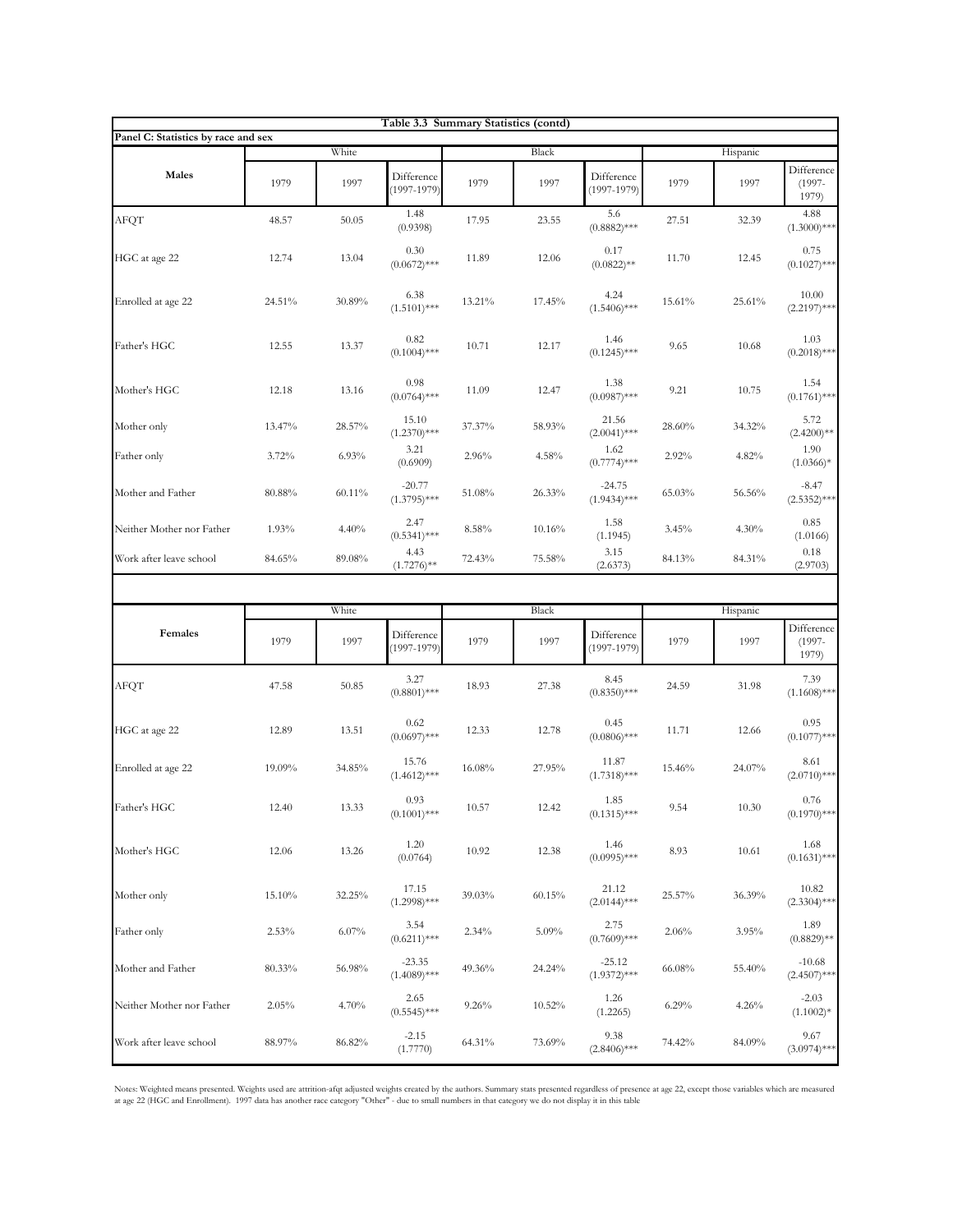|                                     |        |          |                               | Table 3.3 Summary Statistics (contd) |        |                               |        |          |                                  |
|-------------------------------------|--------|----------|-------------------------------|--------------------------------------|--------|-------------------------------|--------|----------|----------------------------------|
| Panel C: Statistics by race and sex |        | White    |                               |                                      | Black  |                               |        | Hispanic |                                  |
| Males                               | 1979   | 1997     | Difference<br>$(1997 - 1979)$ | 1979                                 | 1997   | Difference<br>$(1997-1979)$   | 1979   | 1997     | Difference<br>$(1997 -$<br>1979) |
| AFQT                                | 48.57  | 50.05    | 1.48<br>(0.9398)              | 17.95                                | 23.55  | 5.6<br>$(0.8882)$ ***         | 27.51  | 32.39    | 4.88<br>$(1.3000)$ ***           |
| HGC at age 22                       | 12.74  | 13.04    | 0.30<br>$(0.0672)$ ***        | 11.89                                | 12.06  | 0.17<br>$(0.0822)$ **         | 11.70  | 12.45    | 0.75<br>$(0.1027)$ ***           |
| Enrolled at age 22                  | 24.51% | 30.89%   | 6.38<br>$(1.5101)$ ***        | 13.21%                               | 17.45% | 4.24<br>$(1.5406)$ ***        | 15.61% | 25.61%   | 10.00<br>$(2.2197)***$           |
| Father's HGC                        | 12.55  | 13.37    | 0.82<br>$(0.1004)$ ***        | 10.71                                | 12.17  | 1.46<br>$(0.1245)$ ***        | 9.65   | 10.68    | 1.03<br>$(0.2018)$ ***           |
| Mother's HGC                        | 12.18  | 13.16    | 0.98<br>$(0.0764)$ ***        | 11.09                                | 12.47  | 1.38<br>$(0.0987)$ ***        | 9.21   | 10.75    | 1.54<br>$(0.1761)$ ***           |
| Mother only                         | 13.47% | 28.57%   | 15.10<br>$(1.2370)$ ***       | 37.37%                               | 58.93% | 21.56<br>$(2.0041)$ ***       | 28.60% | 34.32%   | 5.72<br>$(2.4200)$ **            |
| Father only                         | 3.72%  | 6.93%    | 3.21<br>(0.6909)              | 2.96%                                | 4.58%  | 1.62<br>$(0.7774)$ ***        | 2.92%  | 4.82%    | 1.90<br>$(1.0366)*$              |
| Mother and Father                   | 80.88% | 60.11%   | $-20.77$<br>$(1.3795)$ ***    | 51.08%                               | 26.33% | $-24.75$<br>$(1.9434)$ ***    | 65.03% | 56.56%   | $-8.47$<br>$(2.5352)$ ***        |
| Neither Mother nor Father           | 1.93%  | 4.40%    | 2.47<br>$(0.5341)$ ***        | 8.58%                                | 10.16% | 1.58<br>(1.1945)              | 3.45%  | 4.30%    | 0.85<br>(1.0166)                 |
| Work after leave school             | 84.65% | 89.08%   | 4.43<br>$(1.7276)$ **         | 72.43%                               | 75.58% | 3.15<br>(2.6373)              | 84.13% | 84.31%   | 0.18<br>(2.9703)                 |
|                                     |        |          |                               |                                      |        |                               |        |          |                                  |
|                                     |        | White    |                               |                                      | Black  |                               |        | Hispanic |                                  |
| Females                             | 1979   | 1997     | Difference<br>$(1997 - 1979)$ | 1979                                 | 1997   | Difference<br>$(1997 - 1979)$ | 1979   | 1997     | Difference<br>$(1997 -$<br>1979) |
| AFQT                                | 47.58  | 50.85    | 3.27<br>$(0.8801)$ ***        | 18.93                                | 27.38  | 8.45<br>$(0.8350)$ ***        | 24.59  | 31.98    | 7.39<br>$(1.1608)$ ***           |
| HGC at age 22                       | 12.89  | 13.51    | 0.62<br>$(0.0697)$ ***        | 12.33                                | 12.78  | 0.45<br>$(0.0806)$ ***        | 11.71  | 12.66    | 0.95<br>$(0.1077)$ ***           |
| Enrolled at age 22                  | 19.09% | 34.85%   | 15.76<br>$(1.4612)$ ***       | 16.08%                               | 27.95% | 11.87<br>$(1.7318)$ ***       | 15.46% | 24.07%   | 8.61<br>$(2.0710)$ ***           |
| Father's HGC                        | 12.40  | 13.33    | 0.93<br>$(0.1001)$ ***        | 10.57                                | 12.42  | 1.85<br>$(0.1315)$ ***        | 9.54   | 10.30    | 0.76<br>$(0.1970)$ ***           |
| Mother's HGC                        | 12.06  | 13.26    | 1.20<br>(0.0764)              | 10.92                                | 12.38  | 1.46<br>$(0.0995)$ ***        | 8.93   | 10.61    | 1.68<br>$(0.1631)$ ***           |
| Mother only                         | 15.10% | 32.25%   | 17.15<br>$(1.2998)$ ***       | 39.03%                               | 60.15% | 21.12<br>$(2.0144)$ ***       | 25.57% | 36.39%   | 10.82<br>$(2.3304)$ ***          |
| Father only                         | 2.53%  | $6.07\%$ | 3.54<br>$(0.6211)$ ***        | 2.34%                                | 5.09%  | 2.75<br>$(0.7609)$ ***        | 2.06%  | 3.95%    | 1.89<br>$(0.8829)$ **            |
| Mother and Father                   | 80.33% | 56.98%   | $-23.35$<br>$(1.4089)$ ***    | 49.36%                               | 24.24% | $-25.12$<br>$(1.9372)$ ***    | 66.08% | 55.40%   | $-10.68$<br>$(2.4507)$ ***       |
| Neither Mother nor Father           | 2.05%  | 4.70%    | 2.65<br>$(0.5545)$ ***        | 9.26%                                | 10.52% | 1.26<br>(1.2265)              | 6.29%  | 4.26%    | $-2.03$<br>$(1.1002)^{*}$        |
|                                     |        |          |                               |                                      |        |                               |        |          |                                  |

Notes: Weighted means presented. Weights used are attrition-afqt adjusted weights created by the authors. Summary stats presented regardless of presence at age 22, except those variables which are measured<br>at age 22 (HGC a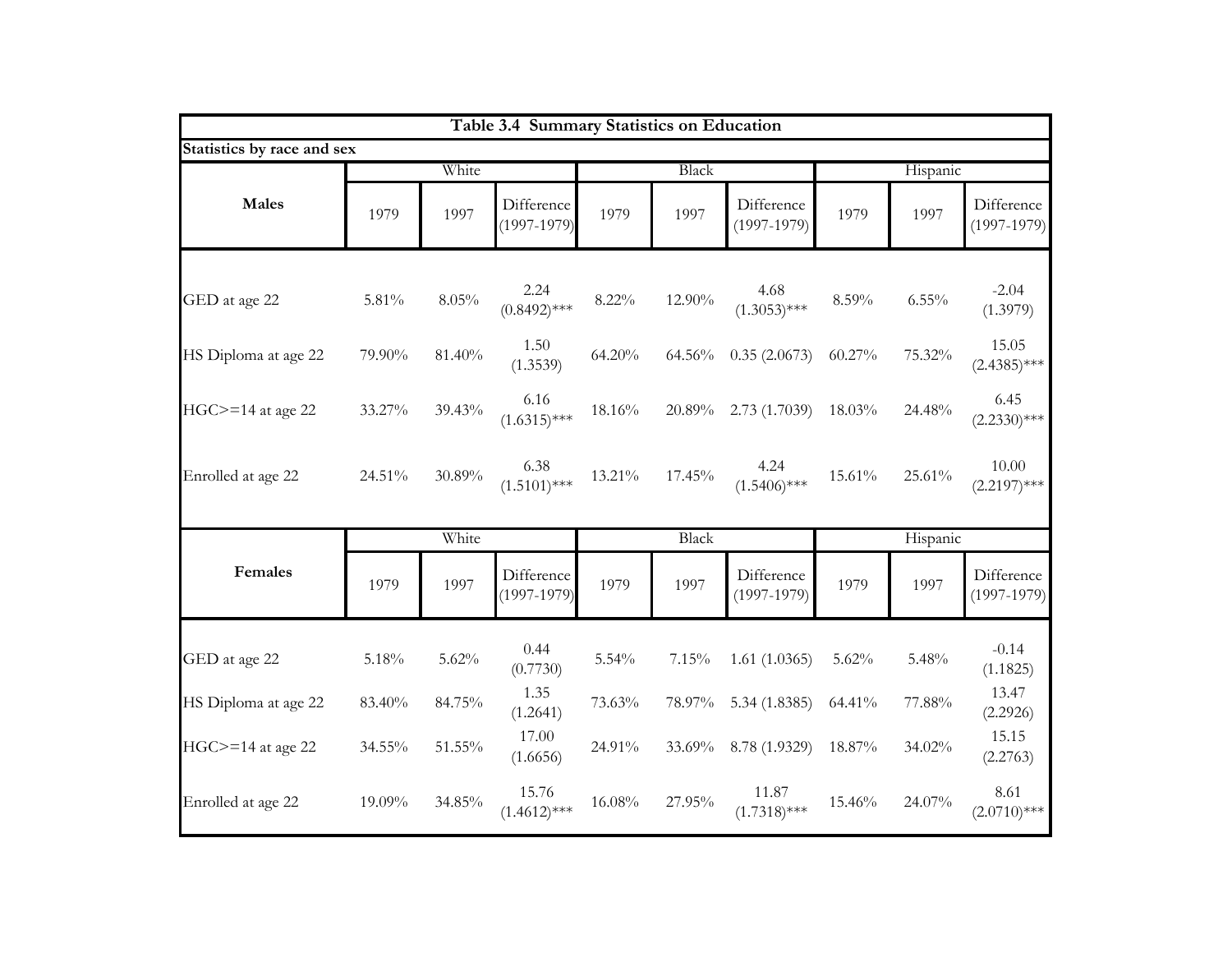|                            |          |        | Table 3.4 Summary Statistics on Education |        |        |                               |        |          |                             |
|----------------------------|----------|--------|-------------------------------------------|--------|--------|-------------------------------|--------|----------|-----------------------------|
| Statistics by race and sex |          |        |                                           |        |        |                               |        |          |                             |
|                            |          | White  |                                           |        | Black  |                               |        | Hispanic |                             |
| <b>Males</b>               | 1979     | 1997   | Difference<br>$(1997 - 1979)$             | 1979   | 1997   | Difference<br>$(1997 - 1979)$ | 1979   | 1997     | Difference<br>$(1997-1979)$ |
|                            |          |        |                                           |        |        |                               |        |          |                             |
| GED at age 22              | $5.81\%$ | 8.05%  | 2.24<br>$(0.8492)$ ***                    | 8.22%  | 12.90% | 4.68<br>$(1.3053)$ ***        | 8.59%  | $6.55\%$ | $-2.04$<br>(1.3979)         |
| HS Diploma at age 22       | 79.90%   | 81.40% | 1.50<br>(1.3539)                          | 64.20% | 64.56% | 0.35(2.0673)                  | 60.27% | 75.32%   | 15.05<br>$(2.4385)$ ***     |
| $HGC = 14$ at age 22       | 33.27%   | 39.43% | 6.16<br>$(1.6315)$ ***                    | 18.16% | 20.89% | 2.73(1.7039)                  | 18.03% | 24.48%   | 6.45<br>$(2.2330)$ ***      |
| Enrolled at age 22         | 24.51%   | 30.89% | 6.38<br>$(1.5101)$ ***                    | 13.21% | 17.45% | 4.24<br>$(1.5406)$ ***        | 15.61% | 25.61%   | 10.00<br>$(2.2197)$ ***     |
|                            |          | White  |                                           |        | Black  |                               |        | Hispanic |                             |
| Females                    | 1979     | 1997   | Difference<br>$(1997 - 1979)$             | 1979   | 1997   | Difference<br>$(1997 - 1979)$ | 1979   | 1997     | Difference<br>$(1997-1979)$ |
|                            |          |        |                                           |        |        |                               |        |          |                             |
| GED at age 22              | 5.18%    | 5.62%  | 0.44<br>(0.7730)                          | 5.54%  | 7.15%  | 1.61(1.0365)                  | 5.62%  | 5.48%    | $-0.14$<br>(1.1825)         |
| HS Diploma at age 22       | 83.40%   | 84.75% | 1.35<br>(1.2641)                          | 73.63% | 78.97% | 5.34 (1.8385)                 | 64.41% | 77.88%   | 13.47<br>(2.2926)           |
| $HGC>=14$ at age 22        | 34.55%   | 51.55% | 17.00<br>(1.6656)                         | 24.91% | 33.69% | 8.78 (1.9329)                 | 18.87% | 34.02%   | 15.15<br>(2.2763)           |
| Enrolled at age 22         | 19.09%   | 34.85% | 15.76<br>$(1.4612)$ ***                   | 16.08% | 27.95% | 11.87<br>$(1.7318)$ ***       | 15.46% | 24.07%   | 8.61<br>$(2.0710)$ ***      |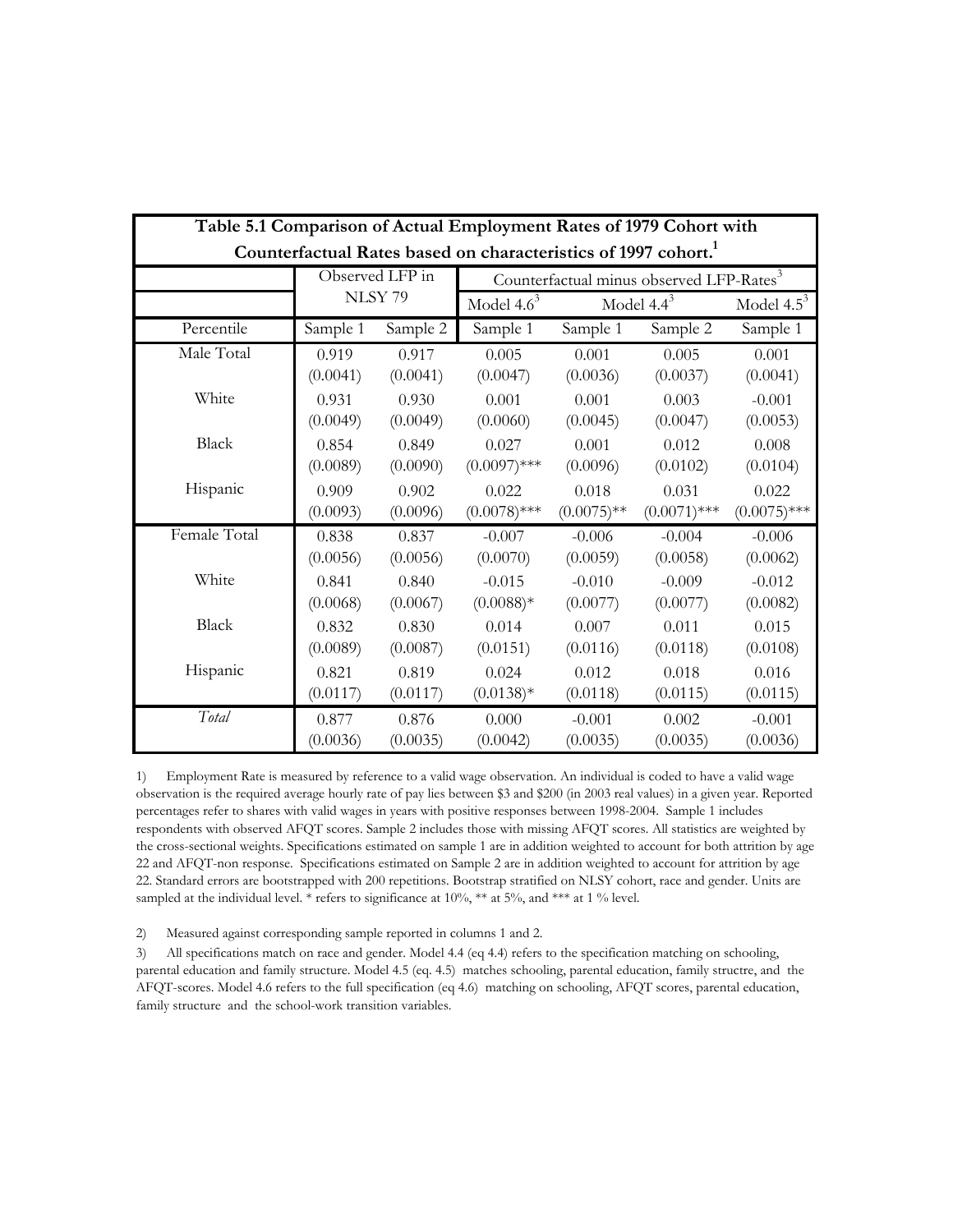| Table 5.1 Comparison of Actual Employment Rates of 1979 Cohort with |                                                                            |                 |                |               |                                                      |                |  |  |  |  |  |  |
|---------------------------------------------------------------------|----------------------------------------------------------------------------|-----------------|----------------|---------------|------------------------------------------------------|----------------|--|--|--|--|--|--|
|                                                                     | Counterfactual Rates based on characteristics of 1997 cohort. <sup>1</sup> |                 |                |               |                                                      |                |  |  |  |  |  |  |
|                                                                     |                                                                            | Observed LFP in |                |               | Counterfactual minus observed LFP-Rates <sup>3</sup> |                |  |  |  |  |  |  |
|                                                                     |                                                                            | NLSY 79         | Model $4.6^3$  |               | Model $4.4^3$                                        | Model $4.5^3$  |  |  |  |  |  |  |
| Percentile                                                          | Sample 1                                                                   | Sample 2        | Sample 1       | Sample 1      | Sample 2                                             | Sample 1       |  |  |  |  |  |  |
| Male Total                                                          | 0.919                                                                      | 0.917           | 0.005          | 0.001         | 0.005                                                | 0.001          |  |  |  |  |  |  |
|                                                                     | (0.0041)                                                                   | (0.0041)        | (0.0047)       | (0.0036)      | (0.0037)                                             | (0.0041)       |  |  |  |  |  |  |
| White                                                               | 0.931                                                                      | 0.930           | 0.001          | 0.001         | 0.003                                                | $-0.001$       |  |  |  |  |  |  |
|                                                                     | (0.0049)                                                                   | (0.0049)        | (0.0060)       | (0.0045)      | (0.0047)                                             | (0.0053)       |  |  |  |  |  |  |
| <b>Black</b>                                                        | 0.854                                                                      | 0.849           | 0.027          | 0.001         | 0.012                                                | 0.008          |  |  |  |  |  |  |
|                                                                     | (0.0089)                                                                   | (0.0090)        | $(0.0097)$ *** | (0.0096)      | (0.0102)                                             | (0.0104)       |  |  |  |  |  |  |
| Hispanic                                                            | 0.909                                                                      | 0.902           | 0.022          | 0.018         | 0.031                                                | 0.022          |  |  |  |  |  |  |
|                                                                     | (0.0093)                                                                   | (0.0096)        | $(0.0078)$ *** | $(0.0075)$ ** | $(0.0071)$ ***                                       | $(0.0075)$ *** |  |  |  |  |  |  |
| Female Total                                                        | 0.838                                                                      | 0.837           | $-0.007$       | $-0.006$      | $-0.004$                                             | $-0.006$       |  |  |  |  |  |  |
|                                                                     | (0.0056)                                                                   | (0.0056)        | (0.0070)       | (0.0059)      | (0.0058)                                             | (0.0062)       |  |  |  |  |  |  |
| White                                                               | 0.841                                                                      | 0.840           | $-0.015$       | $-0.010$      | $-0.009$                                             | $-0.012$       |  |  |  |  |  |  |
|                                                                     | (0.0068)                                                                   | (0.0067)        | $(0.0088)*$    | (0.0077)      | (0.0077)                                             | (0.0082)       |  |  |  |  |  |  |
| <b>Black</b>                                                        | 0.832                                                                      | 0.830           | 0.014          | 0.007         | 0.011                                                | 0.015          |  |  |  |  |  |  |
|                                                                     | (0.0089)                                                                   | (0.0087)        | (0.0151)       | (0.0116)      | (0.0118)                                             | (0.0108)       |  |  |  |  |  |  |
| Hispanic                                                            | 0.821                                                                      | 0.819           | 0.024          | 0.012         | 0.018                                                | 0.016          |  |  |  |  |  |  |
|                                                                     | (0.0117)                                                                   | (0.0117)        | $(0.0138)*$    | (0.0118)      | (0.0115)                                             | (0.0115)       |  |  |  |  |  |  |
| Total                                                               | 0.877                                                                      | 0.876           | 0.000          | $-0.001$      | 0.002                                                | $-0.001$       |  |  |  |  |  |  |
|                                                                     | (0.0036)                                                                   | (0.0035)        | (0.0042)       | (0.0035)      | (0.0035)                                             | (0.0036)       |  |  |  |  |  |  |

1) Employment Rate is measured by reference to a valid wage observation. An individual is coded to have a valid wage observation is the required average hourly rate of pay lies between \$3 and \$200 (in 2003 real values) in a given year. Reported percentages refer to shares with valid wages in years with positive responses between 1998-2004. Sample 1 includes respondents with observed AFQT scores. Sample 2 includes those with missing AFQT scores. All statistics are weighted by the cross-sectional weights. Specifications estimated on sample 1 are in addition weighted to account for both attrition by age 22 and AFQT-non response. Specifications estimated on Sample 2 are in addition weighted to account for attrition by age 22. Standard errors are bootstrapped with 200 repetitions. Bootstrap stratified on NLSY cohort, race and gender. Units are sampled at the individual level. \* refers to significance at 10%, \*\* at 5%, and \*\*\* at 1 % level.

2) Measured against corresponding sample reported in columns 1 and 2.

3) All specifications match on race and gender. Model 4.4 (eq 4.4) refers to the specification matching on schooling, parental education and family structure. Model 4.5 (eq. 4.5) matches schooling, parental education, family structre, and the AFQT-scores. Model 4.6 refers to the full specification (eq 4.6) matching on schooling, AFQT scores, parental education, family structure and the school-work transition variables.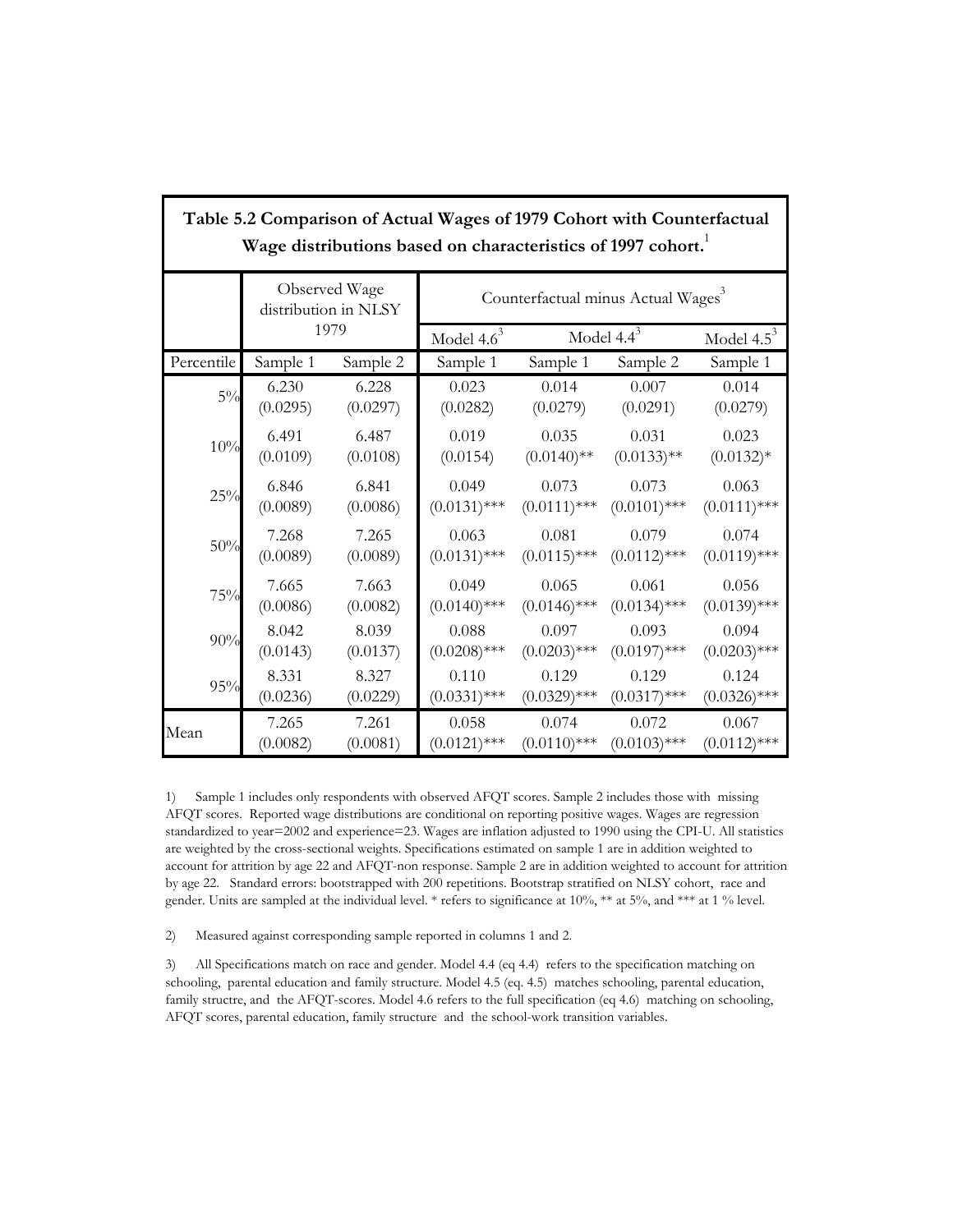|            |          |                                       | Table 5.2 Comparison of Actual Wages of 1979 Cohort with Counterfactual<br>Wage distributions based on characteristics of 1997 cohort. |                |                |                |  |  |  |  |  |
|------------|----------|---------------------------------------|----------------------------------------------------------------------------------------------------------------------------------------|----------------|----------------|----------------|--|--|--|--|--|
|            |          | Observed Wage<br>distribution in NLSY | Counterfactual minus Actual Wages <sup>3</sup>                                                                                         |                |                |                |  |  |  |  |  |
|            |          | 1979                                  | Model $4.6^3$                                                                                                                          | Model $4.4^3$  | Model $4.5^3$  |                |  |  |  |  |  |
| Percentile | Sample 1 | Sample 2                              | Sample 1                                                                                                                               | Sample 1       | Sample 2       | Sample 1       |  |  |  |  |  |
| $5\%$      | 6.230    | 6.228                                 | 0.023                                                                                                                                  | 0.014          | 0.007          | 0.014          |  |  |  |  |  |
|            | (0.0295) | (0.0297)                              | (0.0282)                                                                                                                               | (0.0279)       | (0.0291)       | (0.0279)       |  |  |  |  |  |
| 10%        | 6.491    | 6.487                                 | 0.019                                                                                                                                  | 0.035          | 0.031          | 0.023          |  |  |  |  |  |
|            | (0.0109) | (0.0108)                              | (0.0154)                                                                                                                               | $(0.0140)$ **  | $(0.0133)$ **  | $(0.0132)*$    |  |  |  |  |  |
| 25%        | 6.846    | 6.841                                 | 0.049                                                                                                                                  | 0.073          | 0.073          | 0.063          |  |  |  |  |  |
|            | (0.0089) | (0.0086)                              | $(0.0131)$ ***                                                                                                                         | $(0.0111)$ *** | $(0.0101)$ *** | $(0.0111)$ *** |  |  |  |  |  |
| 50%        | 7.268    | 7.265                                 | 0.063                                                                                                                                  | 0.081          | 0.079          | 0.074          |  |  |  |  |  |
|            | (0.0089) | (0.0089)                              | $(0.0131)$ ***                                                                                                                         | $(0.0115)$ *** | $(0.0112)$ *** | $(0.0119)$ *** |  |  |  |  |  |
| 75%        | 7.665    | 7.663                                 | 0.049                                                                                                                                  | 0.065          | 0.061          | 0.056          |  |  |  |  |  |
|            | (0.0086) | (0.0082)                              | $(0.0140)$ ***                                                                                                                         | $(0.0146)$ *** | $(0.0134)$ *** | $(0.0139)$ *** |  |  |  |  |  |
| 90%        | 8.042    | 8.039                                 | 0.088                                                                                                                                  | 0.097          | 0.093          | 0.094          |  |  |  |  |  |
|            | (0.0143) | (0.0137)                              | $(0.0208)$ ***                                                                                                                         | $(0.0203)$ *** | $(0.0197)$ *** | $(0.0203)$ *** |  |  |  |  |  |
| 95%        | 8.331    | 8.327                                 | 0.110                                                                                                                                  | 0.129          | 0.129          | 0.124          |  |  |  |  |  |
|            | (0.0236) | (0.0229)                              | $(0.0331)$ ***                                                                                                                         | $(0.0329)$ *** | $(0.0317)$ *** | $(0.0326)$ *** |  |  |  |  |  |
| Mean       | 7.265    | 7.261                                 | 0.058                                                                                                                                  | 0.074          | 0.072          | 0.067          |  |  |  |  |  |
|            | (0.0082) | (0.0081)                              | $(0.0121)$ ***                                                                                                                         | $(0.0110)$ *** | $(0.0103)$ *** | $(0.0112)$ *** |  |  |  |  |  |

1) Sample 1 includes only respondents with observed AFQT scores. Sample 2 includes those with missing AFQT scores. Reported wage distributions are conditional on reporting positive wages. Wages are regression standardized to year=2002 and experience=23. Wages are inflation adjusted to 1990 using the CPI-U. All statistics are weighted by the cross-sectional weights. Specifications estimated on sample 1 are in addition weighted to account for attrition by age 22 and AFQT-non response. Sample 2 are in addition weighted to account for attrition by age 22. Standard errors: bootstrapped with 200 repetitions. Bootstrap stratified on NLSY cohort, race and gender. Units are sampled at the individual level. \* refers to significance at 10%, \*\* at 5%, and \*\*\* at 1 % level.

2) Measured against corresponding sample reported in columns 1 and 2.

3) All Specifications match on race and gender. Model 4.4 (eq 4.4) refers to the specification matching on schooling, parental education and family structure. Model 4.5 (eq. 4.5) matches schooling, parental education, family structre, and the AFQT-scores. Model 4.6 refers to the full specification (eq 4.6) matching on schooling, AFQT scores, parental education, family structure and the school-work transition variables.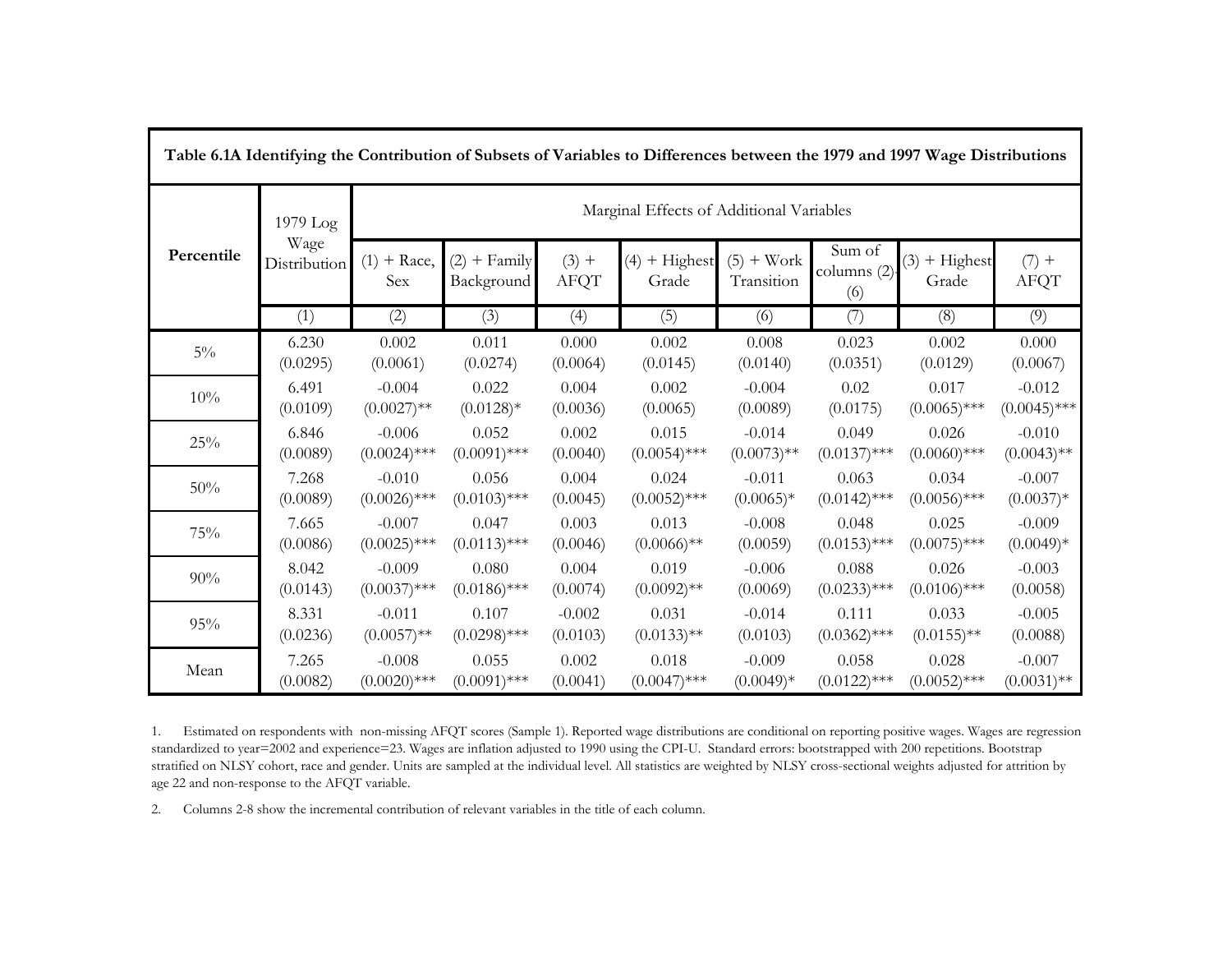|            | Table 6.1A Identifying the Contribution of Subsets of Variables to Differences between the 1979 and 1997 Wage Distributions |                       |                              |                        |                                          |                            |                              |                          |                        |  |  |
|------------|-----------------------------------------------------------------------------------------------------------------------------|-----------------------|------------------------------|------------------------|------------------------------------------|----------------------------|------------------------------|--------------------------|------------------------|--|--|
|            | 1979 Log                                                                                                                    |                       |                              |                        | Marginal Effects of Additional Variables |                            |                              |                          |                        |  |  |
| Percentile | Wage<br><b>Distribution</b>                                                                                                 | + Race,<br>(1)<br>Sex | $(2)$ + Family<br>Background | $(3) +$<br><b>AFQT</b> | $(4)$ + Highest<br>Grade                 | $(5) + Work$<br>Transition | Sum of<br>columns (2)<br>(6) | $(3)$ + Highest<br>Grade | $(7) +$<br><b>AFQT</b> |  |  |
|            | (1)                                                                                                                         | (2)                   | (3)                          | (4)                    | (5)                                      | (6)                        | (7)                          | (8)                      | (9)                    |  |  |
| $5\%$      | 6.230                                                                                                                       | 0.002                 | 0.011                        | 0.000                  | 0.002                                    | 0.008                      | 0.023                        | 0.002                    | 0.000                  |  |  |
|            | (0.0295)                                                                                                                    | (0.0061)              | (0.0274)                     | (0.0064)               | (0.0145)                                 | (0.0140)                   | (0.0351)                     | (0.0129)                 | (0.0067)               |  |  |
| 10%        | 6.491                                                                                                                       | $-0.004$              | 0.022                        | 0.004                  | 0.002                                    | $-0.004$                   | 0.02                         | 0.017                    | $-0.012$               |  |  |
|            | (0.0109)                                                                                                                    | $(0.0027)$ **         | $(0.0128)*$                  | (0.0036)               | (0.0065)                                 | (0.0089)                   | (0.0175)                     | $(0.0065)$ ***           | $(0.0045)$ ***         |  |  |
| 25%        | 6.846                                                                                                                       | $-0.006$              | 0.052                        | 0.002                  | 0.015                                    | $-0.014$                   | 0.049                        | 0.026                    | $-0.010$               |  |  |
|            | (0.0089)                                                                                                                    | $(0.0024)$ ***        | $(0.0091)$ ***               | (0.0040)               | $(0.0054)$ ***                           | $(0.0073)$ **              | $(0.0137)$ ***               | $(0.0060)$ ***           | $(0.0043)$ **          |  |  |
| 50%        | 7.268                                                                                                                       | $-0.010$              | 0.056                        | 0.004                  | 0.024                                    | $-0.011$                   | 0.063                        | 0.034                    | $-0.007$               |  |  |
|            | (0.0089)                                                                                                                    | $(0.0026)$ ***        | $(0.0103)$ ***               | (0.0045)               | $(0.0052)$ ***                           | $(0.0065)*$                | $(0.0142)$ ***               | $(0.0056)$ ***           | $(0.0037)*$            |  |  |
| 75%        | 7.665                                                                                                                       | $-0.007$              | 0.047                        | 0.003                  | 0.013                                    | $-0.008$                   | 0.048                        | 0.025                    | $-0.009$               |  |  |
|            | (0.0086)                                                                                                                    | $(0.0025)$ ***        | $(0.0113)$ ***               | (0.0046)               | $(0.0066)$ **                            | (0.0059)                   | $(0.0153)$ ***               | $(0.0075)$ ***           | $(0.0049)*$            |  |  |
| 90%        | 8.042                                                                                                                       | $-0.009$              | 0.080                        | 0.004                  | 0.019                                    | $-0.006$                   | 0.088                        | 0.026                    | $-0.003$               |  |  |
|            | (0.0143)                                                                                                                    | $(0.0037)$ ***        | $(0.0186)$ ***               | (0.0074)               | $(0.0092)$ **                            | (0.0069)                   | $(0.0233)$ ***               | $(0.0106)$ ***           | (0.0058)               |  |  |
| 95%        | 8.331                                                                                                                       | $-0.011$              | 0.107                        | $-0.002$               | 0.031                                    | $-0.014$                   | 0.111                        | 0.033                    | $-0.005$               |  |  |
|            | (0.0236)                                                                                                                    | $(0.0057)$ **         | $(0.0298)$ ***               | (0.0103)               | $(0.0133)$ **                            | (0.0103)                   | $(0.0362)$ ***               | $(0.0155)$ **            | (0.0088)               |  |  |
| Mean       | 7.265                                                                                                                       | $-0.008$              | 0.055                        | 0.002                  | 0.018                                    | $-0.009$                   | 0.058                        | 0.028                    | $-0.007$               |  |  |
|            | (0.0082)                                                                                                                    | $(0.0020)$ ***        | $(0.0091)$ ***               | (0.0041)               | $(0.0047)$ ***                           | $(0.0049)*$                | $(0.0122)$ ***               | $(0.0052)$ ***           | $(0.0031)$ **          |  |  |

1. Estimated on respondents with non-missing AFQT scores (Sample 1). Reported wage distributions are conditional on reporting positive wages. Wages are regression standardized to year=2002 and experience=23. Wages are inflation adjusted to 1990 using the CPI-U. Standard errors: bootstrapped with 200 repetitions. Bootstrap stratified on NLSY cohort, race and gender. Units are sampled at the individual level. All statistics are weighted by NLSY cross-sectional weights adjusted for attrition by age 22 and non-response to the AFQT variable.

2.Columns 2-8 show the incremental contribution of relevant variables in the title of each column.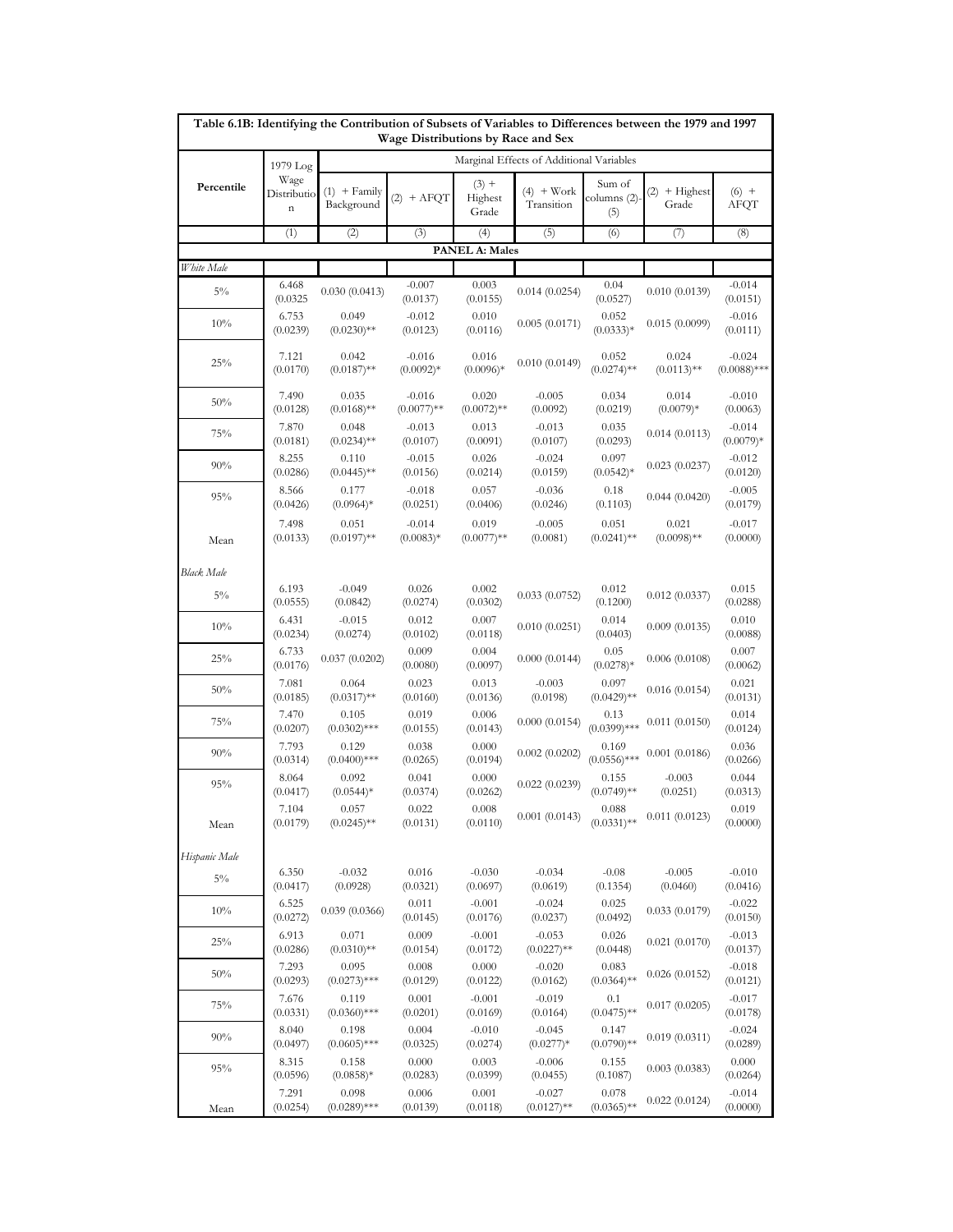|                   |                                                |                              |                                    |                             | Table 6.1B: Identifying the Contribution of Subsets of Variables to Differences between the 1979 and 1997 |                              |                          |                            |
|-------------------|------------------------------------------------|------------------------------|------------------------------------|-----------------------------|-----------------------------------------------------------------------------------------------------------|------------------------------|--------------------------|----------------------------|
|                   |                                                |                              | Wage Distributions by Race and Sex |                             | Marginal Effects of Additional Variables                                                                  |                              |                          |                            |
| Percentile        | 1979 Log<br>Wage<br>Distributio<br>$\mathbf n$ | $(1)$ + Family<br>Background | $(2) + AFQT$                       | $(3) +$<br>Highest<br>Grade | $(4)$ + Work<br>Transition                                                                                | Sum of<br>columns (2)<br>(5) | $(2)$ + Highest<br>Grade | $(6) +$<br>AFQT            |
|                   | (1)                                            | (2)                          | (3)                                | (4)                         | (5)                                                                                                       | (6)                          | (7)                      | (8)                        |
|                   |                                                |                              |                                    | <b>PANEL A: Males</b>       |                                                                                                           |                              |                          |                            |
| White Male        |                                                |                              |                                    |                             |                                                                                                           |                              |                          |                            |
| $5\%$             | 6.468<br>(0.0325)                              | 0.030(0.0413)                | $-0.007$<br>(0.0137)               | 0.003<br>(0.0155)           | 0.014(0.0254)                                                                                             | 0.04<br>(0.0527)             | 0.010(0.0139)            | $-0.014$<br>(0.0151)       |
| 10%               | 6.753<br>(0.0239)                              | 0.049<br>$(0.0230)$ **       | $-0.012$<br>(0.0123)               | 0.010<br>(0.0116)           | 0.005(0.0171)                                                                                             | 0.052<br>$(0.0333)*$         | 0.015(0.0099)            | $-0.016$<br>(0.0111)       |
| 25%               | 7.121<br>(0.0170)                              | 0.042<br>$(0.0187)$ **       | $-0.016$<br>$(0.0092)*$            | 0.016<br>$(0.0096)*$        | 0.010(0.0149)                                                                                             | 0.052<br>$(0.0274)$ **       | 0.024<br>$(0.0113)$ **   | $-0.024$<br>$(0.0088)$ *** |
| 50%               | 7.490<br>(0.0128)                              | 0.035<br>$(0.0168)$ **       | $-0.016$<br>$(0.0077)$ **          | 0.020<br>$(0.0072)$ **      | $-0.005$<br>(0.0092)                                                                                      | 0.034<br>(0.0219)            | 0.014<br>$(0.0079)*$     | $-0.010$<br>(0.0063)       |
| 75%               | 7.870<br>(0.0181)                              | 0.048<br>$(0.0234)$ **       | $-0.013$<br>(0.0107)               | 0.013<br>(0.0091)           | $-0.013$<br>(0.0107)                                                                                      | 0.035<br>(0.0293)            | 0.014(0.0113)            | $-0.014$<br>$(0.0079)*$    |
| 90%               | 8.255<br>(0.0286)                              | 0.110<br>$(0.0445)$ **       | $-0.015$<br>(0.0156)               | 0.026<br>(0.0214)           | $-0.024$<br>(0.0159)                                                                                      | 0.097<br>$(0.0542)^*$        | 0.023(0.0237)            | $-0.012$<br>(0.0120)       |
| 95%               | 8.566<br>(0.0426)                              | 0.177<br>$(0.0964)*$         | $-0.018$<br>(0.0251)               | 0.057<br>(0.0406)           | $-0.036$<br>(0.0246)                                                                                      | 0.18<br>(0.1103)             | 0.044(0.0420)            | $-0.005$<br>(0.0179)       |
| Mean              | 7.498<br>(0.0133)                              | 0.051<br>$(0.0197)$ **       | $-0.014$<br>$(0.0083)*$            | 0.019<br>$(0.0077)$ **      | $-0.005$<br>(0.0081)                                                                                      | 0.051<br>$(0.0241)$ **       | 0.021<br>$(0.0098)$ **   | $-0.017$<br>(0.0000)       |
| <b>Black Male</b> |                                                |                              |                                    |                             |                                                                                                           |                              |                          |                            |
| $5\%$             | 6.193<br>(0.0555)                              | $-0.049$<br>(0.0842)         | 0.026<br>(0.0274)                  | 0.002<br>(0.0302)           | 0.033(0.0752)                                                                                             | 0.012<br>(0.1200)            | 0.012(0.0337)            | 0.015<br>(0.0288)          |
| 10%               | 6.431<br>(0.0234)                              | $-0.015$<br>(0.0274)         | 0.012<br>(0.0102)                  | 0.007<br>(0.0118)           | 0.010(0.0251)                                                                                             | 0.014<br>(0.0403)            | 0.009(0.0135)            | 0.010<br>(0.0088)          |
| 25%               | 6.733<br>(0.0176)                              | 0.037(0.0202)                | 0.009<br>(0.0080)                  | 0.004<br>(0.0097)           | 0.000(0.0144)                                                                                             | 0.05<br>$(0.0278)*$          | 0.006(0.0108)            | 0.007<br>(0.0062)          |
| 50%               | 7.081<br>(0.0185)                              | 0.064<br>$(0.0317)$ **       | 0.023<br>(0.0160)                  | 0.013<br>(0.0136)           | $-0.003$<br>(0.0198)                                                                                      | 0.097<br>$(0.0429)$ **       | 0.016(0.0154)            | 0.021<br>(0.0131)          |
| 75%               | 7.470<br>(0.0207)                              | 0.105<br>$(0.0302)$ ***      | 0.019<br>(0.0155)                  | 0.006<br>(0.0143)           | 0.000(0.0154)                                                                                             | 0.13<br>$(0.0399)$ ***       | 0.011(0.0150)            | 0.014<br>(0.0124)          |
| 90%               | 7.793<br>(0.0314)                              | 0.129<br>$(0.0400)$ ***      | 0.038<br>(0.0265)                  | 0.000<br>(0.0194)           | 0.002(0.0202)                                                                                             | 0.169<br>$(0.0556)$ ***      | 0.001(0.0186)            | 0.036<br>(0.0266)          |
| 95%               | 8.064<br>(0.0417)                              | 0.092<br>$(0.0544)*$         | 0.041<br>(0.0374)                  | 0.000<br>(0.0262)           | 0.022(0.0239)                                                                                             | 0.155<br>$(0.0749)$ **       | $-0.003$<br>(0.0251)     | 0.044<br>(0.0313)          |
| Mean              | 7.104<br>(0.0179)                              | 0.057<br>$(0.0245)$ **       | 0.022<br>(0.0131)                  | 0.008<br>(0.0110)           | 0.001(0.0143)                                                                                             | 0.088<br>$(0.0331)$ **       | 0.011(0.0123)            | 0.019<br>(0.0000)          |
| Hispanic Male     |                                                |                              |                                    |                             |                                                                                                           |                              |                          |                            |
| $5\%$             | 6.350<br>(0.0417)                              | $-0.032$<br>(0.0928)         | 0.016<br>(0.0321)                  | $-0.030$<br>(0.0697)        | $-0.034$<br>(0.0619)                                                                                      | $-0.08$<br>(0.1354)          | $-0.005$<br>(0.0460)     | $-0.010$<br>(0.0416)       |
| 10%               | 6.525<br>(0.0272)                              | 0.039(0.0366)                | 0.011<br>(0.0145)                  | $-0.001$<br>(0.0176)        | $-0.024$<br>(0.0237)                                                                                      | 0.025<br>(0.0492)            | 0.033(0.0179)            | $-0.022$<br>(0.0150)       |
| 25%               | 6.913<br>(0.0286)                              | 0.071<br>$(0.0310)$ **       | 0.009<br>(0.0154)                  | $-0.001$<br>(0.0172)        | $-0.053$<br>$(0.0227)$ **                                                                                 | 0.026<br>(0.0448)            | 0.021(0.0170)            | $-0.013$<br>(0.0137)       |
| 50%               | 7.293<br>(0.0293)                              | 0.095<br>$(0.0273)$ ***      | 0.008<br>(0.0129)                  | 0.000<br>(0.0122)           | $-0.020$<br>(0.0162)                                                                                      | 0.083<br>$(0.0364)$ **       | 0.026(0.0152)            | $-0.018$<br>(0.0121)       |
| 75%               | 7.676<br>(0.0331)                              | 0.119<br>$(0.0360)$ ***      | 0.001<br>(0.0201)                  | $-0.001$<br>(0.0169)        | $-0.019$<br>(0.0164)                                                                                      | 0.1<br>$(0.0475)$ **         | 0.017(0.0205)            | $-0.017$<br>(0.0178)       |
| 90%               | 8.040<br>(0.0497)                              | 0.198<br>$(0.0605)$ ***      | 0.004<br>(0.0325)                  | $-0.010$<br>(0.0274)        | $-0.045$<br>$(0.0277)*$                                                                                   | 0.147<br>$(0.0790)$ **       | 0.019(0.0311)            | $-0.024$<br>(0.0289)       |
| 95%               | 8.315<br>(0.0596)                              | 0.158<br>$(0.0858)*$         | 0.000<br>(0.0283)                  | 0.003<br>(0.0399)           | $-0.006$<br>(0.0455)                                                                                      | 0.155<br>(0.1087)            | 0.003(0.0383)            | 0.000<br>(0.0264)          |
| Mean              | 7.291<br>(0.0254)                              | 0.098<br>$(0.0289)$ ***      | 0.006<br>(0.0139)                  | 0.001<br>(0.0118)           | $-0.027$<br>$(0.0127)$ **                                                                                 | 0.078<br>$(0.0365)$ **       | 0.022(0.0124)            | $-0.014$<br>(0.0000)       |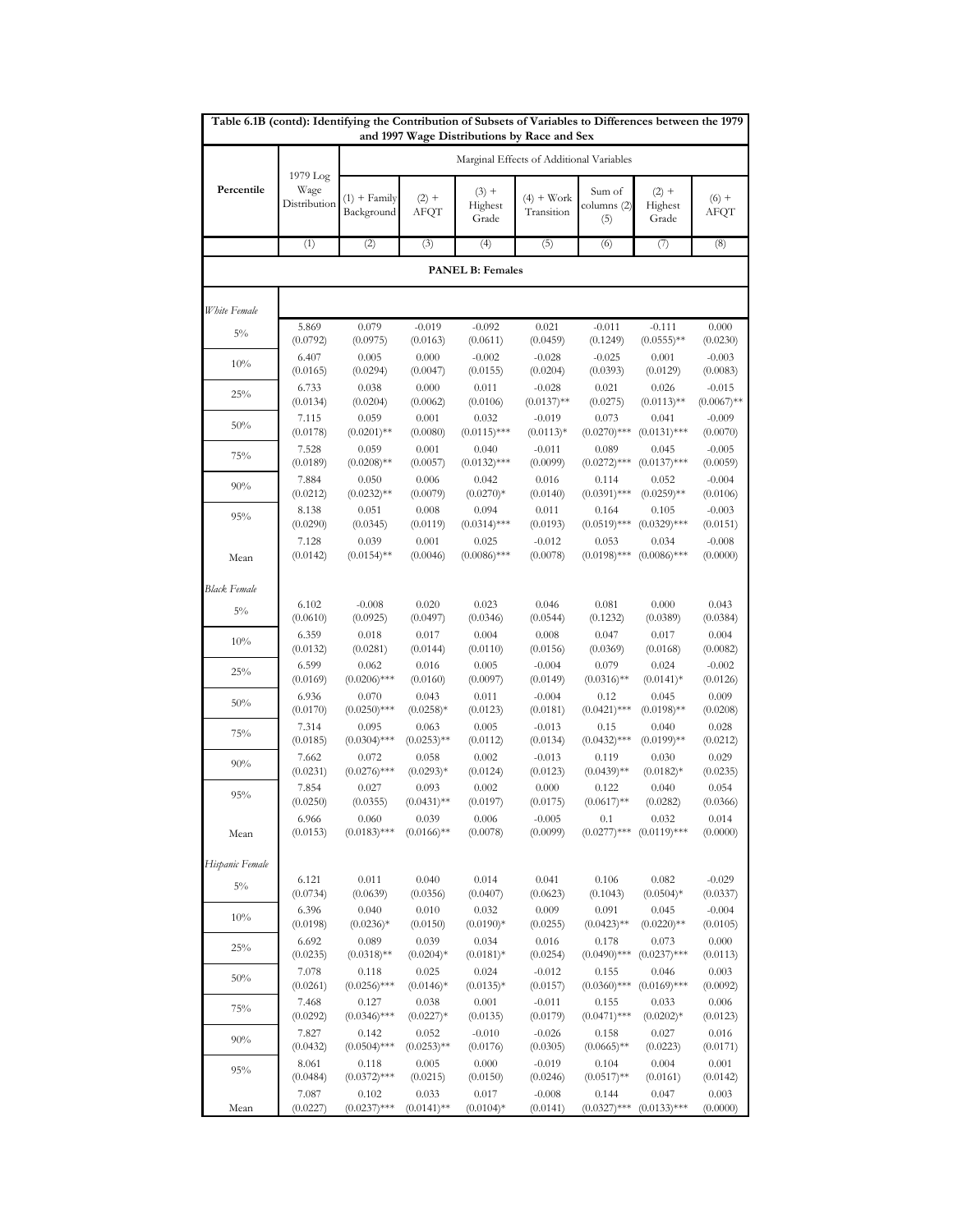| Table 6.1B (contd): Identifying the Contribution of Subsets of Variables to Differences between the 1979 |                                  |                              |                 |                             | and 1997 Wage Distributions by Race and Sex |                              |                             |                 |
|----------------------------------------------------------------------------------------------------------|----------------------------------|------------------------------|-----------------|-----------------------------|---------------------------------------------|------------------------------|-----------------------------|-----------------|
|                                                                                                          |                                  |                              |                 |                             | Marginal Effects of Additional Variables    |                              |                             |                 |
| Percentile                                                                                               | 1979 Log<br>Wage<br>Distribution | $(1)$ + Family<br>Background | $(2) +$<br>AFQT | $(3) +$<br>Highest<br>Grade | $(4) + Work$<br>Transition                  | Sum of<br>columns (2)<br>(5) | $(2) +$<br>Highest<br>Grade | $(6) +$<br>AFQT |
|                                                                                                          | (1)                              | (2)                          | (3)             | (4)                         | (5)                                         | (6)                          | (7)                         | (8)             |
|                                                                                                          |                                  |                              |                 | <b>PANEL B: Females</b>     |                                             |                              |                             |                 |
| White Female                                                                                             |                                  |                              |                 |                             |                                             |                              |                             |                 |
| $5\%$                                                                                                    | 5.869                            | 0.079                        | $-0.019$        | $-0.092$                    | 0.021                                       | $-0.011$                     | $-0.111$                    | 0.000           |
|                                                                                                          | (0.0792)                         | (0.0975)                     | (0.0163)        | (0.0611)                    | (0.0459)                                    | (0.1249)                     | $(0.0555)$ **               | (0.0230)        |
| 10%                                                                                                      | 6.407                            | 0.005                        | 0.000           | $-0.002$                    | $-0.028$                                    | $-0.025$                     | 0.001                       | $-0.003$        |
|                                                                                                          | (0.0165)                         | (0.0294)                     | (0.0047)        | (0.0155)                    | (0.0204)                                    | (0.0393)                     | (0.0129)                    | (0.0083)        |
| 25%                                                                                                      | 6.733                            | 0.038                        | 0.000           | 0.011                       | $-0.028$                                    | 0.021                        | 0.026                       | $-0.015$        |
|                                                                                                          | (0.0134)                         | (0.0204)                     | (0.0062)        | (0.0106)                    | $(0.0137)$ **                               | (0.0275)                     | $(0.0113)$ **               | $(0.0067)$ **   |
| 50%                                                                                                      | 7.115                            | 0.059                        | 0.001           | 0.032                       | $-0.019$                                    | 0.073                        | 0.041                       | $-0.009$        |
|                                                                                                          | (0.0178)                         | $(0.0201)$ **                | (0.0080)        | $(0.0115)$ ***              | $(0.0113)*$                                 | $(0.0270)$ ***               | $(0.0131)$ ***              | (0.0070)        |
| 75%                                                                                                      | 7.528                            | 0.059                        | 0.001           | 0.040                       | $-0.011$                                    | 0.089                        | 0.045                       | $-0.005$        |
|                                                                                                          | (0.0189)                         | $(0.0208)$ **                | (0.0057)        | $(0.0132)$ ***              | (0.0099)                                    | $(0.0272)$ ***               | $(0.0137)$ ***              | (0.0059)        |
| 90%                                                                                                      | 7.884                            | 0.050                        | 0.006           | 0.042                       | 0.016                                       | 0.114                        | 0.052                       | $-0.004$        |
|                                                                                                          | (0.0212)                         | $(0.0232)$ **                | (0.0079)        | $(0.0270)*$                 | (0.0140)                                    | $(0.0391)$ ***               | $(0.0259)$ **               | (0.0106)        |
| 95%                                                                                                      | 8.138                            | 0.051                        | 0.008           | 0.094                       | 0.011                                       | 0.164                        | 0.105                       | $-0.003$        |
|                                                                                                          | (0.0290)                         | (0.0345)                     | (0.0119)        | $(0.0314)$ ***              | (0.0193)                                    | $(0.0519)$ ***               | $(0.0329)$ ***              | (0.0151)        |
| Mean                                                                                                     | 7.128                            | 0.039                        | 0.001           | 0.025                       | $-0.012$                                    | 0.053                        | 0.034                       | $-0.008$        |
|                                                                                                          | (0.0142)                         | $(0.0154)$ **                | (0.0046)        | $(0.0086)$ ***              | (0.0078)                                    | $(0.0198)$ ***               | $(0.0086)$ ***              | (0.0000)        |
| <b>Black Female</b>                                                                                      |                                  |                              |                 |                             |                                             |                              |                             |                 |
| $5\%$                                                                                                    | 6.102                            | $-0.008$                     | 0.020           | 0.023                       | 0.046                                       | 0.081                        | 0.000                       | 0.043           |
| 10%                                                                                                      | (0.0610)                         | (0.0925)                     | (0.0497)        | (0.0346)                    | (0.0544)                                    | (0.1232)                     | (0.0389)                    | (0.0384)        |
|                                                                                                          | 6.359                            | 0.018                        | 0.017           | 0.004                       | 0.008                                       | 0.047                        | 0.017                       | 0.004           |
|                                                                                                          | (0.0132)                         | (0.0281)                     | (0.0144)        | (0.0110)                    | (0.0156)                                    | (0.0369)                     | (0.0168)                    | (0.0082)        |
|                                                                                                          | 6.599                            | 0.062                        | 0.016           | 0.005                       | $-0.004$                                    | 0.079                        | 0.024                       | $-0.002$        |
| 25%                                                                                                      | (0.0169)                         | $(0.0206)$ ***               | (0.0160)        | (0.0097)                    | (0.0149)                                    | $(0.0316)$ **                | $(0.0141)*$                 | (0.0126)        |
| 50%                                                                                                      | 6.936                            | 0.070                        | 0.043           | 0.011                       | $-0.004$                                    | 0.12                         | 0.045                       | 0.009           |
|                                                                                                          | (0.0170)                         | $(0.0250)$ ***               | $(0.0258)*$     | (0.0123)                    | (0.0181)                                    | $(0.0421)$ ***               | $(0.0198)$ **               | (0.0208)        |
| 75%                                                                                                      | 7.314                            | 0.095                        | 0.063           | 0.005                       | $-0.013$                                    | 0.15                         | 0.040                       | 0.028           |
|                                                                                                          | (0.0185)                         | $(0.0304)$ ***               | $(0.0253)$ **   | (0.0112)                    | (0.0134)                                    | $(0.0432)$ ***               | $(0.0199)$ **               | (0.0212)        |
| 90%                                                                                                      | 7.662                            | 0.072                        | 0.058           | 0.002                       | $-0.013$                                    | 0.119                        | 0.030                       | 0.029           |
|                                                                                                          | (0.0231)                         | $(0.0276)$ ***               | $(0.0293)*$     | (0.0124)                    | (0.0123)                                    | $(0.0439)$ **                | $(0.0182)*$                 | (0.0235)        |
| 95%                                                                                                      | 7.854                            | 0.027                        | 0.093           | 0.002                       | 0.000                                       | 0.122                        | 0.040                       | 0.054           |
|                                                                                                          | (0.0250)                         | (0.0355)                     | $(0.0431)$ **   | (0.0197)                    | (0.0175)                                    | $(0.0617)$ **                | (0.0282)                    | (0.0366)        |
| Mean                                                                                                     | 6.966                            | 0.060                        | 0.039           | 0.006                       | $-0.005$                                    | 0.1                          | 0.032                       | 0.014           |
|                                                                                                          | (0.0153)                         | $(0.0183)$ ***               | $(0.0166)$ **   | (0.0078)                    | (0.0099)                                    | $(0.0277)$ ***               | $(0.0119)$ ***              | (0.0000)        |
| Hispanic Female                                                                                          |                                  |                              |                 |                             |                                             |                              |                             |                 |
| $5\%$                                                                                                    | 6.121                            | 0.011                        | 0.040           | 0.014                       | 0.041                                       | 0.106                        | 0.082                       | $-0.029$        |
|                                                                                                          | (0.0734)                         | (0.0639)                     | (0.0356)        | (0.0407)                    | (0.0623)                                    | (0.1043)                     | $(0.0504)*$                 | (0.0337)        |
| 10%                                                                                                      | 6.396                            | 0.040                        | 0.010           | 0.032                       | 0.009                                       | 0.091                        | 0.045                       | $-0.004$        |
|                                                                                                          | (0.0198)                         | $(0.0236)*$                  | (0.0150)        | $(0.0190)*$                 | (0.0255)                                    | $(0.0423)$ **                | $(0.0220)$ **               | (0.0105)        |
| 25%                                                                                                      | 6.692                            | 0.089                        | 0.039           | 0.034                       | 0.016                                       | 0.178                        | 0.073                       | 0.000           |
|                                                                                                          | (0.0235)                         | $(0.0318)$ **                | $(0.0204)*$     | $(0.0181)*$                 | (0.0254)                                    | $(0.0490)$ ***               | $(0.0237)$ ***              | (0.0113)        |
| 50%                                                                                                      | 7.078                            | 0.118                        | 0.025           | 0.024                       | $-0.012$                                    | 0.155                        | 0.046                       | 0.003           |
|                                                                                                          | (0.0261)                         | $(0.0256)$ ***               | $(0.0146)*$     | $(0.0135)*$                 | (0.0157)                                    | $(0.0360)$ ***               | $(0.0169)$ ***              | (0.0092)        |
| 75%                                                                                                      | 7.468                            | 0.127                        | 0.038           | 0.001                       | $-0.011$                                    | 0.155                        | 0.033                       | 0.006           |
|                                                                                                          | (0.0292)                         | $(0.0346)$ ***               | $(0.0227)*$     | (0.0135)                    | (0.0179)                                    | $(0.0471)$ ***               | $(0.0202)*$                 | (0.0123)        |
| 90%                                                                                                      | 7.827                            | 0.142                        | 0.052           | $-0.010$                    | $-0.026$                                    | 0.158                        | 0.027                       | 0.016           |
|                                                                                                          | (0.0432)                         | $(0.0504)$ ***               | $(0.0253)$ **   | (0.0176)                    | (0.0305)                                    | $(0.0665)$ **                | (0.0223)                    | (0.0171)        |
| 95%                                                                                                      | 8.061                            | 0.118                        | 0.005           | 0.000                       | $-0.019$                                    | 0.104                        | 0.004                       | 0.001           |
|                                                                                                          | (0.0484)                         | $(0.0372)$ ***               | (0.0215)        | (0.0150)                    | (0.0246)                                    | $(0.0517)$ **                | (0.0161)                    | (0.0142)        |
| Mean                                                                                                     | 7.087                            | 0.102                        | 0.033           | 0.017                       | $-0.008$                                    | 0.144                        | 0.047                       | 0.003           |
|                                                                                                          | (0.0227)                         | $(0.0237)$ ***               | $(0.0141)$ **   | $(0.0104)*$                 | (0.0141)                                    | $(0.0327)$ ***               | $(0.0133)$ ***              | (0.0000)        |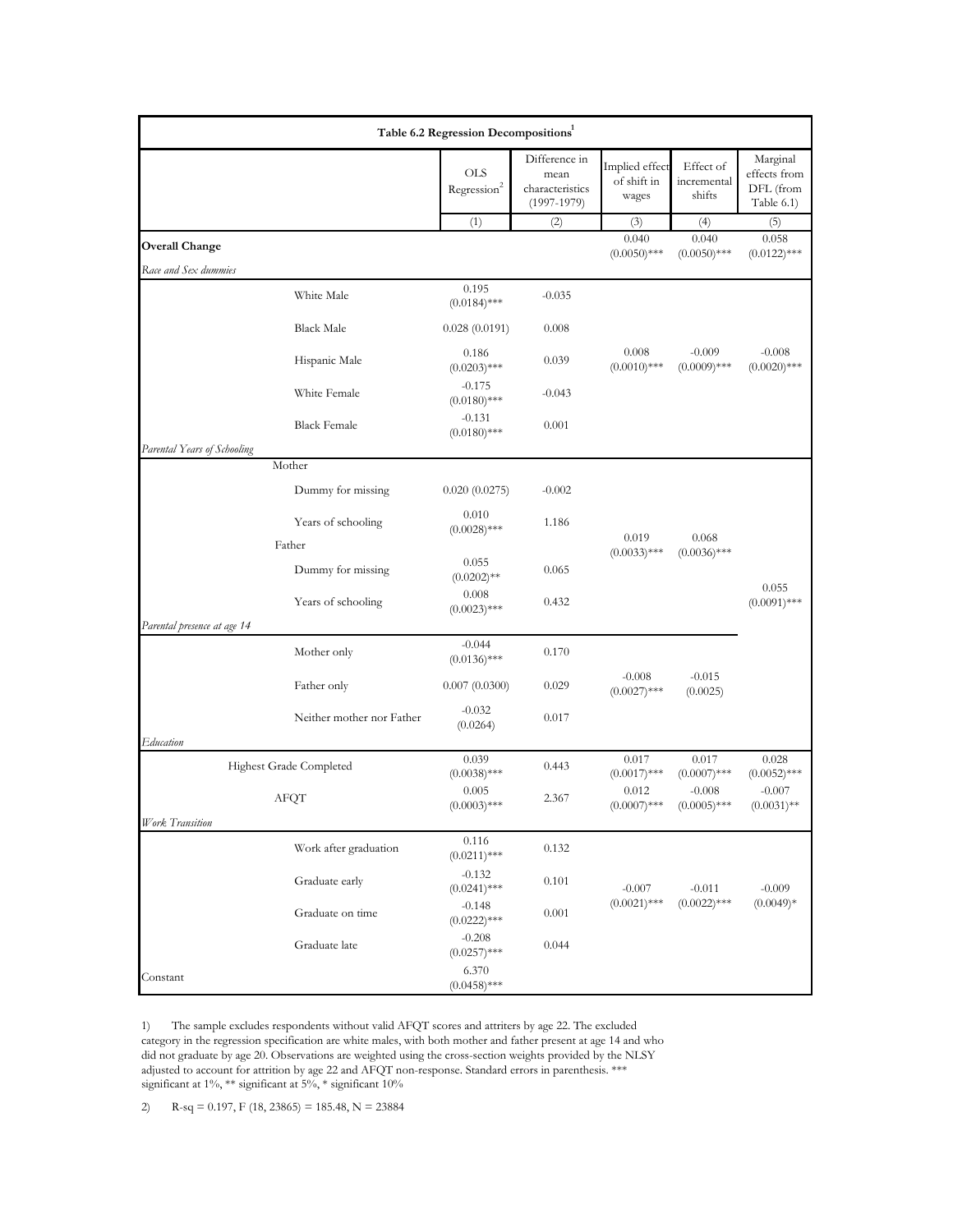|                             |                              | Table 6.2 Regression Decompositions <sup>1</sup> |                                                           |                                        |                                    |                                                     |
|-----------------------------|------------------------------|--------------------------------------------------|-----------------------------------------------------------|----------------------------------------|------------------------------------|-----------------------------------------------------|
|                             |                              | <b>OLS</b><br>Regression <sup>2</sup>            | Difference in<br>mean<br>characteristics<br>$(1997-1979)$ | Implied effect<br>of shift in<br>wages | Effect of<br>incremental<br>shifts | Marginal<br>effects from<br>DFL (from<br>Table 6.1) |
|                             |                              | (1)                                              | (2)                                                       | (3)                                    | (4)                                | (5)                                                 |
| <b>Overall Change</b>       |                              |                                                  |                                                           | 0.040<br>$(0.0050)$ ***                | 0.040<br>$(0.0050)$ ***            | 0.058<br>$(0.0122)$ ***                             |
| Race and Sex dummies        |                              |                                                  |                                                           |                                        |                                    |                                                     |
|                             | White Male                   | 0.195<br>$(0.0184)$ ***                          | $-0.035$                                                  |                                        |                                    |                                                     |
|                             | <b>Black Male</b>            | 0.028(0.0191)                                    | 0.008                                                     |                                        |                                    |                                                     |
|                             | Hispanic Male                | 0.186<br>$(0.0203)$ ***                          | 0.039                                                     | 0.008<br>$(0.0010)$ ***                | $-0.009$<br>$(0.0009)$ ***         | $-0.008$<br>$(0.0020)$ ***                          |
|                             | White Female                 | $-0.175$<br>$(0.0180)$ ***                       | $-0.043$                                                  |                                        |                                    |                                                     |
|                             | <b>Black Female</b>          | $-0.131$<br>$(0.0180)$ ***                       | 0.001                                                     |                                        |                                    |                                                     |
| Parental Years of Schooling |                              |                                                  |                                                           |                                        |                                    |                                                     |
|                             | Mother<br>Dummy for missing  | 0.020(0.0275)                                    | $-0.002$                                                  |                                        |                                    |                                                     |
|                             |                              | 0.010                                            |                                                           |                                        |                                    |                                                     |
|                             | Years of schooling<br>Father | $(0.0028)$ ***                                   | 1.186                                                     | 0.019                                  | 0.068                              |                                                     |
|                             | Dummy for missing            | 0.055<br>$(0.0202)$ **                           | 0.065                                                     | $(0.0033)$ ***                         | $(0.0036)$ ***                     |                                                     |
|                             | Years of schooling           | 0.008<br>$(0.0023)$ ***                          | 0.432                                                     |                                        |                                    | 0.055<br>$(0.0091)$ ***                             |
| Parental presence at age 14 |                              |                                                  |                                                           |                                        |                                    |                                                     |
|                             | Mother only                  | $-0.044$<br>$(0.0136)$ ***                       | 0.170                                                     |                                        |                                    |                                                     |
|                             | Father only                  | 0.007(0.0300)                                    | 0.029                                                     | $-0.008$<br>$(0.0027)$ ***             | $-0.015$<br>(0.0025)               |                                                     |
|                             | Neither mother nor Father    | $-0.032$<br>(0.0264)                             | 0.017                                                     |                                        |                                    |                                                     |
| Education                   |                              |                                                  |                                                           |                                        |                                    |                                                     |
|                             | Highest Grade Completed      | 0.039<br>$(0.0038)$ ***                          | 0.443                                                     | 0.017<br>$(0.0017)$ ***                | 0.017<br>$(0.0007)$ ***            | 0.028<br>$(0.0052)$ ***                             |
|                             | AFQT                         | 0.005<br>$(0.0003)$ ***                          | 2.367                                                     | 0.012<br>$(0.0007)$ ***                | $-0.008$<br>$(0.0005)$ ***         | $-0.007$<br>$(0.0031)$ **                           |
| Work Transition             |                              |                                                  |                                                           |                                        |                                    |                                                     |
|                             | Work after graduation        | 0.116<br>$(0.0211)$ ***                          | 0.132                                                     |                                        |                                    |                                                     |
|                             | Graduate early               | $-0.132$<br>$(0.0241)$ ***                       | 0.101                                                     | $-0.007$                               | $-0.011$                           | $-0.009$                                            |
|                             | Graduate on time             | $-0.148$<br>$(0.0222)$ ***                       | 0.001                                                     | $(0.0021)$ ***                         | $(0.0022)$ ***                     | $(0.0049)*$                                         |
|                             | Graduate late                | $-0.208$<br>$(0.0257)$ ***                       | 0.044                                                     |                                        |                                    |                                                     |
| Constant                    |                              | 6.370<br>$(0.0458)$ ***                          |                                                           |                                        |                                    |                                                     |

1) The sample excludes respondents without valid AFQT scores and attriters by age 22. The excluded category in the regression specification are white males, with both mother and father present at age 14 and who did not graduate by age 20. Observations are weighted using the cross-section weights provided by the NLSY adjusted to account for attrition by age 22 and AFQT non-response. Standard errors in parenthesis. \*\*\* significant at 1%, \*\* significant at 5%, \* significant 10%

2) R-sq = 0.197, F (18, 23865) = 185.48, N = 23884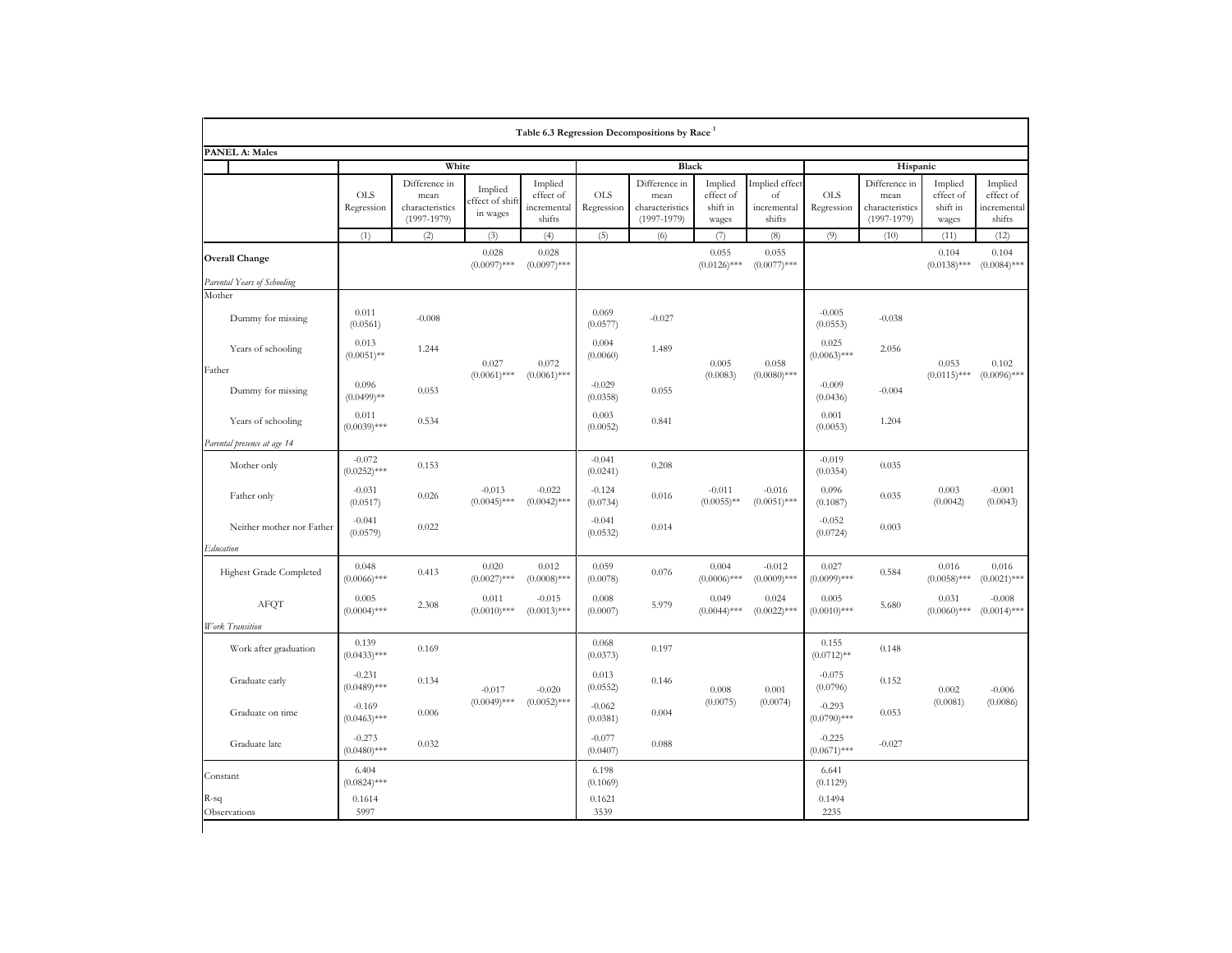|                             |                            |                                                             |                                        |                                               |                          | Table 6.3 Regression Decompositions by Race <sup>1</sup>    |                                           |                                               |                            |                                                             |                                           |                                               |
|-----------------------------|----------------------------|-------------------------------------------------------------|----------------------------------------|-----------------------------------------------|--------------------------|-------------------------------------------------------------|-------------------------------------------|-----------------------------------------------|----------------------------|-------------------------------------------------------------|-------------------------------------------|-----------------------------------------------|
| <b>PANEL A: Males</b>       |                            |                                                             |                                        |                                               |                          |                                                             |                                           |                                               |                            |                                                             |                                           |                                               |
|                             | White                      |                                                             |                                        | Black                                         |                          |                                                             |                                           | Hispanic                                      |                            |                                                             |                                           |                                               |
|                             | <b>OLS</b><br>Regression   | Difference in<br>mean<br>characteristics<br>$(1997 - 1979)$ | Implied<br>ffect of shift:<br>in wages | Implied<br>effect of<br>incremental<br>shifts | <b>OLS</b><br>Regression | Difference in<br>mean<br>characteristics<br>$(1997 - 1979)$ | Implied<br>effect of<br>shift in<br>wages | Implied effect<br>of<br>incremental<br>shifts | <b>OLS</b><br>Regression   | Difference in<br>mean<br>characteristics<br>$(1997 - 1979)$ | Implied<br>effect of<br>shift in<br>wages | Implied<br>effect of<br>incremental<br>shifts |
|                             | (1)                        | (2)                                                         | (3)                                    | (4)                                           | (5)                      | (6)                                                         | (7)                                       | (8)                                           | (9)                        | (10)                                                        | (11)                                      | (12)                                          |
| <b>Overall Change</b>       |                            |                                                             | 0.028<br>$(0.0097)$ ***                | 0.028<br>$(0.0097)$ ***                       |                          |                                                             | 0.055<br>$(0.0126)$ ***                   | 0.055<br>$(0.0077)$ ***                       |                            |                                                             | 0.104<br>$(0.0138)$ ***                   | 0.104<br>$(0.0084)$ ***                       |
| Parental Years of Schooling |                            |                                                             |                                        |                                               |                          |                                                             |                                           |                                               |                            |                                                             |                                           |                                               |
| Mother                      |                            |                                                             |                                        |                                               |                          |                                                             |                                           |                                               |                            |                                                             |                                           |                                               |
| Dummy for missing           | 0.011<br>(0.0561)          | $-0.008$                                                    |                                        |                                               | 0.069<br>(0.0577)        | $-0.027$                                                    |                                           |                                               | $-0.005$<br>(0.0553)       | $-0.038$                                                    |                                           |                                               |
| Years of schooling          | 0.013<br>$(0.0051)$ **     | 1.244                                                       | 0.027                                  | 0.072<br>$(0.0061)$ ***                       | 0.004<br>(0.0060)        | 1.489                                                       | 0.005<br>(0.0083)                         | 0.058<br>$(0.0080)$ ***                       | 0.025<br>$(0.0063)$ ***    | 2.056                                                       | 0.053<br>$(0.0115)$ ***                   | 0.102<br>$(0.0096)$ ***                       |
| Father<br>Dummy for missing | 0.096<br>$(0.0499)$ **     | 0.053                                                       | $(0.0061)$ ***                         |                                               | $-0.029$<br>(0.0358)     | 0.055                                                       |                                           |                                               | $-0.009$<br>(0.0436)       | $-0.004$                                                    |                                           |                                               |
| Years of schooling          | 0.011<br>$(0.0039)$ ***    | 0.534                                                       |                                        |                                               | 0.003<br>(0.0052)        | 0.841                                                       |                                           |                                               | 0.001<br>(0.0053)          | 1.204                                                       |                                           |                                               |
| Parental presence at age 14 |                            |                                                             |                                        |                                               |                          |                                                             |                                           |                                               |                            |                                                             |                                           |                                               |
| Mother only                 | $-0.072$<br>$(0.0252)$ *** | 0.153                                                       |                                        |                                               | $-0.041$<br>(0.0241)     | 0.208                                                       |                                           |                                               | $-0.019$<br>(0.0354)       | 0.035                                                       |                                           |                                               |
| Father only                 | $-0.031$<br>(0.0517)       | 0.026                                                       | $-0.013$<br>$(0.0045)$ ***             | $-0.022$<br>$(0.0042)$ ***                    | $-0.124$<br>(0.0734)     | 0.016                                                       | $-0.011$<br>$(0.0055)$ **                 | $-0.016$<br>$(0.0051)$ ***                    | 0.096<br>(0.1087)          | 0.035                                                       | 0.003<br>(0.0042)                         | $-0.001$<br>(0.0043)                          |
| Neither mother nor Father   | $-0.041$<br>(0.0579)       | 0.022                                                       |                                        |                                               | $-0.041$<br>(0.0532)     | 0.014                                                       |                                           |                                               | $-0.052$<br>(0.0724)       | 0.003                                                       |                                           |                                               |
| Education                   |                            |                                                             |                                        |                                               |                          |                                                             |                                           |                                               |                            |                                                             |                                           |                                               |
| Highest Grade Completed     | 0.048<br>$(0.0066)$ ***    | 0.413                                                       | 0.020<br>$(0.0027)$ ***                | 0.012<br>$(0.0008)$ ***                       | 0.059<br>(0.0078)        | 0.076                                                       | 0.004<br>$(0.0006)$ ***                   | $-0.012$<br>$(0.0009)$ ***                    | 0.027<br>$(0.0099)$ ***    | 0.584                                                       | 0.016<br>$(0.0058)$ ***                   | 0.016<br>$(0.0021)$ ***                       |
| AFQT                        | 0.005<br>$(0.0004)$ ***    | 2.308                                                       | 0.011<br>$(0.0010)$ ***                | $-0.015$<br>$(0.0013)$ ***                    | 0.008<br>(0.0007)        | 5.979                                                       | 0.049<br>$(0.0044)$ ***                   | 0.024<br>$(0.0022)$ ***                       | 0.005<br>$(0.0010)$ ***    | 5.680                                                       | 0.031<br>$(0.0060)$ ***                   | $-0.008$<br>$(0.0014)$ ***                    |
| Work Transition             |                            |                                                             |                                        |                                               |                          |                                                             |                                           |                                               |                            |                                                             |                                           |                                               |
| Work after graduation       | 0.139<br>$(0.0433)$ ***    | 0.169                                                       |                                        |                                               | 0.068<br>(0.0373)        | 0.197                                                       |                                           |                                               | 0.155<br>$(0.0712)$ **     | 0.148                                                       |                                           |                                               |
| Graduate early              | $-0.231$<br>$(0.0489)$ *** | 0.134                                                       | $-0.017$                               | $-0.020$<br>$(0.0052)$ ***                    | 0.013<br>(0.0552)        | 0.146                                                       | $0.008\,$<br>(0.0075)                     | 0.001<br>(0.0074)                             | $-0.075$<br>(0.0796)       | 0.152                                                       | 0.002<br>(0.0081)                         | $-0.006$<br>(0.0086)                          |
| Graduate on time            | $-0.169$<br>$(0.0463)$ *** | 0.006                                                       | $(0.0049)$ ***                         |                                               | $-0.062$<br>(0.0381)     | 0.004                                                       |                                           |                                               | $-0.293$<br>$(0.0790)$ *** | 0.053                                                       |                                           |                                               |
| Graduate late               | $-0.273$<br>$(0.0480)$ *** | 0.032                                                       |                                        |                                               | $-0.077$<br>(0.0407)     | 0.088                                                       |                                           |                                               | $-0.225$<br>$(0.0671)$ *** | $-0.027$                                                    |                                           |                                               |
| Constant                    | 6.404<br>$(0.0824)$ ***    |                                                             |                                        |                                               | 6.198<br>(0.1069)        |                                                             |                                           |                                               | 6.641<br>(0.1129)          |                                                             |                                           |                                               |
| R-sq<br>Observations        | 0.1614<br>5997             |                                                             |                                        |                                               | 0.1621<br>3539           |                                                             |                                           |                                               | 0.1494<br>2235             |                                                             |                                           |                                               |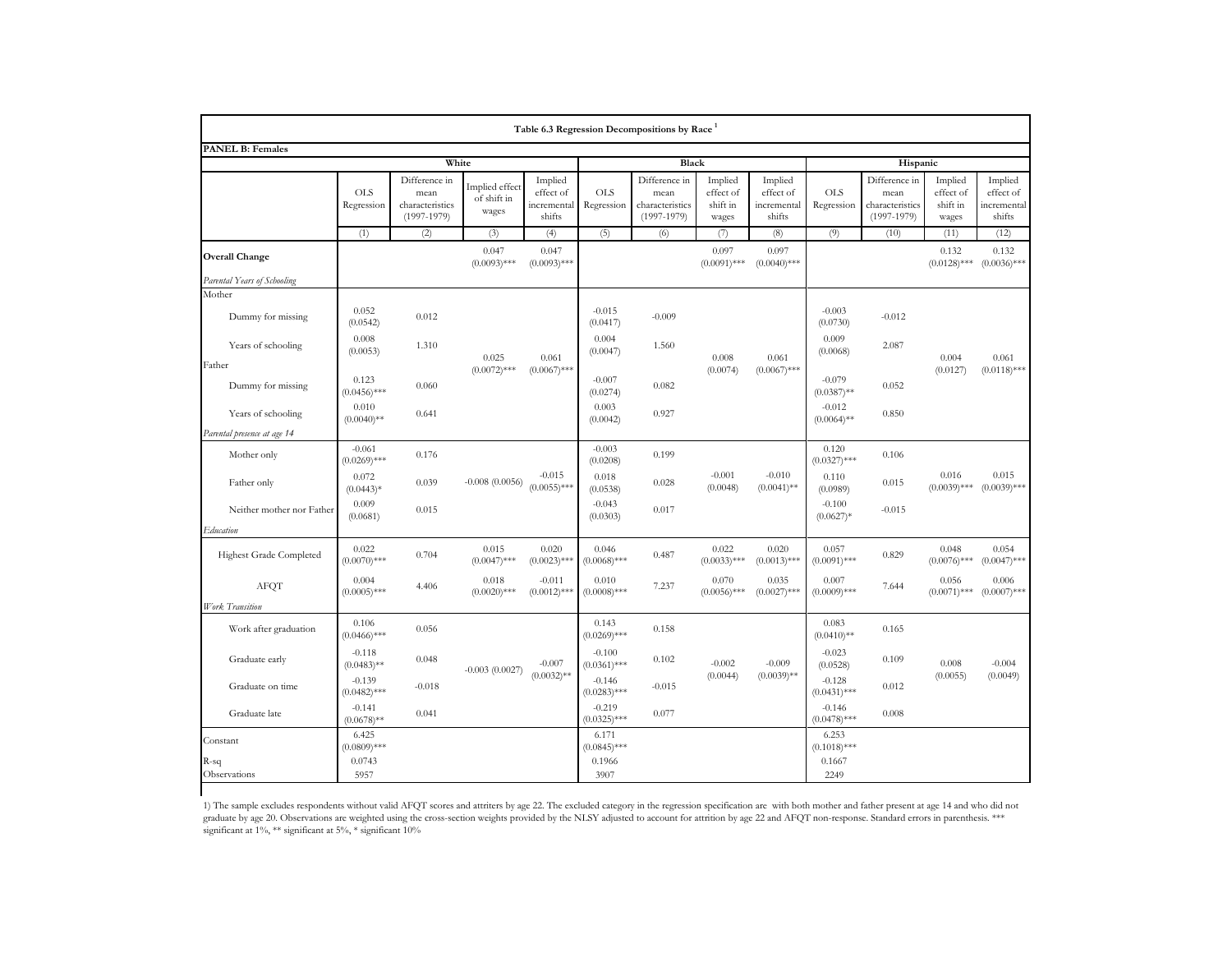| Table 6.3 Regression Decompositions by Race <sup>1</sup> |                            |                                                             |                                        |                                               |                            |                                                             |                                           |                                               |                            |                                                             |                                           |                                               |
|----------------------------------------------------------|----------------------------|-------------------------------------------------------------|----------------------------------------|-----------------------------------------------|----------------------------|-------------------------------------------------------------|-------------------------------------------|-----------------------------------------------|----------------------------|-------------------------------------------------------------|-------------------------------------------|-----------------------------------------------|
| <b>PANEL B: Females</b>                                  |                            |                                                             |                                        |                                               |                            |                                                             |                                           |                                               |                            |                                                             |                                           |                                               |
|                                                          | White                      |                                                             |                                        |                                               | Black                      |                                                             |                                           |                                               | Hispanic                   |                                                             |                                           |                                               |
|                                                          | <b>OLS</b><br>Regression   | Difference in<br>mean<br>characteristics<br>$(1997 - 1979)$ | Implied effect<br>of shift in<br>wages | Implied<br>effect of<br>incremental<br>shifts | <b>OLS</b><br>Regression   | Difference in<br>mean<br>characteristics<br>$(1997 - 1979)$ | Implied<br>effect of<br>shift in<br>wages | Implied<br>effect of<br>incremental<br>shifts | <b>OLS</b><br>Regression   | Difference in<br>mean<br>characteristics<br>$(1997 - 1979)$ | Implied<br>effect of<br>shift in<br>wages | Implied<br>effect of<br>incremental<br>shifts |
|                                                          | (1)                        | (2)                                                         | (3)                                    | (4)                                           | (5)                        | (6)                                                         | (7)                                       | (8)                                           | (9)                        | (10)                                                        | (11)                                      | (12)                                          |
| <b>Overall Change</b>                                    |                            |                                                             | 0.047<br>$(0.0093)$ ***                | 0.047<br>$(0.0093)$ ***                       |                            |                                                             | 0.097<br>$(0.0091)$ ***                   | 0.097<br>$(0.0040)$ ***                       |                            |                                                             | 0.132<br>$(0.0128)$ ***                   | 0.132<br>$(0.0036)$ ***                       |
| Parental Years of Schooling                              |                            |                                                             |                                        |                                               |                            |                                                             |                                           |                                               |                            |                                                             |                                           |                                               |
| Mother                                                   |                            |                                                             |                                        |                                               |                            |                                                             |                                           |                                               |                            |                                                             |                                           |                                               |
| Dummy for missing                                        | 0.052<br>(0.0542)          | 0.012                                                       |                                        |                                               | $-0.015$<br>(0.0417)       | $-0.009$                                                    |                                           |                                               | $-0.003$<br>(0.0730)       | $-0.012$                                                    |                                           |                                               |
| Years of schooling                                       | 0.008<br>(0.0053)          | 1.310                                                       | 0.025                                  | 0.061<br>$(0.0067)$ ***                       | 0.004<br>(0.0047)          | 1.560                                                       | 0.008<br>(0.0074)                         | 0.061<br>$(0.0067)$ ***                       | 0.009<br>(0.0068)          | 2.087                                                       | 0.004<br>(0.0127)                         | 0.061<br>$(0.0118)$ ***                       |
| Father<br>Dummy for missing                              | 0.123<br>$(0.0456)$ ***    | 0.060                                                       | $(0.0072)$ ***                         |                                               | $-0.007$<br>(0.0274)       | 0.082                                                       |                                           |                                               | $-0.079$<br>$(0.0387)$ **  | 0.052                                                       |                                           |                                               |
| Years of schooling                                       | 0.010<br>$(0.0040)$ **     | 0.641                                                       |                                        |                                               | 0.003<br>(0.0042)          | 0.927                                                       |                                           |                                               | $-0.012$<br>$(0.0064)$ **  | 0.850                                                       |                                           |                                               |
| Parental presence at age 14                              |                            |                                                             |                                        |                                               |                            |                                                             |                                           |                                               |                            |                                                             |                                           |                                               |
| Mother only                                              | $-0.061$<br>$(0.0269)$ *** | 0.176                                                       |                                        |                                               | $-0.003$<br>(0.0208)       | 0.199                                                       |                                           |                                               | 0.120<br>$(0.0327)$ ***    | 0.106                                                       |                                           |                                               |
| Father only                                              | 0.072<br>$(0.0443)*$       | 0.039                                                       | $-0.008(0.0056)$                       | $-0.015$<br>$(0.0055)$ ***                    | 0.018<br>(0.0538)          | 0.028                                                       | $-0.001$<br>(0.0048)                      | $-0.010$<br>$(0.0041)$ **                     | 0.110<br>(0.0989)          | 0.015                                                       | 0.016<br>$(0.0039)$ ***                   | 0.015<br>$(0.0039)$ ***                       |
| Neither mother nor Father                                | 0.009<br>(0.0681)          | 0.015                                                       |                                        |                                               | $-0.043$<br>(0.0303)       | 0.017                                                       |                                           |                                               | $-0.100$<br>$(0.0627)*$    | $-0.015$                                                    |                                           |                                               |
| Education                                                |                            |                                                             |                                        |                                               |                            |                                                             |                                           |                                               |                            |                                                             |                                           |                                               |
| Highest Grade Completed                                  | 0.022<br>$(0.0070)$ ***    | 0.704                                                       | 0.015<br>$(0.0047)$ ***                | 0.020<br>$(0.0023)$ ***                       | 0.046<br>$(0.0068)$ ***    | 0.487                                                       | 0.022<br>$(0.0033)$ ***                   | 0.020<br>$(0.0013)$ ***                       | 0.057<br>$(0.0091)$ ***    | 0.829                                                       | 0.048<br>$(0.0076)$ ***                   | 0.054<br>$(0.0047)$ ***                       |
| <b>AFQT</b>                                              | 0.004<br>$(0.0005)$ ***    | 4.406                                                       | 0.018<br>$(0.0020)$ ***                | $-0.011$<br>$(0.0012)$ ***                    | 0.010<br>$(0.0008)$ ***    | 7.237                                                       | 0.070<br>$(0.0056)$ ***                   | 0.035<br>$(0.0027)$ ***                       | 0.007<br>$(0.0009)$ ***    | 7.644                                                       | 0.056<br>$(0.0071)$ ***                   | 0.006<br>$(0.0007)$ ***                       |
| Work Transition                                          |                            |                                                             |                                        |                                               |                            |                                                             |                                           |                                               |                            |                                                             |                                           |                                               |
| Work after graduation                                    | 0.106<br>$(0.0466)$ ***    | 0.056                                                       |                                        |                                               | 0.143<br>$(0.0269)$ ***    | 0.158                                                       |                                           |                                               | 0.083<br>$(0.0410)$ **     | 0.165                                                       |                                           |                                               |
| Graduate early                                           | $-0.118$<br>$(0.0483)$ **  | 0.048                                                       | $-0.003(0.0027)$                       | $-0.007$<br>$(0.0032)$ **                     | $-0.100$<br>$(0.0361)$ *** | 0.102                                                       | $-0.002$<br>(0.0044)                      | $-0.009$<br>$(0.0039)$ **                     | $-0.023$<br>(0.0528)       | 0.109                                                       | 0.008<br>(0.0055)                         | $-0.004$<br>(0.0049)                          |
| Graduate on time                                         | $-0.139$<br>$(0.0482)$ *** | $-0.018$                                                    |                                        |                                               | $-0.146$<br>$(0.0283)$ *** | $-0.015$                                                    |                                           |                                               | $-0.128$<br>$(0.0431)$ *** | 0.012                                                       |                                           |                                               |
| Graduate late                                            | $-0.141$<br>$(0.0678)$ **  | 0.041                                                       |                                        |                                               | $-0.219$<br>$(0.0325)$ *** | 0.077                                                       |                                           |                                               | $-0.146$<br>$(0.0478)$ *** | 0.008                                                       |                                           |                                               |
| Constant                                                 | 6.425<br>$(0.0809)$ ***    |                                                             |                                        |                                               | 6.171<br>$(0.0845)$ ***    |                                                             |                                           |                                               | 6.253<br>$(0.1018)$ ***    |                                                             |                                           |                                               |
| R-sq<br>Observations                                     | 0.0743<br>5957             |                                                             |                                        |                                               | 0.1966<br>3907             |                                                             |                                           |                                               | 0.1667<br>2249             |                                                             |                                           |                                               |

1) The sample excludes respondents without valid AFQT scores and attriters by age 22. The excluded category in the regression specification are with both mother and father present at age 14 and who did not graduate by age 20. Observations are weighted using the cross-section weights provided by the NLSY adjusted to account for attrition by age 22 and AFQT non-response. Standard errors in parenthesis. \*\*\* significant at 1%, \*\* significant at 5%, \* significant 10%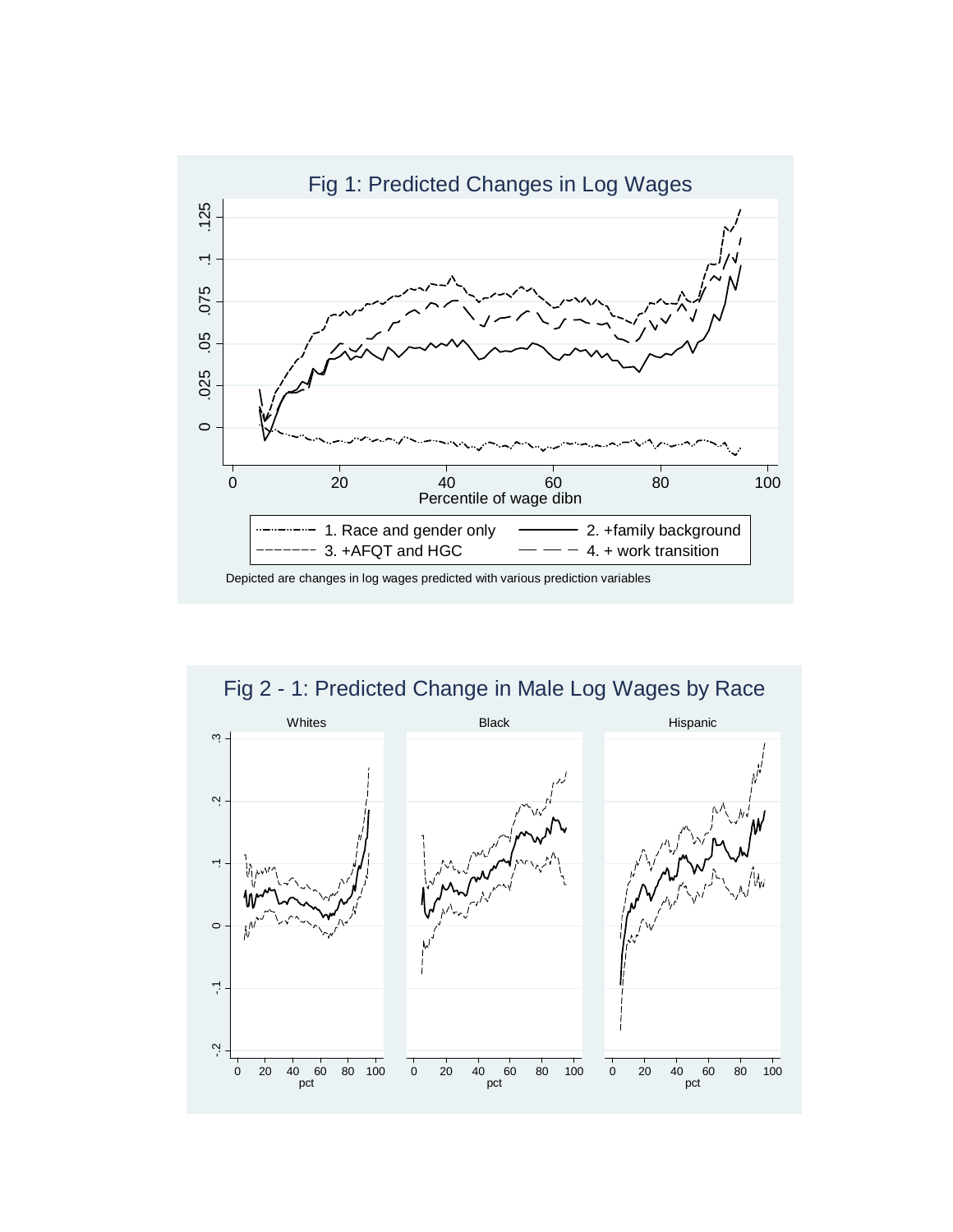

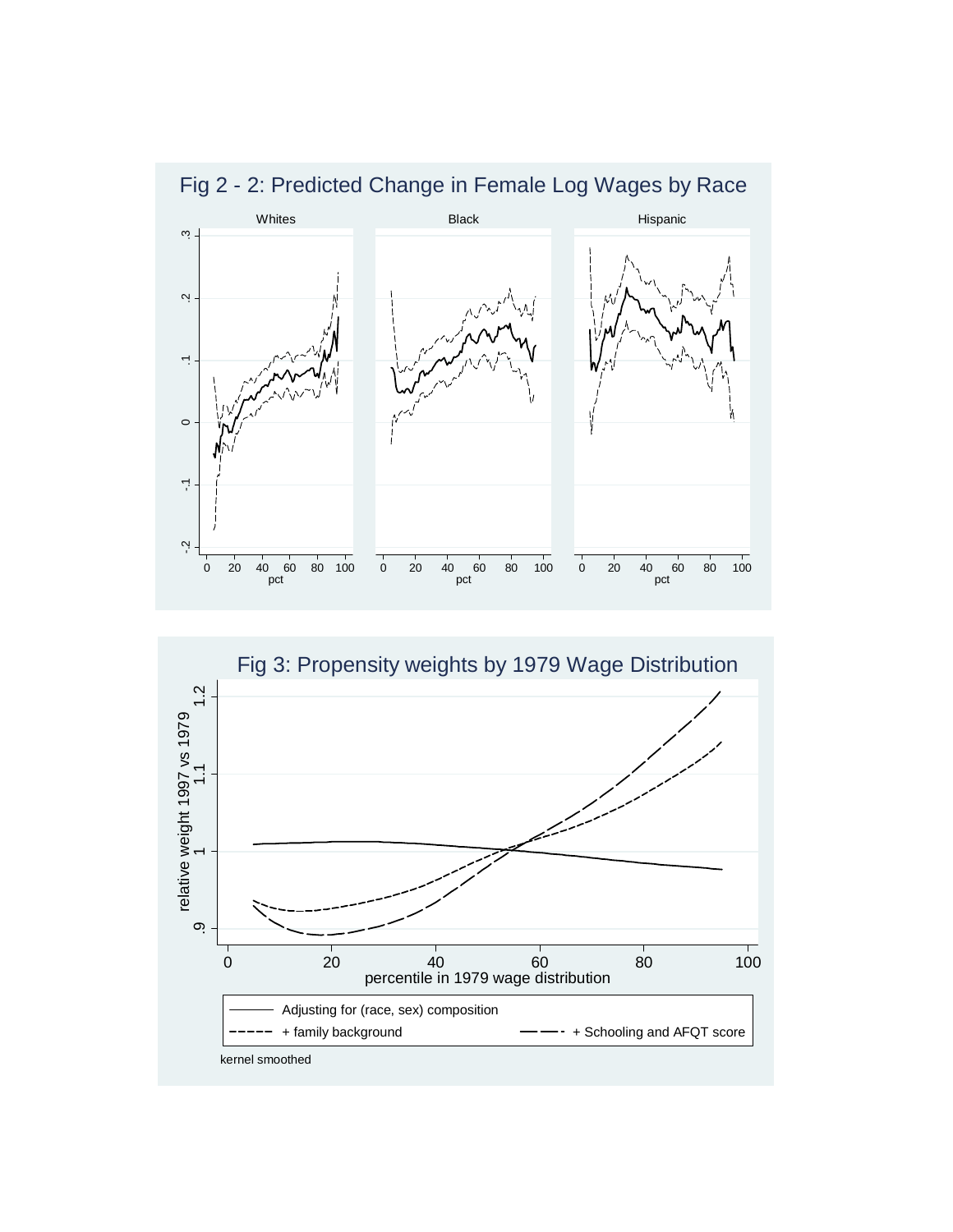

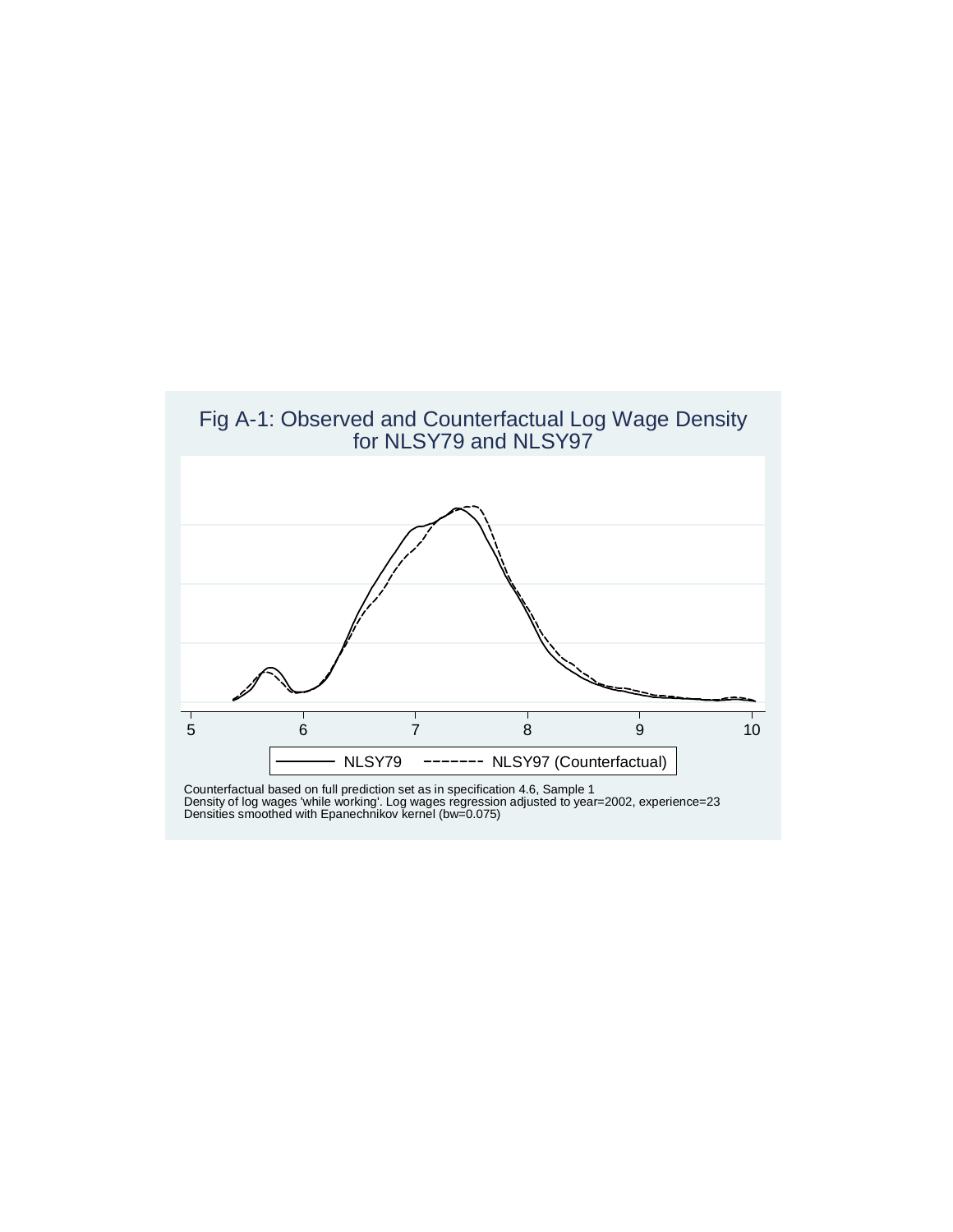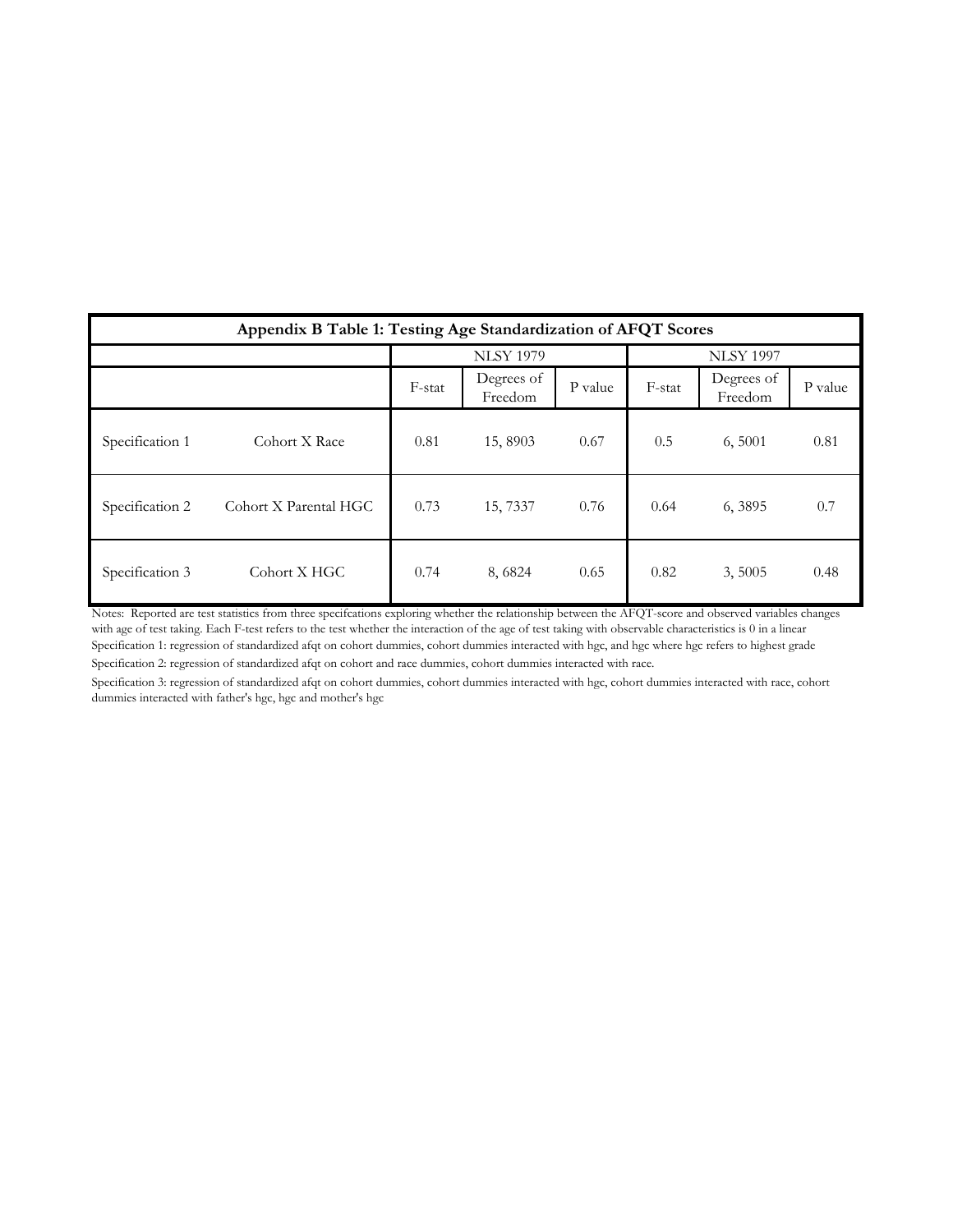| Appendix B Table 1: Testing Age Standardization of AFQT Scores |                       |        |                       |         |                  |                                  |      |  |  |  |  |
|----------------------------------------------------------------|-----------------------|--------|-----------------------|---------|------------------|----------------------------------|------|--|--|--|--|
|                                                                |                       |        | <b>NLSY 1979</b>      |         | <b>NLSY 1997</b> |                                  |      |  |  |  |  |
|                                                                |                       | F-stat | Degrees of<br>Freedom | P value | F-stat           | Degrees of<br>P value<br>Freedom |      |  |  |  |  |
| Specification 1                                                | Cohort X Race         | 0.81   | 15,8903               | 0.67    | 0.5              | 6,5001                           | 0.81 |  |  |  |  |
| Specification 2                                                | Cohort X Parental HGC | 0.73   | 15, 7337              | 0.76    | 0.64             | 6,3895                           | 0.7  |  |  |  |  |
| Specification 3                                                | Cohort X HGC          | 0.74   | 8,6824                | 0.65    | 0.82             | 3,5005                           | 0.48 |  |  |  |  |

Specification 1: regression of standardized afqt on cohort dummies, cohort dummies interacted with hgc, and hgc where hgc refers to highest grade Specification 2: regression of standardized afqt on cohort and race dummies, cohort dummies interacted with race. Notes: Reported are test statistics from three specifcations exploring whether the relationship between the AFQT-score and observed variables changes with age of test taking. Each F-test refers to the test whether the interaction of the age of test taking with observable characteristics is 0 in a linear

Specification 3: regression of standardized afqt on cohort dummies, cohort dummies interacted with hgc, cohort dummies interacted with race, cohort dummies interacted with father's hgc, hgc and mother's hgc